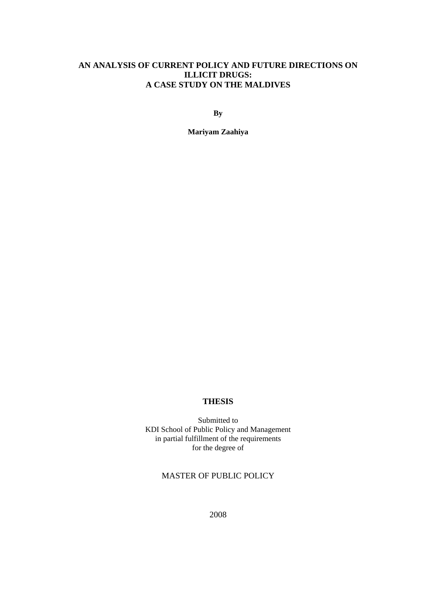# **AN ANALYSIS OF CURRENT POLICY AND FUTURE DIRECTIONS ON ILLICIT DRUGS: A CASE STUDY ON THE MALDIVES**

**By** 

**Mariyam Zaahiya** 

## **THESIS**

Submitted to KDI School of Public Policy and Management in partial fulfillment of the requirements for the degree of

## MASTER OF PUBLIC POLICY

2008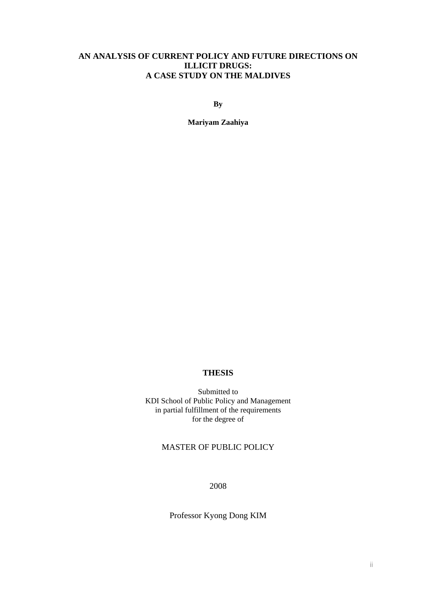## **AN ANALYSIS OF CURRENT POLICY AND FUTURE DIRECTIONS ON ILLICIT DRUGS: A CASE STUDY ON THE MALDIVES**

**By** 

**Mariyam Zaahiya** 

# **THESIS**

Submitted to KDI School of Public Policy and Management in partial fulfillment of the requirements for the degree of

# MASTER OF PUBLIC POLICY

2008

Professor Kyong Dong KIM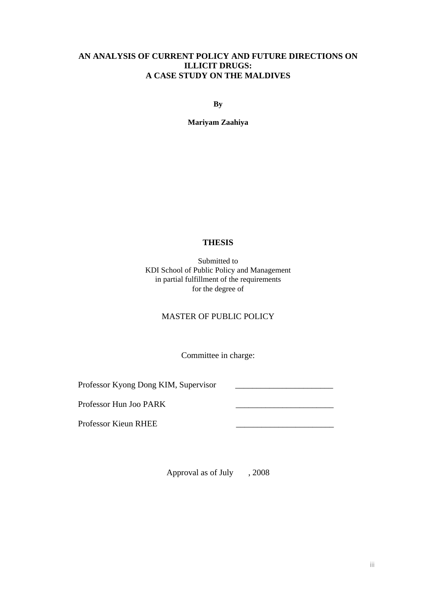# **AN ANALYSIS OF CURRENT POLICY AND FUTURE DIRECTIONS ON ILLICIT DRUGS: A CASE STUDY ON THE MALDIVES**

**By** 

**Mariyam Zaahiya** 

## **THESIS**

Submitted to KDI School of Public Policy and Management in partial fulfillment of the requirements for the degree of

# MASTER OF PUBLIC POLICY

Committee in charge:

Professor Kyong Dong KIM, Supervisor

Professor Hun Joo PARK \_\_\_\_\_\_\_\_\_\_\_\_\_\_\_\_\_\_\_\_\_\_\_

Professor Kieun RHEE \_\_\_\_\_\_\_\_\_\_\_\_\_\_\_\_\_\_\_\_\_\_\_

Approval as of July , 2008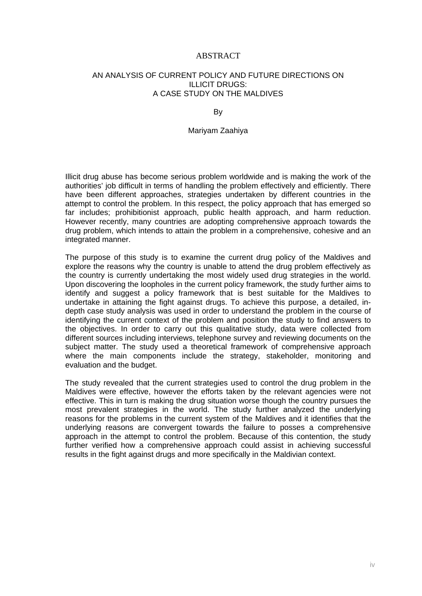#### ABSTRACT

#### AN ANALYSIS OF CURRENT POLICY AND FUTURE DIRECTIONS ON ILLICIT DRUGS: A CASE STUDY ON THE MALDIVES

#### By

#### Mariyam Zaahiya

Illicit drug abuse has become serious problem worldwide and is making the work of the authorities' job difficult in terms of handling the problem effectively and efficiently. There have been different approaches, strategies undertaken by different countries in the attempt to control the problem. In this respect, the policy approach that has emerged so far includes; prohibitionist approach, public health approach, and harm reduction. However recently, many countries are adopting comprehensive approach towards the drug problem, which intends to attain the problem in a comprehensive, cohesive and an integrated manner.

The purpose of this study is to examine the current drug policy of the Maldives and explore the reasons why the country is unable to attend the drug problem effectively as the country is currently undertaking the most widely used drug strategies in the world. Upon discovering the loopholes in the current policy framework, the study further aims to identify and suggest a policy framework that is best suitable for the Maldives to undertake in attaining the fight against drugs. To achieve this purpose, a detailed, indepth case study analysis was used in order to understand the problem in the course of identifying the current context of the problem and position the study to find answers to the objectives. In order to carry out this qualitative study, data were collected from different sources including interviews, telephone survey and reviewing documents on the subject matter. The study used a theoretical framework of comprehensive approach where the main components include the strategy, stakeholder, monitoring and evaluation and the budget.

The study revealed that the current strategies used to control the drug problem in the Maldives were effective, however the efforts taken by the relevant agencies were not effective. This in turn is making the drug situation worse though the country pursues the most prevalent strategies in the world. The study further analyzed the underlying reasons for the problems in the current system of the Maldives and it identifies that the underlying reasons are convergent towards the failure to posses a comprehensive approach in the attempt to control the problem. Because of this contention, the study further verified how a comprehensive approach could assist in achieving successful results in the fight against drugs and more specifically in the Maldivian context.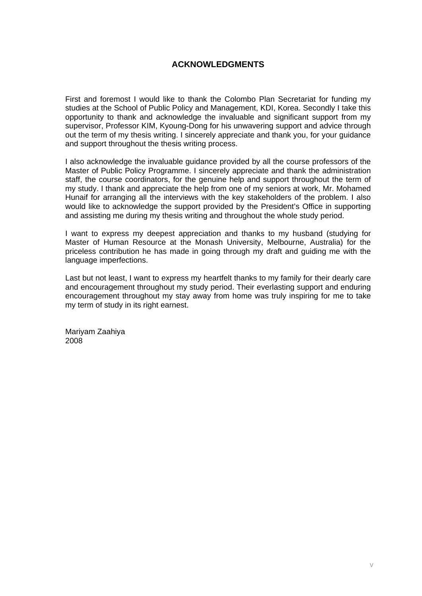## **ACKNOWLEDGMENTS**

First and foremost I would like to thank the Colombo Plan Secretariat for funding my studies at the School of Public Policy and Management, KDI, Korea. Secondly I take this opportunity to thank and acknowledge the invaluable and significant support from my supervisor, Professor KIM, Kyoung-Dong for his unwavering support and advice through out the term of my thesis writing. I sincerely appreciate and thank you, for your guidance and support throughout the thesis writing process.

I also acknowledge the invaluable guidance provided by all the course professors of the Master of Public Policy Programme. I sincerely appreciate and thank the administration staff, the course coordinators, for the genuine help and support throughout the term of my study. I thank and appreciate the help from one of my seniors at work, Mr. Mohamed Hunaif for arranging all the interviews with the key stakeholders of the problem. I also would like to acknowledge the support provided by the President's Office in supporting and assisting me during my thesis writing and throughout the whole study period.

I want to express my deepest appreciation and thanks to my husband (studying for Master of Human Resource at the Monash University, Melbourne, Australia) for the priceless contribution he has made in going through my draft and guiding me with the language imperfections.

Last but not least, I want to express my heartfelt thanks to my family for their dearly care and encouragement throughout my study period. Their everlasting support and enduring encouragement throughout my stay away from home was truly inspiring for me to take my term of study in its right earnest.

Mariyam Zaahiya 2008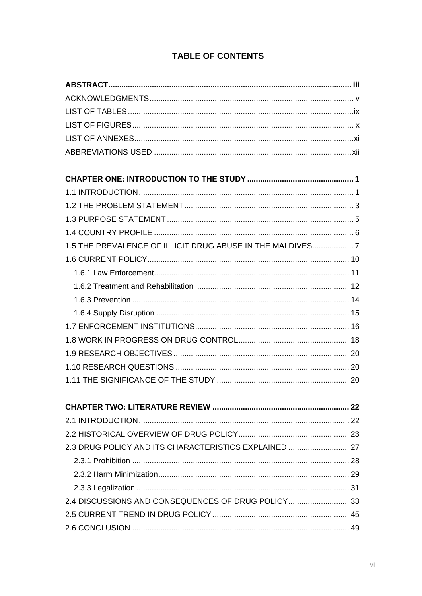| 1.5 THE PREVALENCE OF ILLICIT DRUG ABUSE IN THE MALDIVES 7 |  |
|------------------------------------------------------------|--|
|                                                            |  |
|                                                            |  |
|                                                            |  |
|                                                            |  |
|                                                            |  |
|                                                            |  |
|                                                            |  |
|                                                            |  |
|                                                            |  |
|                                                            |  |
|                                                            |  |
|                                                            |  |
|                                                            |  |
|                                                            |  |
| 2.3 DRUG POLICY AND ITS CHARACTERISTICS EXPLAINED  27      |  |
|                                                            |  |
|                                                            |  |
|                                                            |  |
| 2.4 DISCUSSIONS AND CONSEQUENCES OF DRUG POLICY33          |  |
|                                                            |  |
|                                                            |  |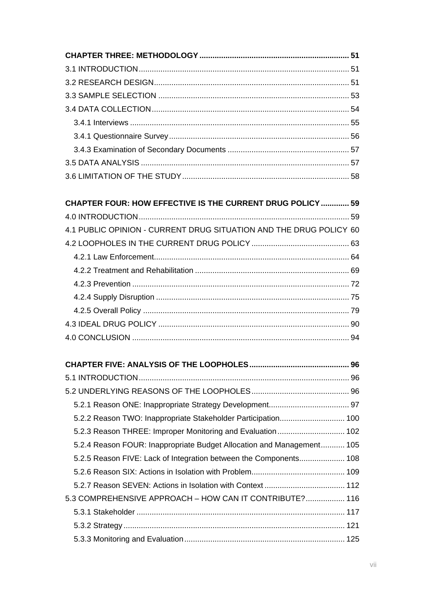| <b>CHAPTER FOUR: HOW EFFECTIVE IS THE CURRENT DRUG POLICY  59</b>     |  |
|-----------------------------------------------------------------------|--|
|                                                                       |  |
| 4.1 PUBLIC OPINION - CURRENT DRUG SITUATION AND THE DRUG POLICY 60    |  |
|                                                                       |  |
|                                                                       |  |
|                                                                       |  |
|                                                                       |  |
|                                                                       |  |
|                                                                       |  |
|                                                                       |  |
|                                                                       |  |
|                                                                       |  |
|                                                                       |  |
|                                                                       |  |
|                                                                       |  |
| 5.2.2 Reason TWO: Inappropriate Stakeholder Participation 100         |  |
|                                                                       |  |
| 5.2.4 Reason FOUR: Inappropriate Budget Allocation and Management 105 |  |
| 5.2.5 Reason FIVE: Lack of Integration between the Components 108     |  |
|                                                                       |  |
|                                                                       |  |
| 5.3 COMPREHENSIVE APPROACH - HOW CAN IT CONTRIBUTE? 116               |  |
|                                                                       |  |
|                                                                       |  |
|                                                                       |  |
|                                                                       |  |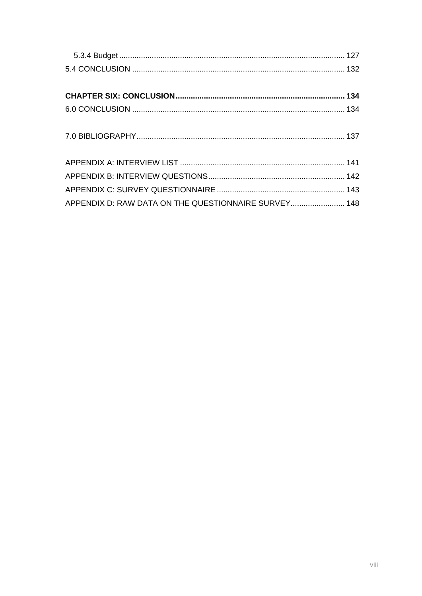| APPENDIX D: RAW DATA ON THE QUESTIONNAIRE SURVEY 148 |  |
|------------------------------------------------------|--|
|                                                      |  |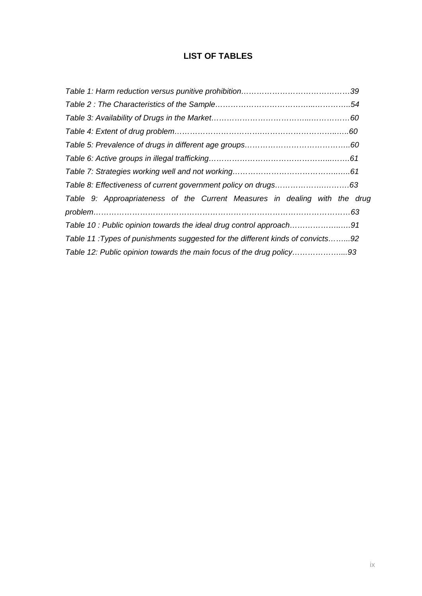# **LIST OF TABLES**

| Table 9: Approapriateness of the Current Measures in dealing with the drug     |  |
|--------------------------------------------------------------------------------|--|
|                                                                                |  |
| Table 10: Public opinion towards the ideal drug control approach91             |  |
| Table 11: Types of punishments suggested for the different kinds of convicts92 |  |
| Table 12: Public opinion towards the main focus of the drug policy93           |  |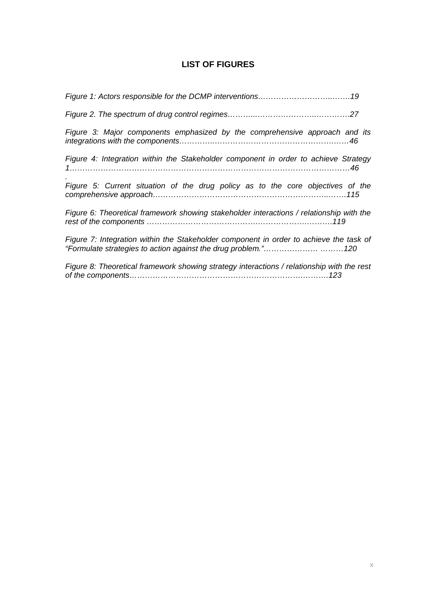# **LIST OF FIGURES**

| Figure 3: Major components emphasized by the comprehensive approach and its                |
|--------------------------------------------------------------------------------------------|
| Figure 4: Integration within the Stakeholder component in order to achieve Strategy        |
| Figure 5: Current situation of the drug policy as to the core objectives of the            |
| Figure 6: Theoretical framework showing stakeholder interactions / relationship with the   |
| Figure 7: Integration within the Stakeholder component in order to achieve the task of     |
| Figure 8: Theoretical framework showing strategy interactions / relationship with the rest |

*of the components………………………………………………………….……….123*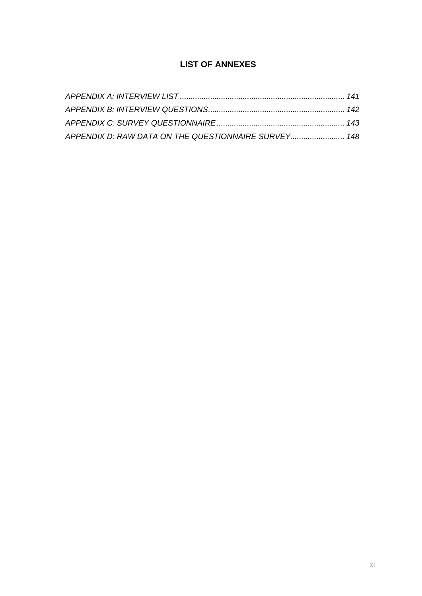# **LIST OF ANNEXES**

| APPENDIX D: RAW DATA ON THE QUESTIONNAIRE SURVEY 148 |  |
|------------------------------------------------------|--|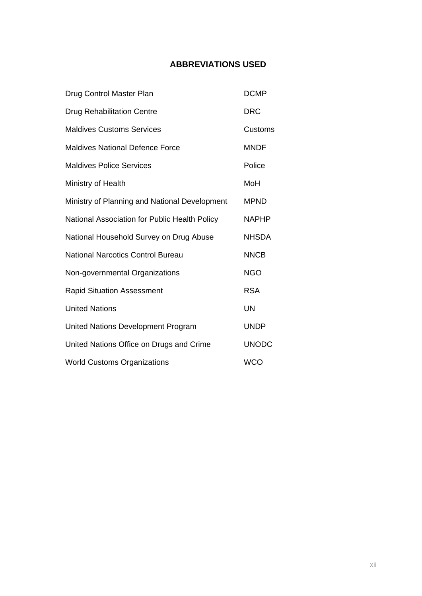# **ABBREVIATIONS USED**

| Drug Control Master Plan                      | <b>DCMP</b>  |
|-----------------------------------------------|--------------|
| <b>Drug Rehabilitation Centre</b>             | <b>DRC</b>   |
| <b>Maldives Customs Services</b>              | Customs      |
| <b>Maldives National Defence Force</b>        | <b>MNDF</b>  |
| <b>Maldives Police Services</b>               | Police       |
| Ministry of Health                            | MoH          |
| Ministry of Planning and National Development | <b>MPND</b>  |
| National Association for Public Health Policy | <b>NAPHP</b> |
| National Household Survey on Drug Abuse       | <b>NHSDA</b> |
| <b>National Narcotics Control Bureau</b>      | <b>NNCB</b>  |
| Non-governmental Organizations                | <b>NGO</b>   |
| <b>Rapid Situation Assessment</b>             | <b>RSA</b>   |
| <b>United Nations</b>                         | <b>UN</b>    |
| United Nations Development Program            | <b>UNDP</b>  |
| United Nations Office on Drugs and Crime      | <b>UNODC</b> |
| <b>World Customs Organizations</b>            | <b>WCO</b>   |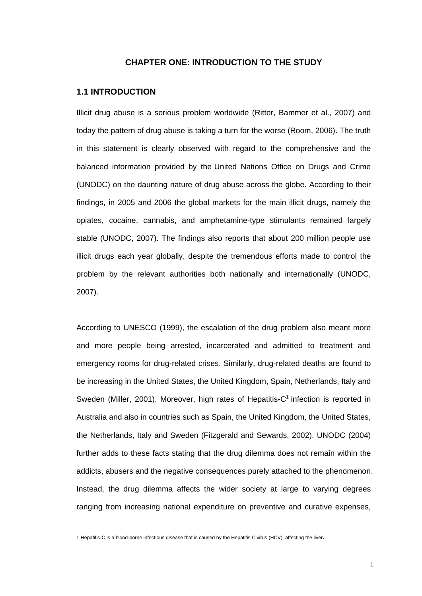#### **CHAPTER ONE: INTRODUCTION TO THE STUDY**

#### **1.1 INTRODUCTION**

Illicit drug abuse is a serious problem worldwide (Ritter, Bammer et al., 2007) and today the pattern of drug abuse is taking a turn for the worse (Room, 2006). The truth in this statement is clearly observed with regard to the comprehensive and the balanced information provided by the United Nations Office on Drugs and Crime (UNODC) on the daunting nature of drug abuse across the globe. According to their findings, in 2005 and 2006 the global markets for the main illicit drugs, namely the opiates, cocaine, cannabis, and amphetamine-type stimulants remained largely stable (UNODC, 2007). The findings also reports that about 200 million people use illicit drugs each year globally, despite the tremendous efforts made to control the problem by the relevant authorities both nationally and internationally (UNODC, 2007).

According to UNESCO (1999), the escalation of the drug problem also meant more and more people being arrested, incarcerated and admitted to treatment and emergency rooms for drug-related crises. Similarly, drug-related deaths are found to be increasing in the United States, the United Kingdom, Spain, Netherlands, Italy and Sweden (Miller, 2001). Moreover, high rates of Hepatitis- $C<sup>1</sup>$  infection is reported in Australia and also in countries such as Spain, the United Kingdom, the United States, the Netherlands, Italy and Sweden (Fitzgerald and Sewards, 2002). UNODC (2004) further adds to these facts stating that the drug dilemma does not remain within the addicts, abusers and the negative consequences purely attached to the phenomenon. Instead, the drug dilemma affects the wider society at large to varying degrees ranging from increasing national expenditure on preventive and curative expenses,

 1 Hepatitis-C is a blood-borne infectious disease that is caused by the Hepatitis C virus (HCV), affecting the liver.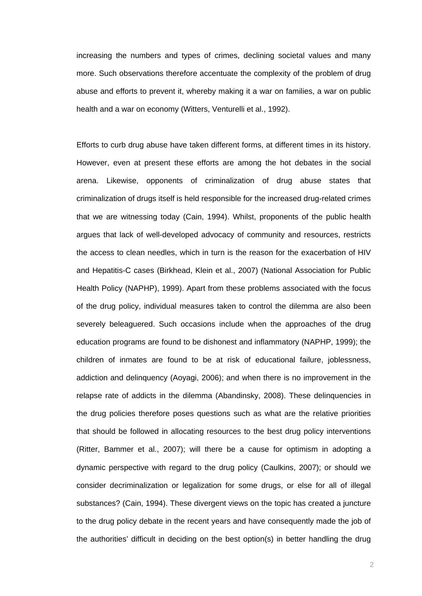increasing the numbers and types of crimes, declining societal values and many more. Such observations therefore accentuate the complexity of the problem of drug abuse and efforts to prevent it, whereby making it a war on families, a war on public health and a war on economy (Witters, Venturelli et al., 1992).

Efforts to curb drug abuse have taken different forms, at different times in its history. However, even at present these efforts are among the hot debates in the social arena. Likewise, opponents of criminalization of drug abuse states that criminalization of drugs itself is held responsible for the increased drug-related crimes that we are witnessing today (Cain, 1994). Whilst, proponents of the public health argues that lack of well-developed advocacy of community and resources, restricts the access to clean needles, which in turn is the reason for the exacerbation of HIV and Hepatitis-C cases (Birkhead, Klein et al., 2007) (National Association for Public Health Policy (NAPHP), 1999). Apart from these problems associated with the focus of the drug policy, individual measures taken to control the dilemma are also been severely beleaguered. Such occasions include when the approaches of the drug education programs are found to be dishonest and inflammatory (NAPHP, 1999); the children of inmates are found to be at risk of educational failure, joblessness, addiction and delinquency (Aoyagi, 2006); and when there is no improvement in the relapse rate of addicts in the dilemma (Abandinsky, 2008). These delinquencies in the drug policies therefore poses questions such as what are the relative priorities that should be followed in allocating resources to the best drug policy interventions (Ritter, Bammer et al., 2007); will there be a cause for optimism in adopting a dynamic perspective with regard to the drug policy (Caulkins, 2007); or should we consider decriminalization or legalization for some drugs, or else for all of illegal substances? (Cain, 1994). These divergent views on the topic has created a juncture to the drug policy debate in the recent years and have consequently made the job of the authorities' difficult in deciding on the best option(s) in better handling the drug

2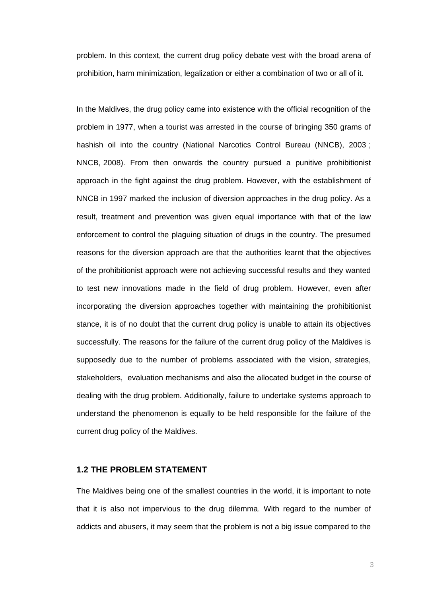problem. In this context, the current drug policy debate vest with the broad arena of prohibition, harm minimization, legalization or either a combination of two or all of it.

In the Maldives, the drug policy came into existence with the official recognition of the problem in 1977, when a tourist was arrested in the course of bringing 350 grams of hashish oil into the country (National Narcotics Control Bureau (NNCB), 2003; NNCB, 2008). From then onwards the country pursued a punitive prohibitionist approach in the fight against the drug problem. However, with the establishment of NNCB in 1997 marked the inclusion of diversion approaches in the drug policy. As a result, treatment and prevention was given equal importance with that of the law enforcement to control the plaguing situation of drugs in the country. The presumed reasons for the diversion approach are that the authorities learnt that the objectives of the prohibitionist approach were not achieving successful results and they wanted to test new innovations made in the field of drug problem. However, even after incorporating the diversion approaches together with maintaining the prohibitionist stance, it is of no doubt that the current drug policy is unable to attain its objectives successfully. The reasons for the failure of the current drug policy of the Maldives is supposedly due to the number of problems associated with the vision, strategies, stakeholders, evaluation mechanisms and also the allocated budget in the course of dealing with the drug problem. Additionally, failure to undertake systems approach to understand the phenomenon is equally to be held responsible for the failure of the current drug policy of the Maldives.

## **1.2 THE PROBLEM STATEMENT**

The Maldives being one of the smallest countries in the world, it is important to note that it is also not impervious to the drug dilemma. With regard to the number of addicts and abusers, it may seem that the problem is not a big issue compared to the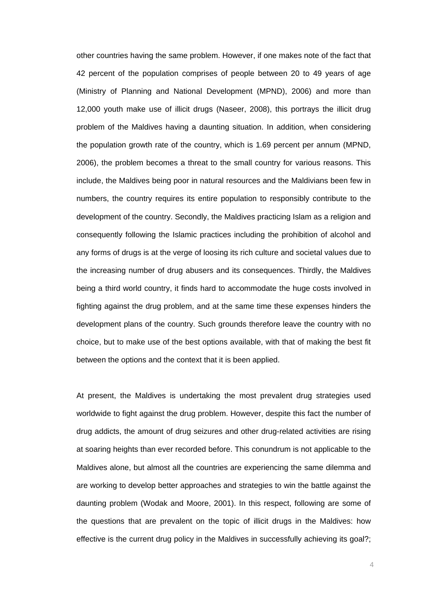other countries having the same problem. However, if one makes note of the fact that 42 percent of the population comprises of people between 20 to 49 years of age (Ministry of Planning and National Development (MPND), 2006) and more than 12,000 youth make use of illicit drugs (Naseer, 2008), this portrays the illicit drug problem of the Maldives having a daunting situation. In addition, when considering the population growth rate of the country, which is 1.69 percent per annum (MPND, 2006), the problem becomes a threat to the small country for various reasons. This include, the Maldives being poor in natural resources and the Maldivians been few in numbers, the country requires its entire population to responsibly contribute to the development of the country. Secondly, the Maldives practicing Islam as a religion and consequently following the Islamic practices including the prohibition of alcohol and any forms of drugs is at the verge of loosing its rich culture and societal values due to the increasing number of drug abusers and its consequences. Thirdly, the Maldives being a third world country, it finds hard to accommodate the huge costs involved in fighting against the drug problem, and at the same time these expenses hinders the development plans of the country. Such grounds therefore leave the country with no choice, but to make use of the best options available, with that of making the best fit between the options and the context that it is been applied.

At present, the Maldives is undertaking the most prevalent drug strategies used worldwide to fight against the drug problem. However, despite this fact the number of drug addicts, the amount of drug seizures and other drug-related activities are rising at soaring heights than ever recorded before. This conundrum is not applicable to the Maldives alone, but almost all the countries are experiencing the same dilemma and are working to develop better approaches and strategies to win the battle against the daunting problem (Wodak and Moore, 2001). In this respect, following are some of the questions that are prevalent on the topic of illicit drugs in the Maldives: how effective is the current drug policy in the Maldives in successfully achieving its goal?;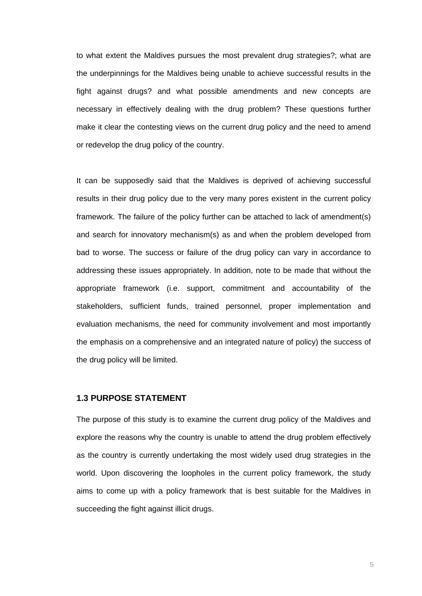to what extent the Maldives pursues the most prevalent drug strategies?; what are the underpinnings for the Maldives being unable to achieve successful results in the fight against drugs? and what possible amendments and new concepts are necessary in effectively dealing with the drug problem? These questions further make it clear the contesting views on the current drug policy and the need to amend or redevelop the drug policy of the country.

It can be supposedly said that the Maldives is deprived of achieving successful results in their drug policy due to the very many pores existent in the current policy framework. The failure of the policy further can be attached to lack of amendment(s) and search for innovatory mechanism(s) as and when the problem developed from bad to worse. The success or failure of the drug policy can vary in accordance to addressing these issues appropriately. In addition, note to be made that without the appropriate framework (i.e. support, commitment and accountability of the stakeholders, sufficient funds, trained personnel, proper implementation and evaluation mechanisms, the need for community involvement and most importantly the emphasis on a comprehensive and an integrated nature of policy) the success of the drug policy will be limited.

## **1.3 PURPOSE STATEMENT**

The purpose of this study is to examine the current drug policy of the Maldives and explore the reasons why the country is unable to attend the drug problem effectively as the country is currently undertaking the most widely used drug strategies in the world. Upon discovering the loopholes in the current policy framework, the study aims to come up with a policy framework that is best suitable for the Maldives in succeeding the fight against illicit drugs.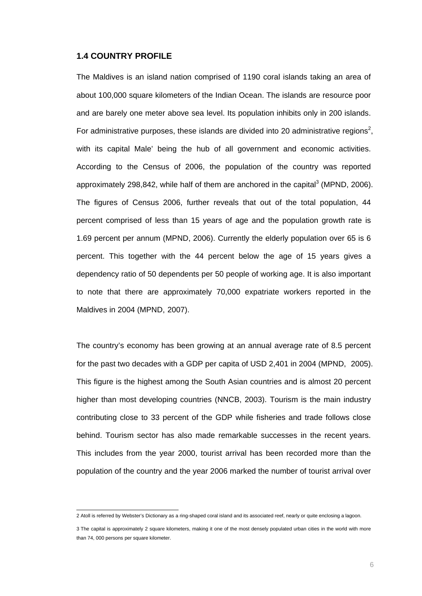#### **1.4 COUNTRY PROFILE**

The Maldives is an island nation comprised of 1190 coral islands taking an area of about 100,000 square kilometers of the Indian Ocean. The islands are resource poor and are barely one meter above sea level. Its population inhibits only in 200 islands. For administrative purposes, these islands are divided into 20 administrative regions<sup>2</sup>, with its capital Male' being the hub of all government and economic activities. According to the Census of 2006, the population of the country was reported approximately 298,842, while half of them are anchored in the capital<sup>3</sup> (MPND, 2006). The figures of Census 2006, further reveals that out of the total population, 44 percent comprised of less than 15 years of age and the population growth rate is 1.69 percent per annum (MPND, 2006). Currently the elderly population over 65 is 6 percent. This together with the 44 percent below the age of 15 years gives a dependency ratio of 50 dependents per 50 people of working age. It is also important to note that there are approximately 70,000 expatriate workers reported in the Maldives in 2004 (MPND, 2007).

The country's economy has been growing at an annual average rate of 8.5 percent for the past two decades with a GDP per capita of USD 2,401 in 2004 (MPND, 2005). This figure is the highest among the South Asian countries and is almost 20 percent higher than most developing countries (NNCB, 2003). Tourism is the main industry contributing close to 33 percent of the GDP while fisheries and trade follows close behind. Tourism sector has also made remarkable successes in the recent years. This includes from the year 2000, tourist arrival has been recorded more than the population of the country and the year 2006 marked the number of tourist arrival over

 2 Atoll is referred by Webster's Dictionary as a ring-shaped coral island and its associated reef, nearly or quite enclosing a lagoon.

<sup>3</sup> The capital is approximately 2 square kilometers, making it one of the most densely populated urban cities in the world with more than 74, 000 persons per square kilometer.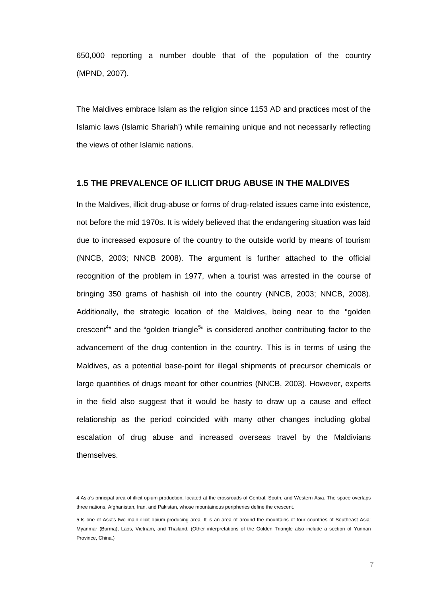650,000 reporting a number double that of the population of the country (MPND, 2007).

The Maldives embrace Islam as the religion since 1153 AD and practices most of the Islamic laws (Islamic Shariah') while remaining unique and not necessarily reflecting the views of other Islamic nations.

#### **1.5 THE PREVALENCE OF ILLICIT DRUG ABUSE IN THE MALDIVES**

In the Maldives, illicit drug-abuse or forms of drug-related issues came into existence, not before the mid 1970s. It is widely believed that the endangering situation was laid due to increased exposure of the country to the outside world by means of tourism (NNCB, 2003; NNCB 2008). The argument is further attached to the official recognition of the problem in 1977, when a tourist was arrested in the course of bringing 350 grams of hashish oil into the country (NNCB, 2003; NNCB, 2008). Additionally, the strategic location of the Maldives, being near to the "golden crescent<sup>4</sup> and the "golden triangle<sup>5</sup>" is considered another contributing factor to the advancement of the drug contention in the country. This is in terms of using the Maldives, as a potential base-point for illegal shipments of precursor chemicals or large quantities of drugs meant for other countries (NNCB, 2003). However, experts in the field also suggest that it would be hasty to draw up a cause and effect relationship as the period coincided with many other changes including global escalation of drug abuse and increased overseas travel by the Maldivians themselves.

 4 Asia's principal area of illicit opium production, located at the crossroads of Central, South, and Western Asia. The space overlaps three nations, Afghanistan, Iran, and Pakistan, whose mountainous peripheries define the crescent.

<sup>5</sup> Is one of Asia's two main illicit opium-producing area. It is an area of around the mountains of four countries of Southeast Asia: Myanmar (Burma), Laos, Vietnam, and Thailand. (Other interpretations of the Golden Triangle also include a section of Yunnan Province, China.)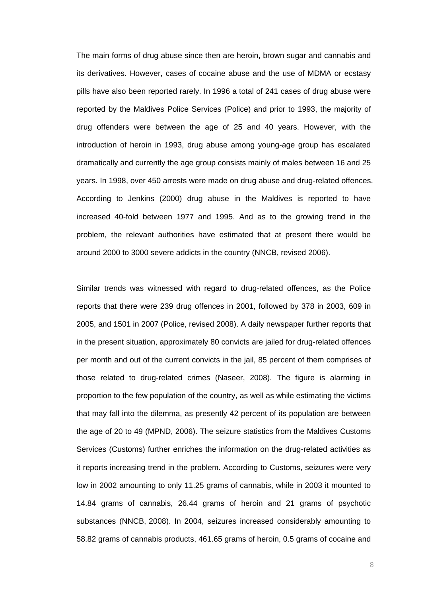The main forms of drug abuse since then are heroin, brown sugar and cannabis and its derivatives. However, cases of cocaine abuse and the use of MDMA or ecstasy pills have also been reported rarely. In 1996 a total of 241 cases of drug abuse were reported by the Maldives Police Services (Police) and prior to 1993, the majority of drug offenders were between the age of 25 and 40 years. However, with the introduction of heroin in 1993, drug abuse among young-age group has escalated dramatically and currently the age group consists mainly of males between 16 and 25 years. In 1998, over 450 arrests were made on drug abuse and drug-related offences. According to Jenkins (2000) drug abuse in the Maldives is reported to have increased 40-fold between 1977 and 1995. And as to the growing trend in the problem, the relevant authorities have estimated that at present there would be around 2000 to 3000 severe addicts in the country (NNCB, revised 2006).

Similar trends was witnessed with regard to drug-related offences, as the Police reports that there were 239 drug offences in 2001, followed by 378 in 2003, 609 in 2005, and 1501 in 2007 (Police, revised 2008). A daily newspaper further reports that in the present situation, approximately 80 convicts are jailed for drug-related offences per month and out of the current convicts in the jail, 85 percent of them comprises of those related to drug-related crimes (Naseer, 2008). The figure is alarming in proportion to the few population of the country, as well as while estimating the victims that may fall into the dilemma, as presently 42 percent of its population are between the age of 20 to 49 (MPND, 2006). The seizure statistics from the Maldives Customs Services (Customs) further enriches the information on the drug-related activities as it reports increasing trend in the problem. According to Customs, seizures were very low in 2002 amounting to only 11.25 grams of cannabis, while in 2003 it mounted to 14.84 grams of cannabis, 26.44 grams of heroin and 21 grams of psychotic substances (NNCB, 2008). In 2004, seizures increased considerably amounting to 58.82 grams of cannabis products, 461.65 grams of heroin, 0.5 grams of cocaine and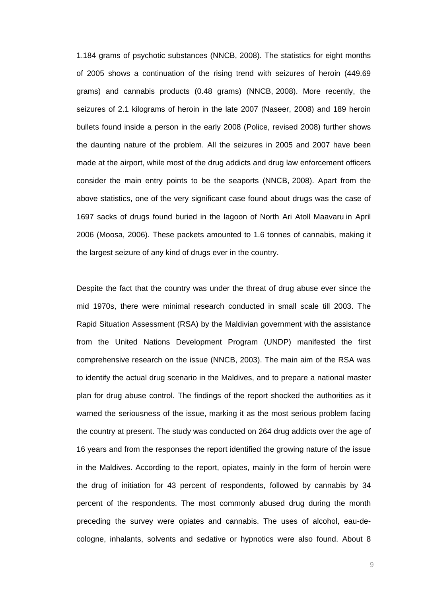1.184 grams of psychotic substances (NNCB, 2008). The statistics for eight months of 2005 shows a continuation of the rising trend with seizures of heroin (449.69 grams) and cannabis products (0.48 grams) (NNCB, 2008). More recently, the seizures of 2.1 kilograms of heroin in the late 2007 (Naseer, 2008) and 189 heroin bullets found inside a person in the early 2008 (Police, revised 2008) further shows the daunting nature of the problem. All the seizures in 2005 and 2007 have been made at the airport, while most of the drug addicts and drug law enforcement officers consider the main entry points to be the seaports (NNCB, 2008). Apart from the above statistics, one of the very significant case found about drugs was the case of 1697 sacks of drugs found buried in the lagoon of North Ari Atoll Maavaru in April 2006 (Moosa, 2006). These packets amounted to 1.6 tonnes of cannabis, making it the largest seizure of any kind of drugs ever in the country.

Despite the fact that the country was under the threat of drug abuse ever since the mid 1970s, there were minimal research conducted in small scale till 2003. The Rapid Situation Assessment (RSA) by the Maldivian government with the assistance from the United Nations Development Program (UNDP) manifested the first comprehensive research on the issue (NNCB, 2003). The main aim of the RSA was to identify the actual drug scenario in the Maldives, and to prepare a national master plan for drug abuse control. The findings of the report shocked the authorities as it warned the seriousness of the issue, marking it as the most serious problem facing the country at present. The study was conducted on 264 drug addicts over the age of 16 years and from the responses the report identified the growing nature of the issue in the Maldives. According to the report, opiates, mainly in the form of heroin were the drug of initiation for 43 percent of respondents, followed by cannabis by 34 percent of the respondents. The most commonly abused drug during the month preceding the survey were opiates and cannabis. The uses of alcohol, eau-decologne, inhalants, solvents and sedative or hypnotics were also found. About 8

9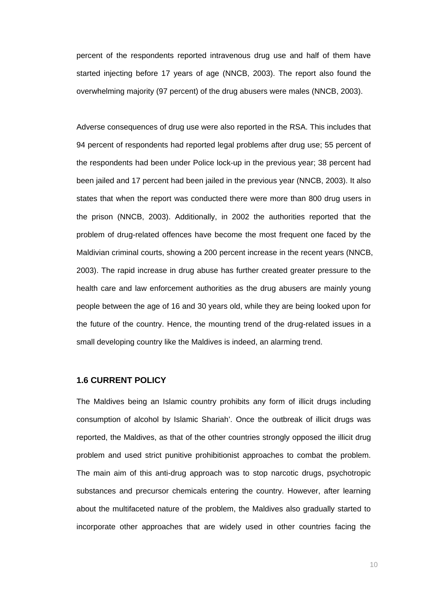percent of the respondents reported intravenous drug use and half of them have started injecting before 17 years of age (NNCB, 2003). The report also found the overwhelming majority (97 percent) of the drug abusers were males (NNCB, 2003).

Adverse consequences of drug use were also reported in the RSA. This includes that 94 percent of respondents had reported legal problems after drug use; 55 percent of the respondents had been under Police lock-up in the previous year; 38 percent had been jailed and 17 percent had been jailed in the previous year (NNCB, 2003). It also states that when the report was conducted there were more than 800 drug users in the prison (NNCB, 2003). Additionally, in 2002 the authorities reported that the problem of drug-related offences have become the most frequent one faced by the Maldivian criminal courts, showing a 200 percent increase in the recent years (NNCB, 2003). The rapid increase in drug abuse has further created greater pressure to the health care and law enforcement authorities as the drug abusers are mainly young people between the age of 16 and 30 years old, while they are being looked upon for the future of the country. Hence, the mounting trend of the drug-related issues in a small developing country like the Maldives is indeed, an alarming trend.

## **1.6 CURRENT POLICY**

The Maldives being an Islamic country prohibits any form of illicit drugs including consumption of alcohol by Islamic Shariah'. Once the outbreak of illicit drugs was reported, the Maldives, as that of the other countries strongly opposed the illicit drug problem and used strict punitive prohibitionist approaches to combat the problem. The main aim of this anti-drug approach was to stop narcotic drugs, psychotropic substances and precursor chemicals entering the country. However, after learning about the multifaceted nature of the problem, the Maldives also gradually started to incorporate other approaches that are widely used in other countries facing the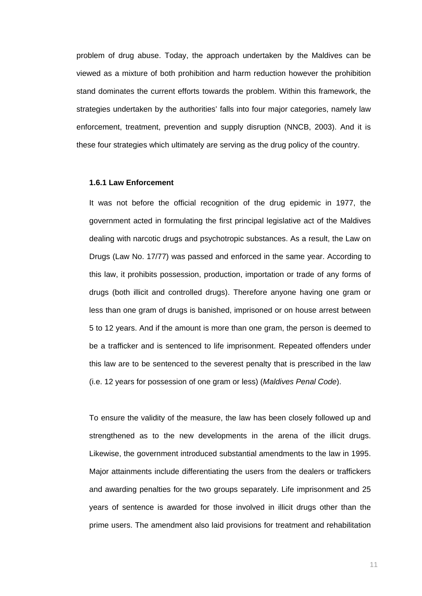problem of drug abuse. Today, the approach undertaken by the Maldives can be viewed as a mixture of both prohibition and harm reduction however the prohibition stand dominates the current efforts towards the problem. Within this framework, the strategies undertaken by the authorities' falls into four major categories, namely law enforcement, treatment, prevention and supply disruption (NNCB, 2003). And it is these four strategies which ultimately are serving as the drug policy of the country.

#### **1.6.1 Law Enforcement**

It was not before the official recognition of the drug epidemic in 1977, the government acted in formulating the first principal legislative act of the Maldives dealing with narcotic drugs and psychotropic substances. As a result, the Law on Drugs (Law No. 17/77) was passed and enforced in the same year. According to this law, it prohibits possession, production, importation or trade of any forms of drugs (both illicit and controlled drugs). Therefore anyone having one gram or less than one gram of drugs is banished, imprisoned or on house arrest between 5 to 12 years. And if the amount is more than one gram, the person is deemed to be a trafficker and is sentenced to life imprisonment. Repeated offenders under this law are to be sentenced to the severest penalty that is prescribed in the law (i.e. 12 years for possession of one gram or less) (*Maldives Penal Code*).

To ensure the validity of the measure, the law has been closely followed up and strengthened as to the new developments in the arena of the illicit drugs. Likewise, the government introduced substantial amendments to the law in 1995. Major attainments include differentiating the users from the dealers or traffickers and awarding penalties for the two groups separately. Life imprisonment and 25 years of sentence is awarded for those involved in illicit drugs other than the prime users. The amendment also laid provisions for treatment and rehabilitation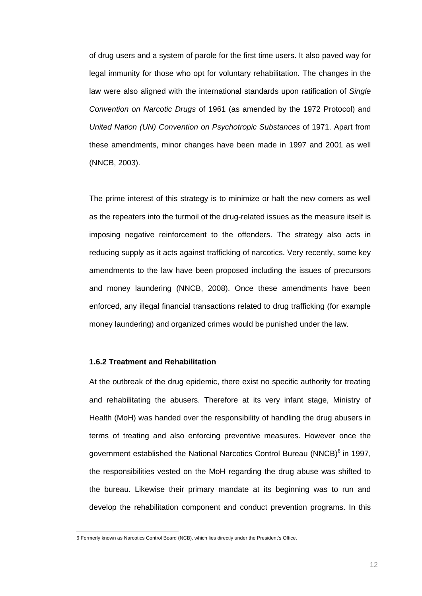of drug users and a system of parole for the first time users. It also paved way for legal immunity for those who opt for voluntary rehabilitation. The changes in the law were also aligned with the international standards upon ratification of *Single Convention on Narcotic Drugs* of 1961 (as amended by the 1972 Protocol) and *United Nation (UN) Convention on Psychotropic Substances* of 1971. Apart from these amendments, minor changes have been made in 1997 and 2001 as well (NNCB, 2003).

The prime interest of this strategy is to minimize or halt the new comers as well as the repeaters into the turmoil of the drug-related issues as the measure itself is imposing negative reinforcement to the offenders. The strategy also acts in reducing supply as it acts against trafficking of narcotics. Very recently, some key amendments to the law have been proposed including the issues of precursors and money laundering (NNCB, 2008). Once these amendments have been enforced, any illegal financial transactions related to drug trafficking (for example money laundering) and organized crimes would be punished under the law.

#### **1.6.2 Treatment and Rehabilitation**

At the outbreak of the drug epidemic, there exist no specific authority for treating and rehabilitating the abusers. Therefore at its very infant stage, Ministry of Health (MoH) was handed over the responsibility of handling the drug abusers in terms of treating and also enforcing preventive measures. However once the government established the National Narcotics Control Bureau (NNCB)<sup>6</sup> in 1997, the responsibilities vested on the MoH regarding the drug abuse was shifted to the bureau. Likewise their primary mandate at its beginning was to run and develop the rehabilitation component and conduct prevention programs. In this

 6 Formerly known as Narcotics Control Board (NCB), which lies directly under the President's Office.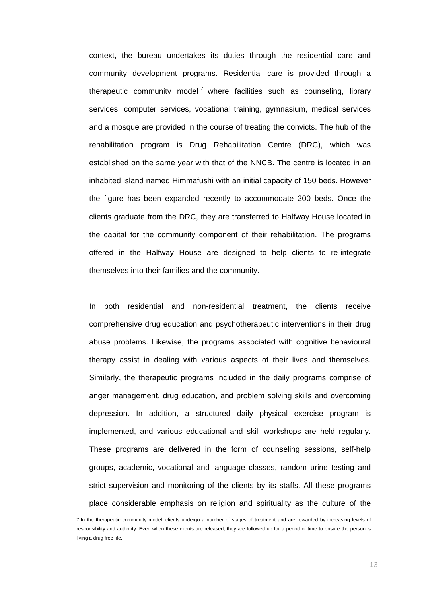context, the bureau undertakes its duties through the residential care and community development programs. Residential care is provided through a therapeutic community model<sup>7</sup> where facilities such as counseling, library services, computer services, vocational training, gymnasium, medical services and a mosque are provided in the course of treating the convicts. The hub of the rehabilitation program is Drug Rehabilitation Centre (DRC), which was established on the same year with that of the NNCB. The centre is located in an inhabited island named Himmafushi with an initial capacity of 150 beds. However the figure has been expanded recently to accommodate 200 beds. Once the clients graduate from the DRC, they are transferred to Halfway House located in the capital for the community component of their rehabilitation. The programs offered in the Halfway House are designed to help clients to re-integrate themselves into their families and the community.

In both residential and non-residential treatment, the clients receive comprehensive drug education and psychotherapeutic interventions in their drug abuse problems. Likewise, the programs associated with cognitive behavioural therapy assist in dealing with various aspects of their lives and themselves. Similarly, the therapeutic programs included in the daily programs comprise of anger management, drug education, and problem solving skills and overcoming depression. In addition, a structured daily physical exercise program is implemented, and various educational and skill workshops are held regularly. These programs are delivered in the form of counseling sessions, self-help groups, academic, vocational and language classes, random urine testing and strict supervision and monitoring of the clients by its staffs. All these programs place considerable emphasis on religion and spirituality as the culture of the

 7 In the therapeutic community model, clients undergo a number of stages of treatment and are rewarded by increasing levels of responsibility and authority. Even when these clients are released, they are followed up for a period of time to ensure the person is living a drug free life.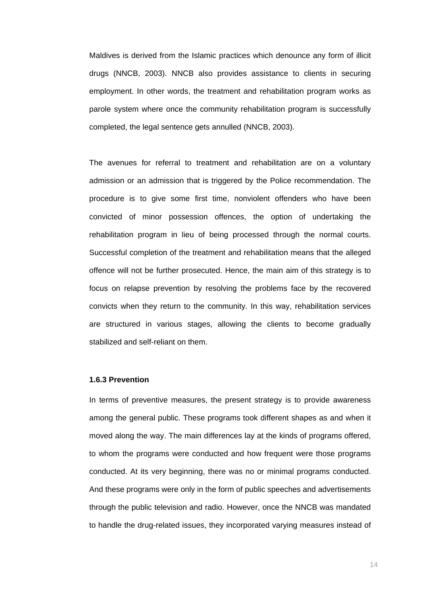Maldives is derived from the Islamic practices which denounce any form of illicit drugs (NNCB, 2003). NNCB also provides assistance to clients in securing employment. In other words, the treatment and rehabilitation program works as parole system where once the community rehabilitation program is successfully completed, the legal sentence gets annulled (NNCB, 2003).

The avenues for referral to treatment and rehabilitation are on a voluntary admission or an admission that is triggered by the Police recommendation. The procedure is to give some first time, nonviolent offenders who have been convicted of minor possession offences, the option of undertaking the rehabilitation program in lieu of being processed through the normal courts. Successful completion of the treatment and rehabilitation means that the alleged offence will not be further prosecuted. Hence, the main aim of this strategy is to focus on relapse prevention by resolving the problems face by the recovered convicts when they return to the community. In this way, rehabilitation services are structured in various stages, allowing the clients to become gradually stabilized and self-reliant on them.

#### **1.6.3 Prevention**

In terms of preventive measures, the present strategy is to provide awareness among the general public. These programs took different shapes as and when it moved along the way. The main differences lay at the kinds of programs offered, to whom the programs were conducted and how frequent were those programs conducted. At its very beginning, there was no or minimal programs conducted. And these programs were only in the form of public speeches and advertisements through the public television and radio. However, once the NNCB was mandated to handle the drug-related issues, they incorporated varying measures instead of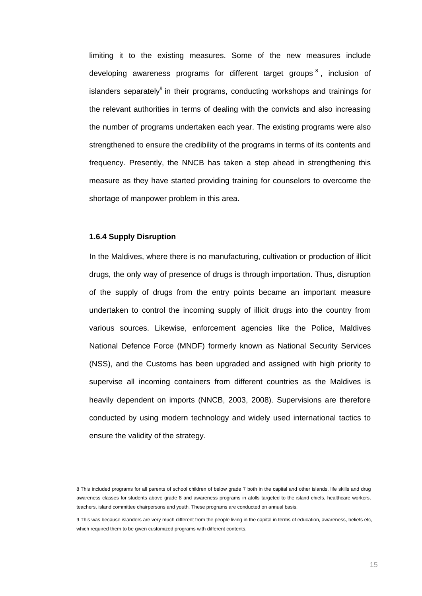limiting it to the existing measures. Some of the new measures include developing awareness programs for different target groups  $8$ , inclusion of islanders separately<sup>9</sup> in their programs, conducting workshops and trainings for the relevant authorities in terms of dealing with the convicts and also increasing the number of programs undertaken each year. The existing programs were also strengthened to ensure the credibility of the programs in terms of its contents and frequency. Presently, the NNCB has taken a step ahead in strengthening this measure as they have started providing training for counselors to overcome the shortage of manpower problem in this area.

#### **1.6.4 Supply Disruption**

In the Maldives, where there is no manufacturing, cultivation or production of illicit drugs, the only way of presence of drugs is through importation. Thus, disruption of the supply of drugs from the entry points became an important measure undertaken to control the incoming supply of illicit drugs into the country from various sources. Likewise, enforcement agencies like the Police, Maldives National Defence Force (MNDF) formerly known as National Security Services (NSS), and the Customs has been upgraded and assigned with high priority to supervise all incoming containers from different countries as the Maldives is heavily dependent on imports (NNCB, 2003, 2008). Supervisions are therefore conducted by using modern technology and widely used international tactics to ensure the validity of the strategy.

 8 This included programs for all parents of school children of below grade 7 both in the capital and other islands, life skills and drug awareness classes for students above grade 8 and awareness programs in atolls targeted to the island chiefs, healthcare workers, teachers, island committee chairpersons and youth. These programs are conducted on annual basis.

<sup>9</sup> This was because islanders are very much different from the people living in the capital in terms of education, awareness, beliefs etc, which required them to be given customized programs with different contents.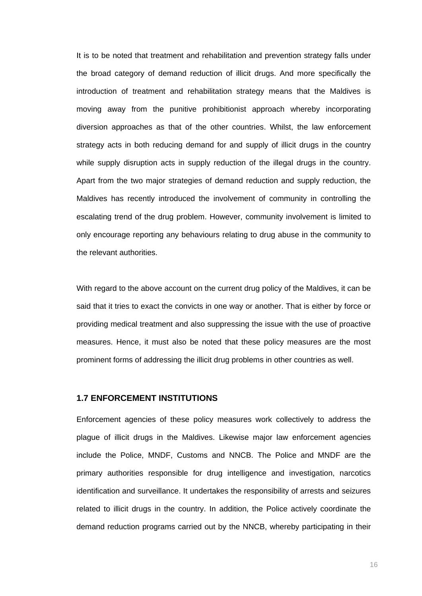It is to be noted that treatment and rehabilitation and prevention strategy falls under the broad category of demand reduction of illicit drugs. And more specifically the introduction of treatment and rehabilitation strategy means that the Maldives is moving away from the punitive prohibitionist approach whereby incorporating diversion approaches as that of the other countries. Whilst, the law enforcement strategy acts in both reducing demand for and supply of illicit drugs in the country while supply disruption acts in supply reduction of the illegal drugs in the country. Apart from the two major strategies of demand reduction and supply reduction, the Maldives has recently introduced the involvement of community in controlling the escalating trend of the drug problem. However, community involvement is limited to only encourage reporting any behaviours relating to drug abuse in the community to the relevant authorities.

With regard to the above account on the current drug policy of the Maldives, it can be said that it tries to exact the convicts in one way or another. That is either by force or providing medical treatment and also suppressing the issue with the use of proactive measures. Hence, it must also be noted that these policy measures are the most prominent forms of addressing the illicit drug problems in other countries as well.

## **1.7 ENFORCEMENT INSTITUTIONS**

Enforcement agencies of these policy measures work collectively to address the plague of illicit drugs in the Maldives. Likewise major law enforcement agencies include the Police, MNDF, Customs and NNCB. The Police and MNDF are the primary authorities responsible for drug intelligence and investigation, narcotics identification and surveillance. It undertakes the responsibility of arrests and seizures related to illicit drugs in the country. In addition, the Police actively coordinate the demand reduction programs carried out by the NNCB, whereby participating in their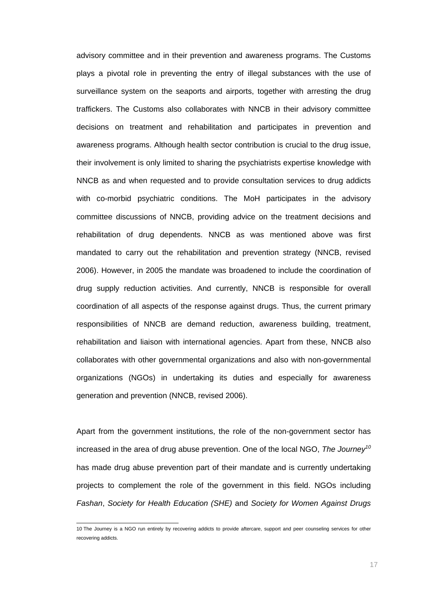advisory committee and in their prevention and awareness programs. The Customs plays a pivotal role in preventing the entry of illegal substances with the use of surveillance system on the seaports and airports, together with arresting the drug traffickers. The Customs also collaborates with NNCB in their advisory committee decisions on treatment and rehabilitation and participates in prevention and awareness programs. Although health sector contribution is crucial to the drug issue, their involvement is only limited to sharing the psychiatrists expertise knowledge with NNCB as and when requested and to provide consultation services to drug addicts with co-morbid psychiatric conditions. The MoH participates in the advisory committee discussions of NNCB, providing advice on the treatment decisions and rehabilitation of drug dependents. NNCB as was mentioned above was first mandated to carry out the rehabilitation and prevention strategy (NNCB, revised 2006). However, in 2005 the mandate was broadened to include the coordination of drug supply reduction activities. And currently, NNCB is responsible for overall coordination of all aspects of the response against drugs. Thus, the current primary responsibilities of NNCB are demand reduction, awareness building, treatment, rehabilitation and liaison with international agencies. Apart from these, NNCB also collaborates with other governmental organizations and also with non-governmental organizations (NGOs) in undertaking its duties and especially for awareness generation and prevention (NNCB, revised 2006).

Apart from the government institutions, the role of the non-government sector has increased in the area of drug abuse prevention. One of the local NGO, *The Journey10* has made drug abuse prevention part of their mandate and is currently undertaking projects to complement the role of the government in this field. NGOs including *Fashan*, *Society for Health Education (SHE)* and *Society for Women Against Drugs*

 10 The Journey is a NGO run entirely by recovering addicts to provide aftercare, support and peer counseling services for other recovering addicts.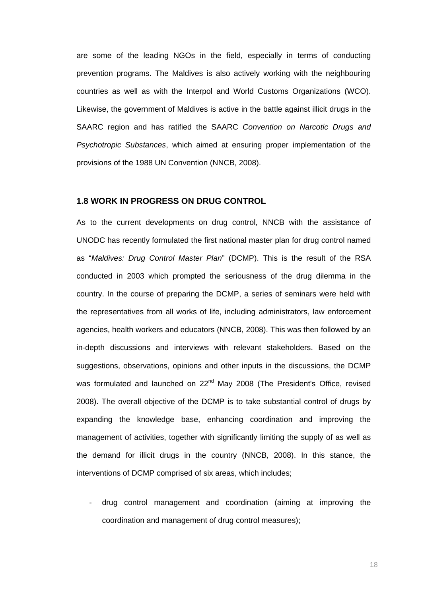are some of the leading NGOs in the field, especially in terms of conducting prevention programs. The Maldives is also actively working with the neighbouring countries as well as with the Interpol and World Customs Organizations (WCO). Likewise, the government of Maldives is active in the battle against illicit drugs in the SAARC region and has ratified the SAARC *Convention on Narcotic Drugs and Psychotropic Substances*, which aimed at ensuring proper implementation of the provisions of the 1988 UN Convention (NNCB, 2008).

#### **1.8 WORK IN PROGRESS ON DRUG CONTROL**

As to the current developments on drug control, NNCB with the assistance of UNODC has recently formulated the first national master plan for drug control named as "*Maldives: Drug Control Master Plan*" (DCMP). This is the result of the RSA conducted in 2003 which prompted the seriousness of the drug dilemma in the country. In the course of preparing the DCMP, a series of seminars were held with the representatives from all works of life, including administrators, law enforcement agencies, health workers and educators (NNCB, 2008). This was then followed by an in-depth discussions and interviews with relevant stakeholders. Based on the suggestions, observations, opinions and other inputs in the discussions, the DCMP was formulated and launched on 22<sup>nd</sup> May 2008 (The President's Office, revised 2008). The overall objective of the DCMP is to take substantial control of drugs by expanding the knowledge base, enhancing coordination and improving the management of activities, together with significantly limiting the supply of as well as the demand for illicit drugs in the country (NNCB, 2008). In this stance, the interventions of DCMP comprised of six areas, which includes;

- drug control management and coordination (aiming at improving the coordination and management of drug control measures);

18 and 18 and 18 and 18 and 18 and 18 and 18 and 18 and 18 and 18 and 18 and 18 and 18 and 18 and 18 and 18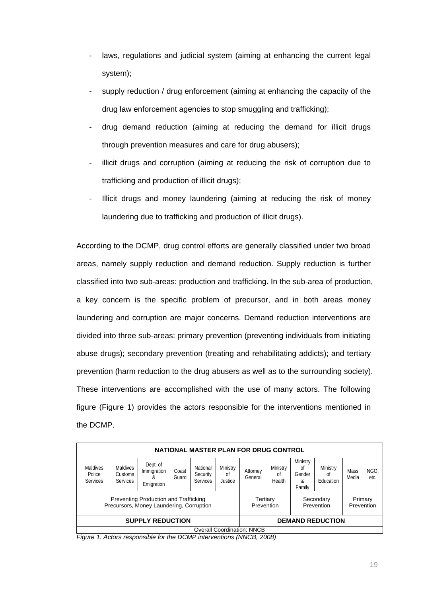- laws, regulations and judicial system (aiming at enhancing the current legal system);
- supply reduction / drug enforcement (aiming at enhancing the capacity of the drug law enforcement agencies to stop smuggling and trafficking);
- drug demand reduction (aiming at reducing the demand for illicit drugs through prevention measures and care for drug abusers);
- illicit drugs and corruption (aiming at reducing the risk of corruption due to trafficking and production of illicit drugs);
- Illicit drugs and money laundering (aiming at reducing the risk of money laundering due to trafficking and production of illicit drugs).

According to the DCMP, drug control efforts are generally classified under two broad areas, namely supply reduction and demand reduction. Supply reduction is further classified into two sub-areas: production and trafficking. In the sub-area of production, a key concern is the specific problem of precursor, and in both areas money laundering and corruption are major concerns. Demand reduction interventions are divided into three sub-areas: primary prevention (preventing individuals from initiating abuse drugs); secondary prevention (treating and rehabilitating addicts); and tertiary prevention (harm reduction to the drug abusers as well as to the surrounding society). These interventions are accomplished with the use of many actors. The following figure (Figure 1) provides the actors responsible for the interventions mentioned in the DCMP.

| NATIONAL MASTER PLAN FOR DRUG CONTROL                                             |                                        |                                             |                |                                                   |                           |                       |                          |                                         |                             |               |              |
|-----------------------------------------------------------------------------------|----------------------------------------|---------------------------------------------|----------------|---------------------------------------------------|---------------------------|-----------------------|--------------------------|-----------------------------------------|-----------------------------|---------------|--------------|
| <b>Maldives</b><br>Police<br><b>Services</b>                                      | Maldives<br>Customs<br><b>Services</b> | Dept. of<br>Immigration<br>х,<br>Emigration | Coast<br>Guard | National<br>Security<br><b>Services</b>           | Ministry<br>0t<br>Justice | Attorney<br>General   | Ministry<br>0t<br>Health | Ministry<br>0f<br>Gender<br>&<br>Family | Ministry<br>0t<br>Education | Mass<br>Media | NGO.<br>etc. |
| Preventing Production and Trafficking<br>Precursors, Money Laundering, Corruption |                                        |                                             |                | Tertiary<br>Secondary<br>Prevention<br>Prevention |                           | Primary<br>Prevention |                          |                                         |                             |               |              |
| <b>SUPPLY REDUCTION</b>                                                           |                                        |                                             |                | <b>DEMAND REDUCTION</b>                           |                           |                       |                          |                                         |                             |               |              |
| <b>Overall Coordination: NNCB</b>                                                 |                                        |                                             |                |                                                   |                           |                       |                          |                                         |                             |               |              |

*Figure 1: Actors responsible for the DCMP interventions (NNCB, 2008)*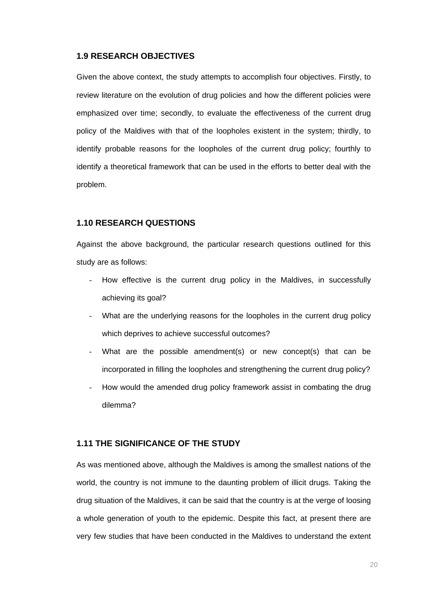### **1.9 RESEARCH OBJECTIVES**

Given the above context, the study attempts to accomplish four objectives. Firstly, to review literature on the evolution of drug policies and how the different policies were emphasized over time; secondly, to evaluate the effectiveness of the current drug policy of the Maldives with that of the loopholes existent in the system; thirdly, to identify probable reasons for the loopholes of the current drug policy; fourthly to identify a theoretical framework that can be used in the efforts to better deal with the problem.

## **1.10 RESEARCH QUESTIONS**

Against the above background, the particular research questions outlined for this study are as follows:

- How effective is the current drug policy in the Maldives, in successfully achieving its goal?
- What are the underlying reasons for the loopholes in the current drug policy which deprives to achieve successful outcomes?
- What are the possible amendment(s) or new concept(s) that can be incorporated in filling the loopholes and strengthening the current drug policy?
- How would the amended drug policy framework assist in combating the drug dilemma?

#### **1.11 THE SIGNIFICANCE OF THE STUDY**

As was mentioned above, although the Maldives is among the smallest nations of the world, the country is not immune to the daunting problem of illicit drugs. Taking the drug situation of the Maldives, it can be said that the country is at the verge of loosing a whole generation of youth to the epidemic. Despite this fact, at present there are very few studies that have been conducted in the Maldives to understand the extent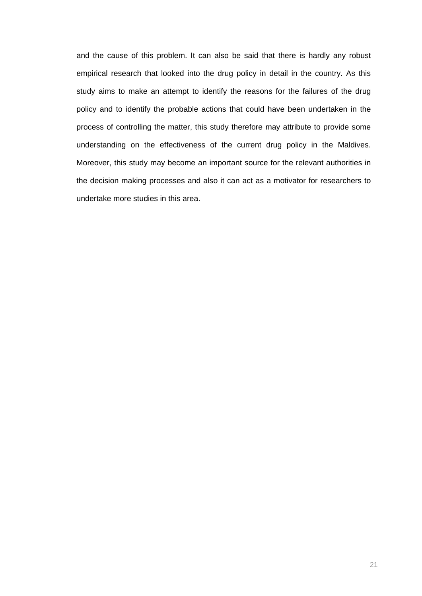and the cause of this problem. It can also be said that there is hardly any robust empirical research that looked into the drug policy in detail in the country. As this study aims to make an attempt to identify the reasons for the failures of the drug policy and to identify the probable actions that could have been undertaken in the process of controlling the matter, this study therefore may attribute to provide some understanding on the effectiveness of the current drug policy in the Maldives. Moreover, this study may become an important source for the relevant authorities in the decision making processes and also it can act as a motivator for researchers to undertake more studies in this area.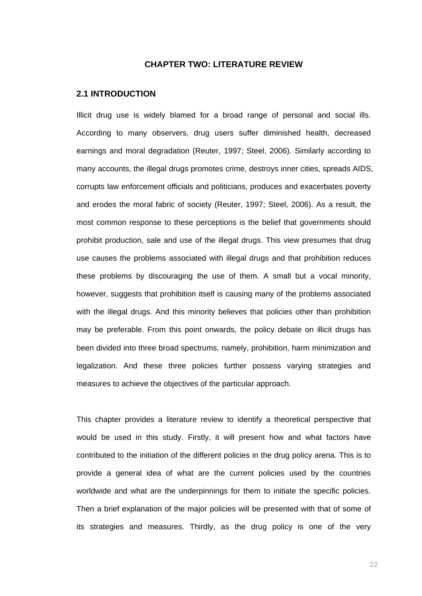#### **CHAPTER TWO: LITERATURE REVIEW**

#### **2.1 INTRODUCTION**

Illicit drug use is widely blamed for a broad range of personal and social ills. According to many observers, drug users suffer diminished health, decreased earnings and moral degradation (Reuter, 1997; Steel, 2006). Similarly according to many accounts, the illegal drugs promotes crime, destroys inner cities, spreads AIDS, corrupts law enforcement officials and politicians, produces and exacerbates poverty and erodes the moral fabric of society (Reuter, 1997; Steel, 2006). As a result, the most common response to these perceptions is the belief that governments should prohibit production, sale and use of the illegal drugs. This view presumes that drug use causes the problems associated with illegal drugs and that prohibition reduces these problems by discouraging the use of them. A small but a vocal minority, however, suggests that prohibition itself is causing many of the problems associated with the illegal drugs. And this minority believes that policies other than prohibition may be preferable. From this point onwards, the policy debate on illicit drugs has been divided into three broad spectrums, namely, prohibition, harm minimization and legalization. And these three policies further possess varying strategies and measures to achieve the objectives of the particular approach.

This chapter provides a literature review to identify a theoretical perspective that would be used in this study. Firstly, it will present how and what factors have contributed to the initiation of the different policies in the drug policy arena. This is to provide a general idea of what are the current policies used by the countries worldwide and what are the underpinnings for them to initiate the specific policies. Then a brief explanation of the major policies will be presented with that of some of its strategies and measures. Thirdly, as the drug policy is one of the very

<u>22 and 23 and 23 and 23 and 23 and 23 and 23 and 23 and 23 and 23 and 23 and 23 and 23 and 23 and 23 and 23 a</u>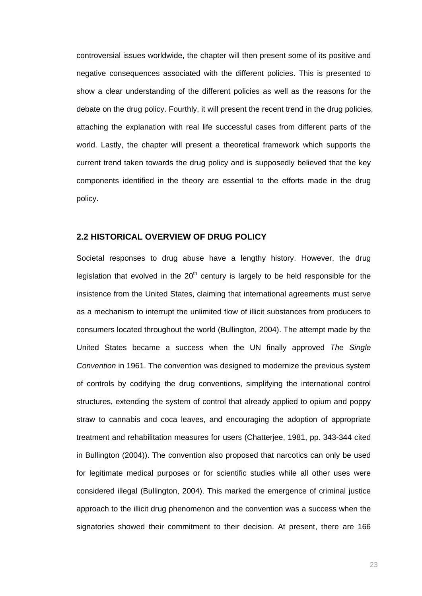controversial issues worldwide, the chapter will then present some of its positive and negative consequences associated with the different policies. This is presented to show a clear understanding of the different policies as well as the reasons for the debate on the drug policy. Fourthly, it will present the recent trend in the drug policies, attaching the explanation with real life successful cases from different parts of the world. Lastly, the chapter will present a theoretical framework which supports the current trend taken towards the drug policy and is supposedly believed that the key components identified in the theory are essential to the efforts made in the drug policy.

### **2.2 HISTORICAL OVERVIEW OF DRUG POLICY**

Societal responses to drug abuse have a lengthy history. However, the drug legislation that evolved in the  $20<sup>th</sup>$  century is largely to be held responsible for the insistence from the United States, claiming that international agreements must serve as a mechanism to interrupt the unlimited flow of illicit substances from producers to consumers located throughout the world (Bullington, 2004). The attempt made by the United States became a success when the UN finally approved *The Single Convention* in 1961. The convention was designed to modernize the previous system of controls by codifying the drug conventions, simplifying the international control structures, extending the system of control that already applied to opium and poppy straw to cannabis and coca leaves, and encouraging the adoption of appropriate treatment and rehabilitation measures for users (Chatterjee, 1981, pp. 343-344 cited in Bullington (2004)). The convention also proposed that narcotics can only be used for legitimate medical purposes or for scientific studies while all other uses were considered illegal (Bullington, 2004). This marked the emergence of criminal justice approach to the illicit drug phenomenon and the convention was a success when the signatories showed their commitment to their decision. At present, there are 166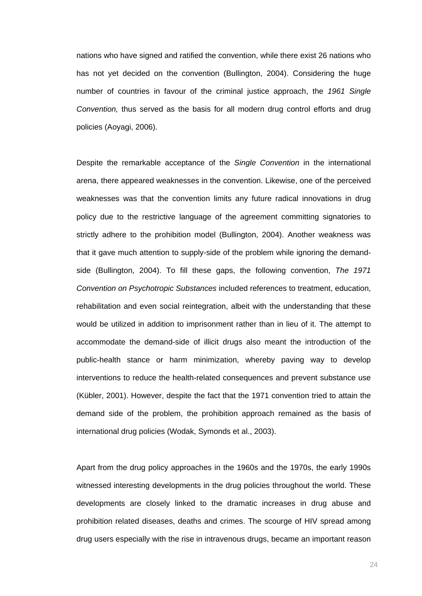nations who have signed and ratified the convention, while there exist 26 nations who has not yet decided on the convention (Bullington, 2004). Considering the huge number of countries in favour of the criminal justice approach, the *1961 Single Convention,* thus served as the basis for all modern drug control efforts and drug policies (Aoyagi, 2006).

Despite the remarkable acceptance of the *Single Convention* in the international arena, there appeared weaknesses in the convention. Likewise, one of the perceived weaknesses was that the convention limits any future radical innovations in drug policy due to the restrictive language of the agreement committing signatories to strictly adhere to the prohibition model (Bullington, 2004). Another weakness was that it gave much attention to supply-side of the problem while ignoring the demandside (Bullington, 2004). To fill these gaps, the following convention, *The 1971 Convention on Psychotropic Substances* included references to treatment, education, rehabilitation and even social reintegration, albeit with the understanding that these would be utilized in addition to imprisonment rather than in lieu of it. The attempt to accommodate the demand-side of illicit drugs also meant the introduction of the public-health stance or harm minimization, whereby paving way to develop interventions to reduce the health-related consequences and prevent substance use (Kübler, 2001). However, despite the fact that the 1971 convention tried to attain the demand side of the problem, the prohibition approach remained as the basis of international drug policies (Wodak, Symonds et al., 2003).

Apart from the drug policy approaches in the 1960s and the 1970s, the early 1990s witnessed interesting developments in the drug policies throughout the world. These developments are closely linked to the dramatic increases in drug abuse and prohibition related diseases, deaths and crimes. The scourge of HIV spread among drug users especially with the rise in intravenous drugs, became an important reason

24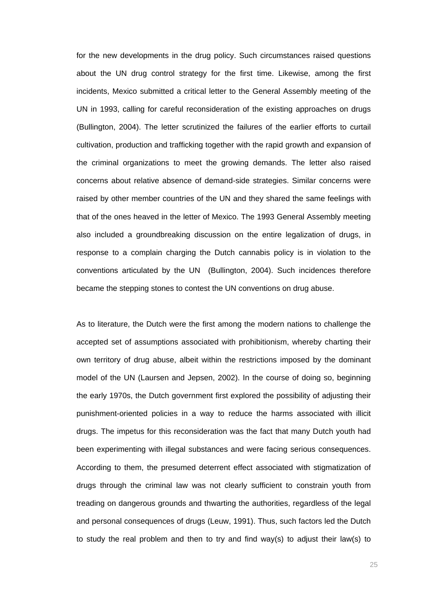for the new developments in the drug policy. Such circumstances raised questions about the UN drug control strategy for the first time. Likewise, among the first incidents, Mexico submitted a critical letter to the General Assembly meeting of the UN in 1993, calling for careful reconsideration of the existing approaches on drugs (Bullington, 2004). The letter scrutinized the failures of the earlier efforts to curtail cultivation, production and trafficking together with the rapid growth and expansion of the criminal organizations to meet the growing demands. The letter also raised concerns about relative absence of demand-side strategies. Similar concerns were raised by other member countries of the UN and they shared the same feelings with that of the ones heaved in the letter of Mexico. The 1993 General Assembly meeting also included a groundbreaking discussion on the entire legalization of drugs, in response to a complain charging the Dutch cannabis policy is in violation to the conventions articulated by the UN (Bullington, 2004). Such incidences therefore became the stepping stones to contest the UN conventions on drug abuse.

As to literature, the Dutch were the first among the modern nations to challenge the accepted set of assumptions associated with prohibitionism, whereby charting their own territory of drug abuse, albeit within the restrictions imposed by the dominant model of the UN (Laursen and Jepsen, 2002). In the course of doing so, beginning the early 1970s, the Dutch government first explored the possibility of adjusting their punishment-oriented policies in a way to reduce the harms associated with illicit drugs. The impetus for this reconsideration was the fact that many Dutch youth had been experimenting with illegal substances and were facing serious consequences. According to them, the presumed deterrent effect associated with stigmatization of drugs through the criminal law was not clearly sufficient to constrain youth from treading on dangerous grounds and thwarting the authorities, regardless of the legal and personal consequences of drugs (Leuw, 1991). Thus, such factors led the Dutch to study the real problem and then to try and find way(s) to adjust their law(s) to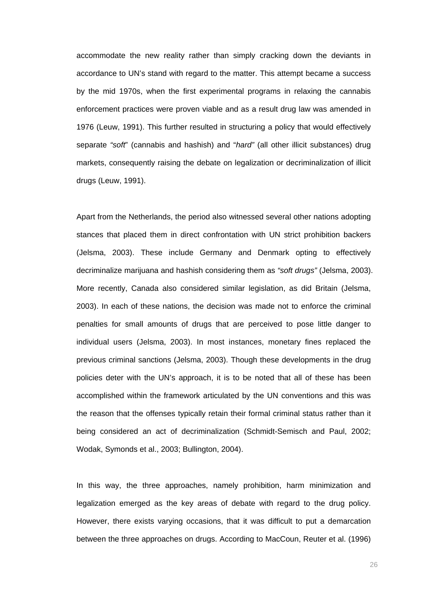accommodate the new reality rather than simply cracking down the deviants in accordance to UN's stand with regard to the matter. This attempt became a success by the mid 1970s, when the first experimental programs in relaxing the cannabis enforcement practices were proven viable and as a result drug law was amended in 1976 (Leuw, 1991). This further resulted in structuring a policy that would effectively separate *"soft*" (cannabis and hashish) and "*hard"* (all other illicit substances) drug markets, consequently raising the debate on legalization or decriminalization of illicit drugs (Leuw, 1991).

Apart from the Netherlands, the period also witnessed several other nations adopting stances that placed them in direct confrontation with UN strict prohibition backers (Jelsma, 2003). These include Germany and Denmark opting to effectively decriminalize marijuana and hashish considering them as *"soft drugs"* (Jelsma, 2003). More recently, Canada also considered similar legislation, as did Britain (Jelsma, 2003). In each of these nations, the decision was made not to enforce the criminal penalties for small amounts of drugs that are perceived to pose little danger to individual users (Jelsma, 2003). In most instances, monetary fines replaced the previous criminal sanctions (Jelsma, 2003). Though these developments in the drug policies deter with the UN's approach, it is to be noted that all of these has been accomplished within the framework articulated by the UN conventions and this was the reason that the offenses typically retain their formal criminal status rather than it being considered an act of decriminalization (Schmidt-Semisch and Paul, 2002; Wodak, Symonds et al., 2003; Bullington, 2004).

In this way, the three approaches, namely prohibition, harm minimization and legalization emerged as the key areas of debate with regard to the drug policy. However, there exists varying occasions, that it was difficult to put a demarcation between the three approaches on drugs. According to MacCoun, Reuter et al. (1996)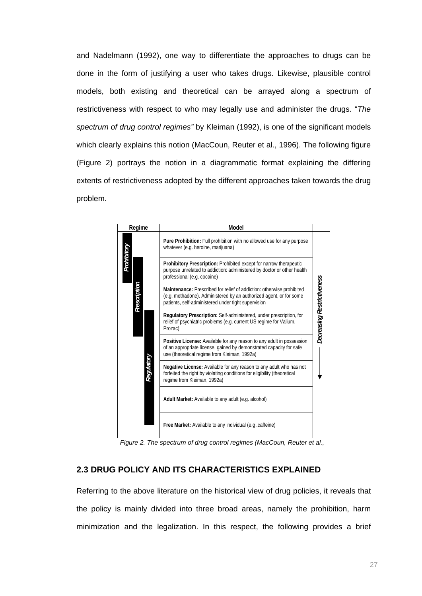and Nadelmann (1992), one way to differentiate the approaches to drugs can be done in the form of justifying a user who takes drugs. Likewise, plausible control models, both existing and theoretical can be arrayed along a spectrum of restrictiveness with respect to who may legally use and administer the drugs. "*The spectrum of drug control regimes"* by Kleiman (1992), is one of the significant models which clearly explains this notion (MacCoun, Reuter et al., 1996). The following figure (Figure 2) portrays the notion in a diagrammatic format explaining the differing extents of restrictiveness adopted by the different approaches taken towards the drug problem.

|                                                          | Regime                                    | Model                                                                                                                                                                                              |                            |  |
|----------------------------------------------------------|-------------------------------------------|----------------------------------------------------------------------------------------------------------------------------------------------------------------------------------------------------|----------------------------|--|
|                                                          | Prohibitory<br>Prescription<br>Regulatory | Pure Prohibition: Full prohibition with no allowed use for any purpose<br>whatever (e.g. heroine, marijuana)                                                                                       |                            |  |
|                                                          |                                           | Prohibitory Prescription: Prohibited except for narrow therapeutic<br>purpose unrelated to addiction: administered by doctor or other health<br>professional (e.g. cocaine)                        |                            |  |
|                                                          |                                           | Maintenance: Prescribed for relief of addiction: otherwise prohibited<br>(e.g. methadone). Administered by an authorized agent, or for some<br>patients, self-administered under tight supervision |                            |  |
|                                                          |                                           | Regulatory Prescription: Self-administered, under prescription, for<br>relief of psychiatric problems (e.g. current US regime for Valium,<br>Prozac)                                               | Decreasing Restrictiveness |  |
|                                                          |                                           | Positive License: Available for any reason to any adult in possession<br>of an appropriate license, gained by demonstrated capacity for safe<br>use (theoretical regime from Kleiman, 1992a)       |                            |  |
|                                                          |                                           | Negative License: Available for any reason to any adult who has not<br>forfeited the right by violating conditions for eligibility (theoretical<br>regime from Kleiman, 1992a)                     |                            |  |
|                                                          |                                           | Adult Market: Available to any adult (e.g. alcohol)                                                                                                                                                |                            |  |
|                                                          |                                           | Free Market: Available to any individual (e.g. caffeine)                                                                                                                                           |                            |  |
|                                                          |                                           | Figure 2. The spectrum of drug control regimes (MacCoun, Reuter et al.,                                                                                                                            |                            |  |
| <b>2.3 DRUG POLICY AND ITS CHARACTERISTICS EXPLAINED</b> |                                           |                                                                                                                                                                                                    |                            |  |
|                                                          |                                           | Referring to the above literature on the historical view of drug policies, it reveals that                                                                                                         |                            |  |
|                                                          |                                           | the policy is mainly divided into three broad areas, namely the prohibition, harm                                                                                                                  |                            |  |
|                                                          |                                           | minimization and the legalization. In this respect, the following provides a brief                                                                                                                 |                            |  |

*Figure 2. The spectrum of drug control regimes (MacCoun, Reuter et al.,* 

# **2.3 DRUG POLICY AND ITS CHARACTERISTICS EXPLAINED**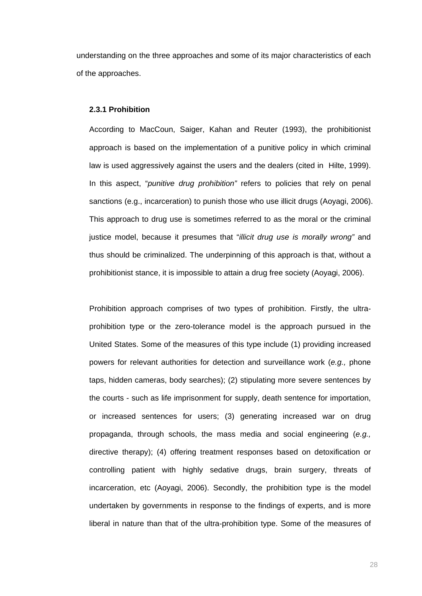understanding on the three approaches and some of its major characteristics of each of the approaches.

### **2.3.1 Prohibition**

According to MacCoun, Saiger, Kahan and Reuter (1993), the prohibitionist approach is based on the implementation of a punitive policy in which criminal law is used aggressively against the users and the dealers (cited in Hilte, 1999). In this aspect, "*punitive drug prohibition"* refers to policies that rely on penal sanctions (e.g., incarceration) to punish those who use illicit drugs (Aoyagi, 2006). This approach to drug use is sometimes referred to as the moral or the criminal justice model, because it presumes that "*illicit drug use is morally wrong"* and thus should be criminalized. The underpinning of this approach is that, without a prohibitionist stance, it is impossible to attain a drug free society (Aoyagi, 2006).

Prohibition approach comprises of two types of prohibition. Firstly, the ultraprohibition type or the zero-tolerance model is the approach pursued in the United States. Some of the measures of this type include (1) providing increased powers for relevant authorities for detection and surveillance work (*e.g.,* phone taps, hidden cameras, body searches); (2) stipulating more severe sentences by the courts - such as life imprisonment for supply, death sentence for importation, or increased sentences for users; (3) generating increased war on drug propaganda, through schools, the mass media and social engineering (*e.g.,* directive therapy); (4) offering treatment responses based on detoxification or controlling patient with highly sedative drugs, brain surgery, threats of incarceration, etc (Aoyagi, 2006). Secondly, the prohibition type is the model undertaken by governments in response to the findings of experts, and is more liberal in nature than that of the ultra-prohibition type. Some of the measures of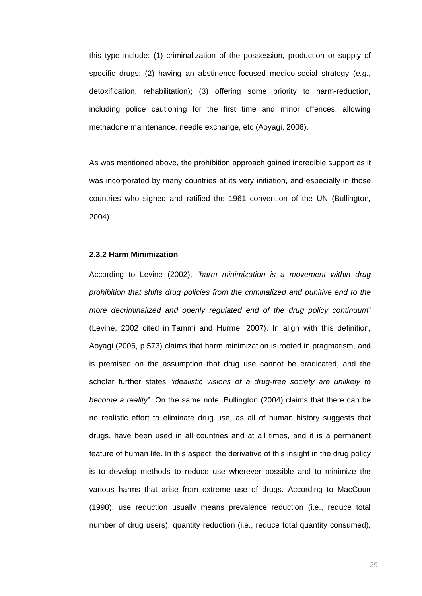this type include: (1) criminalization of the possession, production or supply of specific drugs; (2) having an abstinence-focused medico-social strategy (*e.g.,* detoxification, rehabilitation); (3) offering some priority to harm-reduction, including police cautioning for the first time and minor offences, allowing methadone maintenance, needle exchange, etc (Aoyagi, 2006).

As was mentioned above, the prohibition approach gained incredible support as it was incorporated by many countries at its very initiation, and especially in those countries who signed and ratified the 1961 convention of the UN (Bullington, 2004).

### **2.3.2 Harm Minimization**

According to Levine (2002), *"harm minimization is a movement within drug prohibition that shifts drug policies from the criminalized and punitive end to the more decriminalized and openly regulated end of the drug policy continuum*" (Levine, 2002 cited in Tammi and Hurme, 2007). In align with this definition, Aoyagi (2006, p.573) claims that harm minimization is rooted in pragmatism, and is premised on the assumption that drug use cannot be eradicated, and the scholar further states "*idealistic visions of a drug-free society are unlikely to become a reality*". On the same note, Bullington (2004) claims that there can be no realistic effort to eliminate drug use, as all of human history suggests that drugs, have been used in all countries and at all times, and it is a permanent feature of human life. In this aspect, the derivative of this insight in the drug policy is to develop methods to reduce use wherever possible and to minimize the various harms that arise from extreme use of drugs. According to MacCoun (1998), use reduction usually means prevalence reduction (i.e., reduce total number of drug users), quantity reduction (i.e., reduce total quantity consumed),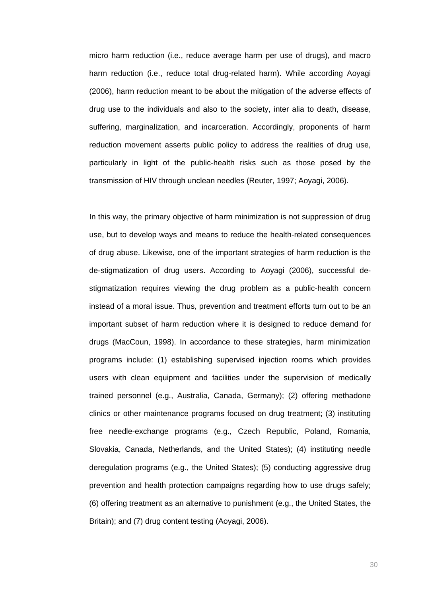micro harm reduction (i.e., reduce average harm per use of drugs), and macro harm reduction (i.e., reduce total drug-related harm). While according Aoyagi (2006), harm reduction meant to be about the mitigation of the adverse effects of drug use to the individuals and also to the society, inter alia to death, disease, suffering, marginalization, and incarceration. Accordingly, proponents of harm reduction movement asserts public policy to address the realities of drug use, particularly in light of the public-health risks such as those posed by the transmission of HIV through unclean needles (Reuter, 1997; Aoyagi, 2006).

In this way, the primary objective of harm minimization is not suppression of drug use, but to develop ways and means to reduce the health-related consequences of drug abuse. Likewise, one of the important strategies of harm reduction is the de-stigmatization of drug users. According to Aoyagi (2006), successful destigmatization requires viewing the drug problem as a public-health concern instead of a moral issue. Thus, prevention and treatment efforts turn out to be an important subset of harm reduction where it is designed to reduce demand for drugs (MacCoun, 1998). In accordance to these strategies, harm minimization programs include: (1) establishing supervised injection rooms which provides users with clean equipment and facilities under the supervision of medically trained personnel (e.g., Australia, Canada, Germany); (2) offering methadone clinics or other maintenance programs focused on drug treatment; (3) instituting free needle-exchange programs (e.g., Czech Republic, Poland, Romania, Slovakia, Canada, Netherlands, and the United States); (4) instituting needle deregulation programs (e.g., the United States); (5) conducting aggressive drug prevention and health protection campaigns regarding how to use drugs safely; (6) offering treatment as an alternative to punishment (e.g., the United States, the Britain); and (7) drug content testing (Aoyagi, 2006).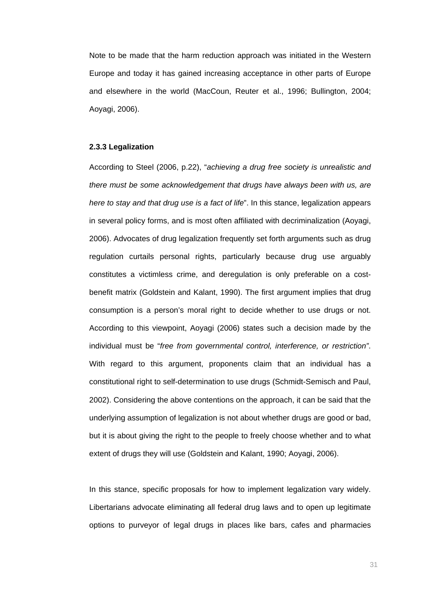Note to be made that the harm reduction approach was initiated in the Western Europe and today it has gained increasing acceptance in other parts of Europe and elsewhere in the world (MacCoun, Reuter et al., 1996; Bullington, 2004; Aoyagi, 2006).

#### **2.3.3 Legalization**

According to Steel (2006, p.22), "*achieving a drug free society is unrealistic and there must be some acknowledgement that drugs have always been with us, are here to stay and that drug use is a fact of life*". In this stance, legalization appears in several policy forms, and is most often affiliated with decriminalization (Aoyagi, 2006). Advocates of drug legalization frequently set forth arguments such as drug regulation curtails personal rights, particularly because drug use arguably constitutes a victimless crime, and deregulation is only preferable on a costbenefit matrix (Goldstein and Kalant, 1990). The first argument implies that drug consumption is a person's moral right to decide whether to use drugs or not. According to this viewpoint, Aoyagi (2006) states such a decision made by the individual must be "*free from governmental control, interference, or restriction"*. With regard to this argument, proponents claim that an individual has a constitutional right to self-determination to use drugs (Schmidt-Semisch and Paul, 2002). Considering the above contentions on the approach, it can be said that the underlying assumption of legalization is not about whether drugs are good or bad, but it is about giving the right to the people to freely choose whether and to what extent of drugs they will use (Goldstein and Kalant, 1990; Aoyagi, 2006).

In this stance, specific proposals for how to implement legalization vary widely. Libertarians advocate eliminating all federal drug laws and to open up legitimate options to purveyor of legal drugs in places like bars, cafes and pharmacies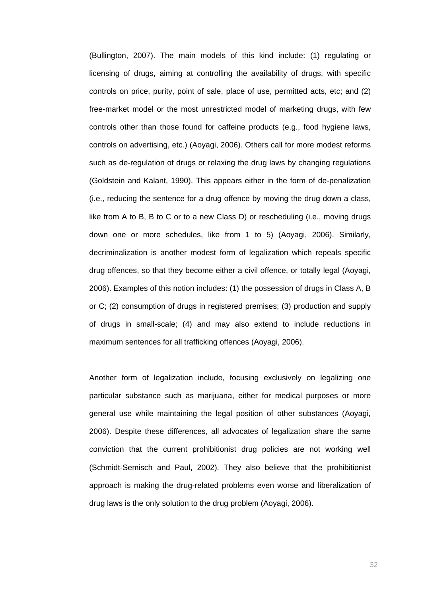(Bullington, 2007). The main models of this kind include: (1) regulating or licensing of drugs, aiming at controlling the availability of drugs, with specific controls on price, purity, point of sale, place of use, permitted acts, etc; and (2) free-market model or the most unrestricted model of marketing drugs, with few controls other than those found for caffeine products (e.g., food hygiene laws, controls on advertising, etc.) (Aoyagi, 2006). Others call for more modest reforms such as de-regulation of drugs or relaxing the drug laws by changing regulations (Goldstein and Kalant, 1990). This appears either in the form of de-penalization (i.e., reducing the sentence for a drug offence by moving the drug down a class, like from A to B, B to C or to a new Class D) or rescheduling (i.e., moving drugs down one or more schedules, like from 1 to 5) (Aoyagi, 2006). Similarly, decriminalization is another modest form of legalization which repeals specific drug offences, so that they become either a civil offence, or totally legal (Aoyagi, 2006). Examples of this notion includes: (1) the possession of drugs in Class A, B or C; (2) consumption of drugs in registered premises; (3) production and supply of drugs in small-scale; (4) and may also extend to include reductions in maximum sentences for all trafficking offences (Aoyagi, 2006).

Another form of legalization include, focusing exclusively on legalizing one particular substance such as marijuana, either for medical purposes or more general use while maintaining the legal position of other substances (Aoyagi, 2006). Despite these differences, all advocates of legalization share the same conviction that the current prohibitionist drug policies are not working well (Schmidt-Semisch and Paul, 2002). They also believe that the prohibitionist approach is making the drug-related problems even worse and liberalization of drug laws is the only solution to the drug problem (Aoyagi, 2006).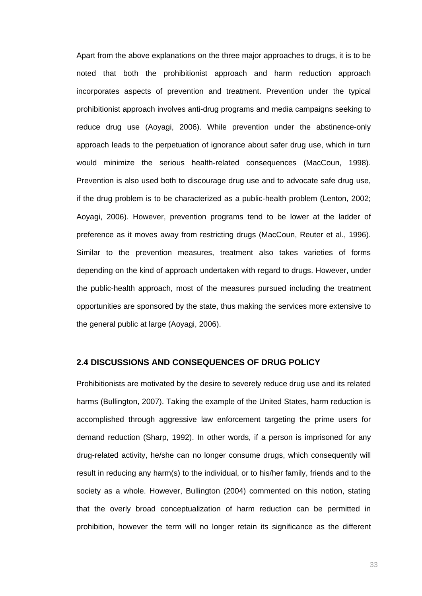Apart from the above explanations on the three major approaches to drugs, it is to be noted that both the prohibitionist approach and harm reduction approach incorporates aspects of prevention and treatment. Prevention under the typical prohibitionist approach involves anti-drug programs and media campaigns seeking to reduce drug use (Aoyagi, 2006). While prevention under the abstinence-only approach leads to the perpetuation of ignorance about safer drug use, which in turn would minimize the serious health-related consequences (MacCoun, 1998). Prevention is also used both to discourage drug use and to advocate safe drug use, if the drug problem is to be characterized as a public-health problem (Lenton, 2002; Aoyagi, 2006). However, prevention programs tend to be lower at the ladder of preference as it moves away from restricting drugs (MacCoun, Reuter et al., 1996). Similar to the prevention measures, treatment also takes varieties of forms depending on the kind of approach undertaken with regard to drugs. However, under the public-health approach, most of the measures pursued including the treatment opportunities are sponsored by the state, thus making the services more extensive to the general public at large (Aoyagi, 2006).

# **2.4 DISCUSSIONS AND CONSEQUENCES OF DRUG POLICY**

Prohibitionists are motivated by the desire to severely reduce drug use and its related harms (Bullington, 2007). Taking the example of the United States, harm reduction is accomplished through aggressive law enforcement targeting the prime users for demand reduction (Sharp, 1992). In other words, if a person is imprisoned for any drug-related activity, he/she can no longer consume drugs, which consequently will result in reducing any harm(s) to the individual, or to his/her family, friends and to the society as a whole. However, Bullington (2004) commented on this notion, stating that the overly broad conceptualization of harm reduction can be permitted in prohibition, however the term will no longer retain its significance as the different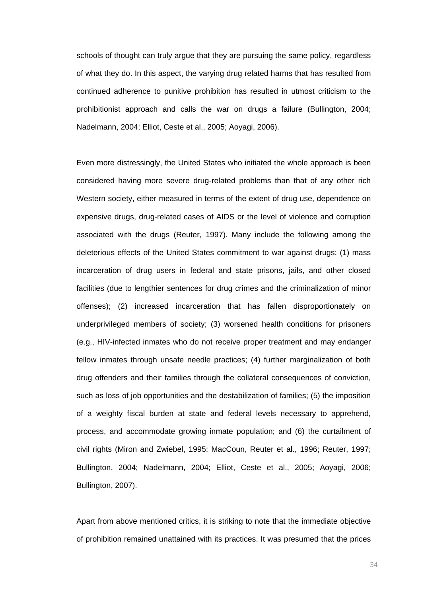schools of thought can truly argue that they are pursuing the same policy, regardless of what they do. In this aspect, the varying drug related harms that has resulted from continued adherence to punitive prohibition has resulted in utmost criticism to the prohibitionist approach and calls the war on drugs a failure (Bullington, 2004; Nadelmann, 2004; Elliot, Ceste et al., 2005; Aoyagi, 2006).

Even more distressingly, the United States who initiated the whole approach is been considered having more severe drug-related problems than that of any other rich Western society, either measured in terms of the extent of drug use, dependence on expensive drugs, drug-related cases of AIDS or the level of violence and corruption associated with the drugs (Reuter, 1997). Many include the following among the deleterious effects of the United States commitment to war against drugs: (1) mass incarceration of drug users in federal and state prisons, jails, and other closed facilities (due to lengthier sentences for drug crimes and the criminalization of minor offenses); (2) increased incarceration that has fallen disproportionately on underprivileged members of society; (3) worsened health conditions for prisoners (e.g., HIV-infected inmates who do not receive proper treatment and may endanger fellow inmates through unsafe needle practices; (4) further marginalization of both drug offenders and their families through the collateral consequences of conviction, such as loss of job opportunities and the destabilization of families; (5) the imposition of a weighty fiscal burden at state and federal levels necessary to apprehend, process, and accommodate growing inmate population; and (6) the curtailment of civil rights (Miron and Zwiebel, 1995; MacCoun, Reuter et al., 1996; Reuter, 1997; Bullington, 2004; Nadelmann, 2004; Elliot, Ceste et al., 2005; Aoyagi, 2006; Bullington, 2007).

Apart from above mentioned critics, it is striking to note that the immediate objective of prohibition remained unattained with its practices. It was presumed that the prices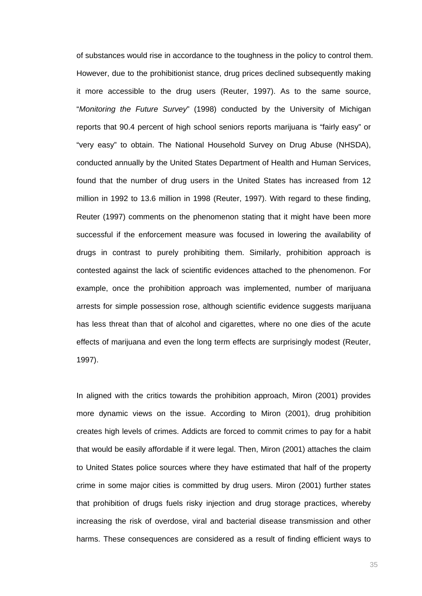of substances would rise in accordance to the toughness in the policy to control them. However, due to the prohibitionist stance, drug prices declined subsequently making it more accessible to the drug users (Reuter, 1997). As to the same source, "*Monitoring the Future Survey*" (1998) conducted by the University of Michigan reports that 90.4 percent of high school seniors reports marijuana is "fairly easy" or "very easy" to obtain. The National Household Survey on Drug Abuse (NHSDA), conducted annually by the United States Department of Health and Human Services, found that the number of drug users in the United States has increased from 12 million in 1992 to 13.6 million in 1998 (Reuter, 1997). With regard to these finding, Reuter (1997) comments on the phenomenon stating that it might have been more successful if the enforcement measure was focused in lowering the availability of drugs in contrast to purely prohibiting them. Similarly, prohibition approach is contested against the lack of scientific evidences attached to the phenomenon. For example, once the prohibition approach was implemented, number of marijuana arrests for simple possession rose, although scientific evidence suggests marijuana has less threat than that of alcohol and cigarettes, where no one dies of the acute effects of marijuana and even the long term effects are surprisingly modest (Reuter, 1997).

In aligned with the critics towards the prohibition approach, Miron (2001) provides more dynamic views on the issue. According to Miron (2001), drug prohibition creates high levels of crimes. Addicts are forced to commit crimes to pay for a habit that would be easily affordable if it were legal. Then, Miron (2001) attaches the claim to United States police sources where they have estimated that half of the property crime in some major cities is committed by drug users. Miron (2001) further states that prohibition of drugs fuels risky injection and drug storage practices, whereby increasing the risk of overdose, viral and bacterial disease transmission and other harms. These consequences are considered as a result of finding efficient ways to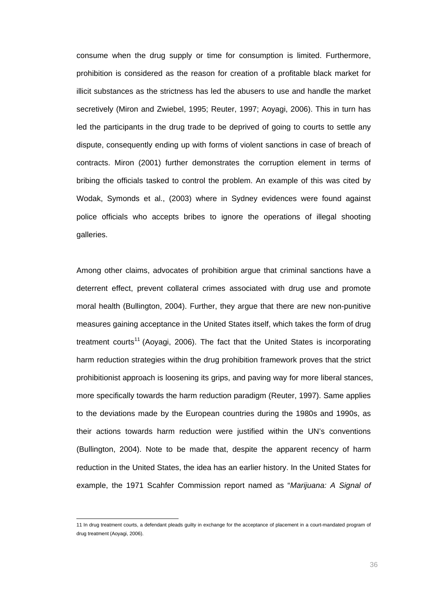consume when the drug supply or time for consumption is limited. Furthermore, prohibition is considered as the reason for creation of a profitable black market for illicit substances as the strictness has led the abusers to use and handle the market secretively (Miron and Zwiebel, 1995; Reuter, 1997; Aoyagi, 2006). This in turn has led the participants in the drug trade to be deprived of going to courts to settle any dispute, consequently ending up with forms of violent sanctions in case of breach of contracts. Miron (2001) further demonstrates the corruption element in terms of bribing the officials tasked to control the problem. An example of this was cited by Wodak, Symonds et al., (2003) where in Sydney evidences were found against police officials who accepts bribes to ignore the operations of illegal shooting galleries.

Among other claims, advocates of prohibition argue that criminal sanctions have a deterrent effect, prevent collateral crimes associated with drug use and promote moral health (Bullington, 2004). Further, they argue that there are new non-punitive measures gaining acceptance in the United States itself, which takes the form of drug treatment courts<sup>11</sup> (Aoyagi, 2006). The fact that the United States is incorporating harm reduction strategies within the drug prohibition framework proves that the strict prohibitionist approach is loosening its grips, and paving way for more liberal stances, more specifically towards the harm reduction paradigm (Reuter, 1997). Same applies to the deviations made by the European countries during the 1980s and 1990s, as their actions towards harm reduction were justified within the UN's conventions (Bullington, 2004). Note to be made that, despite the apparent recency of harm reduction in the United States, the idea has an earlier history. In the United States for example, the 1971 Scahfer Commission report named as "*Marijuana: A Signal of* 

 11 In drug treatment courts, a defendant pleads guilty in exchange for the acceptance of placement in a court-mandated program of drug treatment (Aoyagi, 2006).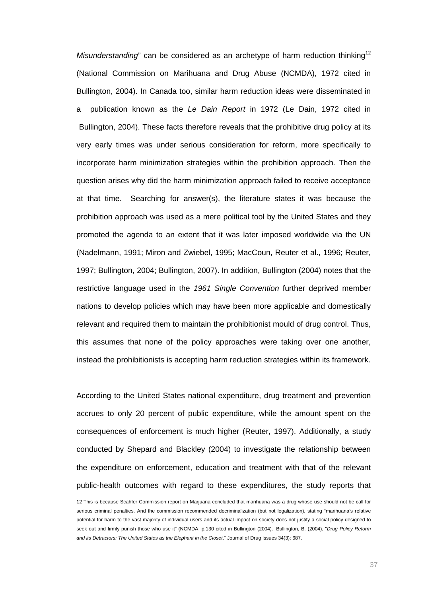*Misunderstanding*" can be considered as an archetype of harm reduction thinking<sup>12</sup> (National Commission on Marihuana and Drug Abuse (NCMDA), 1972 cited in Bullington, 2004). In Canada too, similar harm reduction ideas were disseminated in a publication known as the *Le Dain Report* in 1972 (Le Dain, 1972 cited in Bullington, 2004). These facts therefore reveals that the prohibitive drug policy at its very early times was under serious consideration for reform, more specifically to incorporate harm minimization strategies within the prohibition approach. Then the question arises why did the harm minimization approach failed to receive acceptance at that time. Searching for answer(s), the literature states it was because the prohibition approach was used as a mere political tool by the United States and they promoted the agenda to an extent that it was later imposed worldwide via the UN (Nadelmann, 1991; Miron and Zwiebel, 1995; MacCoun, Reuter et al., 1996; Reuter, 1997; Bullington, 2004; Bullington, 2007). In addition, Bullington (2004) notes that the restrictive language used in the *1961 Single Convention* further deprived member nations to develop policies which may have been more applicable and domestically relevant and required them to maintain the prohibitionist mould of drug control. Thus, this assumes that none of the policy approaches were taking over one another, instead the prohibitionists is accepting harm reduction strategies within its framework.

According to the United States national expenditure, drug treatment and prevention accrues to only 20 percent of public expenditure, while the amount spent on the consequences of enforcement is much higher (Reuter, 1997). Additionally, a study conducted by Shepard and Blackley (2004) to investigate the relationship between the expenditure on enforcement, education and treatment with that of the relevant public-health outcomes with regard to these expenditures, the study reports that

 12 This is because Scahfer Commission report on Marjuana concluded that marihuana was a drug whose use should not be call for serious criminal penalties. And the commission recommended decriminalization (but not legalization), stating "marihuana's relative potential for harm to the vast majority of individual users and its actual impact on society does not justify a social policy designed to seek out and firmly punish those who use it" (NCMDA, p.130 cited in Bullington (2004). Bullington, B. (2004), "*Drug Policy Reform and its Detractors: The United States as the Elephant in the Closet*." Journal of Drug Issues 34(3): 687.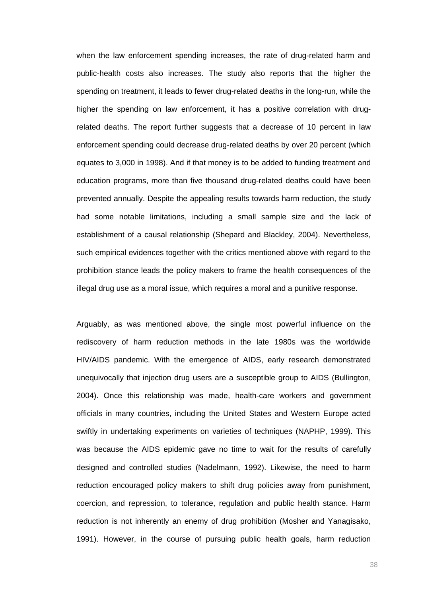when the law enforcement spending increases, the rate of drug-related harm and public-health costs also increases. The study also reports that the higher the spending on treatment, it leads to fewer drug-related deaths in the long-run, while the higher the spending on law enforcement, it has a positive correlation with drugrelated deaths. The report further suggests that a decrease of 10 percent in law enforcement spending could decrease drug-related deaths by over 20 percent (which equates to 3,000 in 1998). And if that money is to be added to funding treatment and education programs, more than five thousand drug-related deaths could have been prevented annually. Despite the appealing results towards harm reduction, the study had some notable limitations, including a small sample size and the lack of establishment of a causal relationship (Shepard and Blackley, 2004). Nevertheless, such empirical evidences together with the critics mentioned above with regard to the prohibition stance leads the policy makers to frame the health consequences of the illegal drug use as a moral issue, which requires a moral and a punitive response.

Arguably, as was mentioned above, the single most powerful influence on the rediscovery of harm reduction methods in the late 1980s was the worldwide HIV/AIDS pandemic. With the emergence of AIDS, early research demonstrated unequivocally that injection drug users are a susceptible group to AIDS (Bullington, 2004). Once this relationship was made, health-care workers and government officials in many countries, including the United States and Western Europe acted swiftly in undertaking experiments on varieties of techniques (NAPHP, 1999). This was because the AIDS epidemic gave no time to wait for the results of carefully designed and controlled studies (Nadelmann, 1992). Likewise, the need to harm reduction encouraged policy makers to shift drug policies away from punishment, coercion, and repression, to tolerance, regulation and public health stance. Harm reduction is not inherently an enemy of drug prohibition (Mosher and Yanagisako, 1991). However, in the course of pursuing public health goals, harm reduction

ан в село в село во село во село во село во село во село во село во село во село во село во село во село во се<br>Во село во село во село во село во село во село во село во село во село во село во село во село во село во сел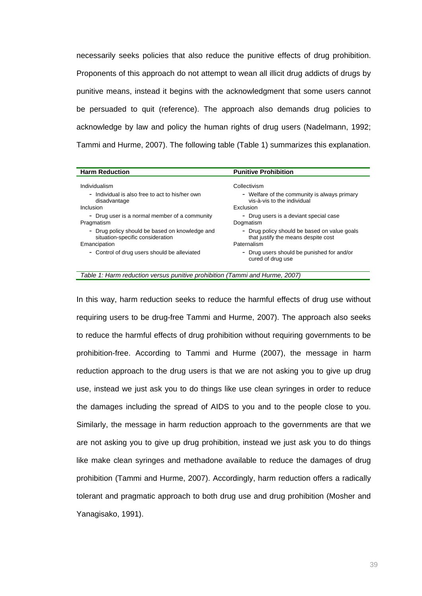necessarily seeks policies that also reduce the punitive effects of drug prohibition. Proponents of this approach do not attempt to wean all illicit drug addicts of drugs by punitive means, instead it begins with the acknowledgment that some users cannot be persuaded to quit (reference). The approach also demands drug policies to acknowledge by law and policy the human rights of drug users (Nadelmann, 1992; Tammi and Hurme, 2007). The following table (Table 1) summarizes this explanation.

| <b>Harm Reduction</b>                           | <b>Punitive Prohibition</b>                                         |
|-------------------------------------------------|---------------------------------------------------------------------|
| Individualism                                   | Collectivism                                                        |
| - Individual is also free to act to his/her own | - Welfare of the community is always primary                        |
| disadvantage                                    | vis-à-vis to the individual                                         |
| Inclusion                                       | Exclusion                                                           |
| - Drug user is a normal member of a community   | - Drug users is a deviant special case                              |
| Pragmatism                                      | Dogmatism                                                           |
| - Drug policy should be based on knowledge and  | - Drug policy should be based on value goals                        |
| situation-specific consideration                | that justify the means despite cost                                 |
| Emancipation                                    | Paternalism                                                         |
| - Control of drug users should be alleviated    | Drug users should be punished for and/or<br>Ξ.<br>cured of drug use |

*Table 1: Harm reduction versus punitive prohibition (Tammi and Hurme, 2007)*

In this way, harm reduction seeks to reduce the harmful effects of drug use without requiring users to be drug-free Tammi and Hurme, 2007). The approach also seeks to reduce the harmful effects of drug prohibition without requiring governments to be prohibition-free. According to Tammi and Hurme (2007), the message in harm reduction approach to the drug users is that we are not asking you to give up drug use, instead we just ask you to do things like use clean syringes in order to reduce the damages including the spread of AIDS to you and to the people close to you. Similarly, the message in harm reduction approach to the governments are that we are not asking you to give up drug prohibition, instead we just ask you to do things like make clean syringes and methadone available to reduce the damages of drug prohibition (Tammi and Hurme, 2007). Accordingly, harm reduction offers a radically tolerant and pragmatic approach to both drug use and drug prohibition (Mosher and Yanagisako, 1991).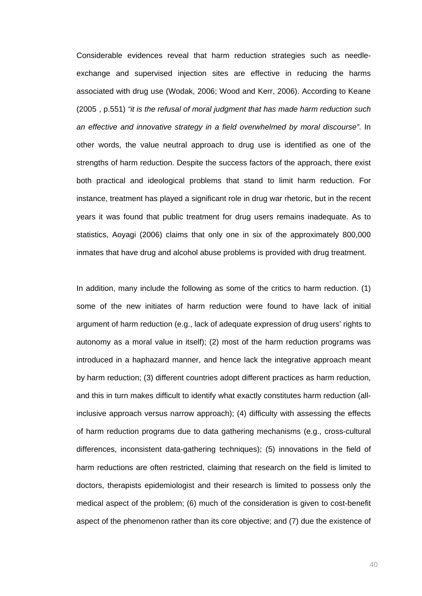Considerable evidences reveal that harm reduction strategies such as needleexchange and supervised injection sites are effective in reducing the harms associated with drug use (Wodak, 2006; Wood and Kerr, 2006). According to Keane (2005), p.551) *"it is the refusal of moral judgment that has made harm reduction such an effective and innovative strategy in a field overwhelmed by moral discourse"*. In other words, the value neutral approach to drug use is identified as one of the strengths of harm reduction. Despite the success factors of the approach, there exist both practical and ideological problems that stand to limit harm reduction. For instance, treatment has played a significant role in drug war rhetoric, but in the recent years it was found that public treatment for drug users remains inadequate. As to statistics, Aoyagi (2006) claims that only one in six of the approximately 800,000 inmates that have drug and alcohol abuse problems is provided with drug treatment.

In addition, many include the following as some of the critics to harm reduction. (1) some of the new initiates of harm reduction were found to have lack of initial argument of harm reduction (e.g., lack of adequate expression of drug users' rights to autonomy as a moral value in itself); (2) most of the harm reduction programs was introduced in a haphazard manner, and hence lack the integrative approach meant by harm reduction; (3) different countries adopt different practices as harm reduction, and this in turn makes difficult to identify what exactly constitutes harm reduction (allinclusive approach versus narrow approach); (4) difficulty with assessing the effects of harm reduction programs due to data gathering mechanisms (e.g., cross-cultural differences, inconsistent data-gathering techniques); (5) innovations in the field of harm reductions are often restricted, claiming that research on the field is limited to doctors, therapists epidemiologist and their research is limited to possess only the medical aspect of the problem; (6) much of the consideration is given to cost-benefit aspect of the phenomenon rather than its core objective; and (7) due the existence of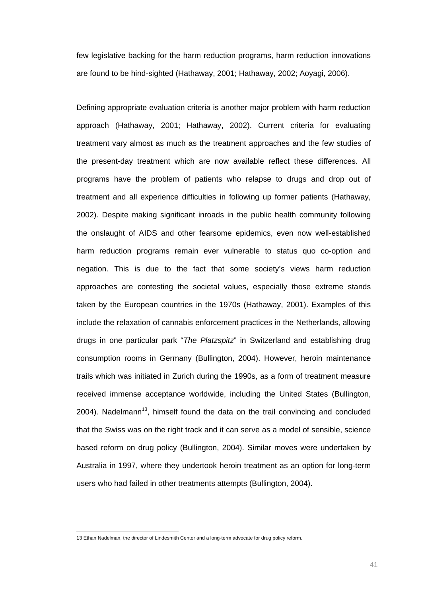few legislative backing for the harm reduction programs, harm reduction innovations are found to be hind-sighted (Hathaway, 2001; Hathaway, 2002; Aoyagi, 2006).

Defining appropriate evaluation criteria is another major problem with harm reduction approach (Hathaway, 2001; Hathaway, 2002). Current criteria for evaluating treatment vary almost as much as the treatment approaches and the few studies of the present-day treatment which are now available reflect these differences. All programs have the problem of patients who relapse to drugs and drop out of treatment and all experience difficulties in following up former patients (Hathaway, 2002). Despite making significant inroads in the public health community following the onslaught of AIDS and other fearsome epidemics, even now well-established harm reduction programs remain ever vulnerable to status quo co-option and negation. This is due to the fact that some society's views harm reduction approaches are contesting the societal values, especially those extreme stands taken by the European countries in the 1970s (Hathaway, 2001). Examples of this include the relaxation of cannabis enforcement practices in the Netherlands, allowing drugs in one particular park "*The Platzspitz*" in Switzerland and establishing drug consumption rooms in Germany (Bullington, 2004). However, heroin maintenance trails which was initiated in Zurich during the 1990s, as a form of treatment measure received immense acceptance worldwide, including the United States (Bullington, 2004). Nadelmann<sup>13</sup>, himself found the data on the trail convincing and concluded that the Swiss was on the right track and it can serve as a model of sensible, science based reform on drug policy (Bullington, 2004). Similar moves were undertaken by Australia in 1997, where they undertook heroin treatment as an option for long-term users who had failed in other treatments attempts (Bullington, 2004).

 13 Ethan Nadelman, the director of Lindesmith Center and a long-term advocate for drug policy reform.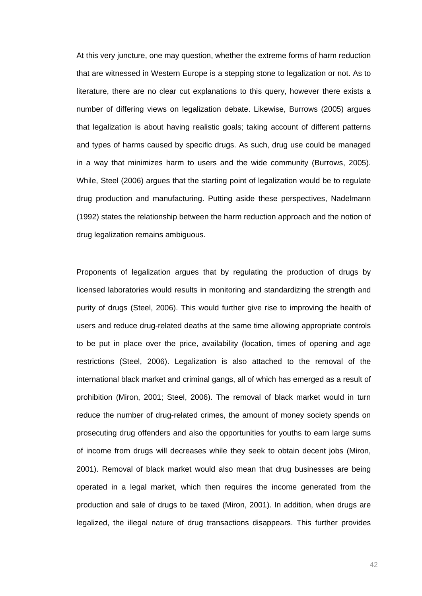At this very juncture, one may question, whether the extreme forms of harm reduction that are witnessed in Western Europe is a stepping stone to legalization or not. As to literature, there are no clear cut explanations to this query, however there exists a number of differing views on legalization debate. Likewise, Burrows (2005) argues that legalization is about having realistic goals; taking account of different patterns and types of harms caused by specific drugs. As such, drug use could be managed in a way that minimizes harm to users and the wide community (Burrows, 2005). While, Steel (2006) argues that the starting point of legalization would be to regulate drug production and manufacturing. Putting aside these perspectives, Nadelmann (1992) states the relationship between the harm reduction approach and the notion of drug legalization remains ambiguous.

Proponents of legalization argues that by regulating the production of drugs by licensed laboratories would results in monitoring and standardizing the strength and purity of drugs (Steel, 2006). This would further give rise to improving the health of users and reduce drug-related deaths at the same time allowing appropriate controls to be put in place over the price, availability (location, times of opening and age restrictions (Steel, 2006). Legalization is also attached to the removal of the international black market and criminal gangs, all of which has emerged as a result of prohibition (Miron, 2001; Steel, 2006). The removal of black market would in turn reduce the number of drug-related crimes, the amount of money society spends on prosecuting drug offenders and also the opportunities for youths to earn large sums of income from drugs will decreases while they seek to obtain decent jobs (Miron, 2001). Removal of black market would also mean that drug businesses are being operated in a legal market, which then requires the income generated from the production and sale of drugs to be taxed (Miron, 2001). In addition, when drugs are legalized, the illegal nature of drug transactions disappears. This further provides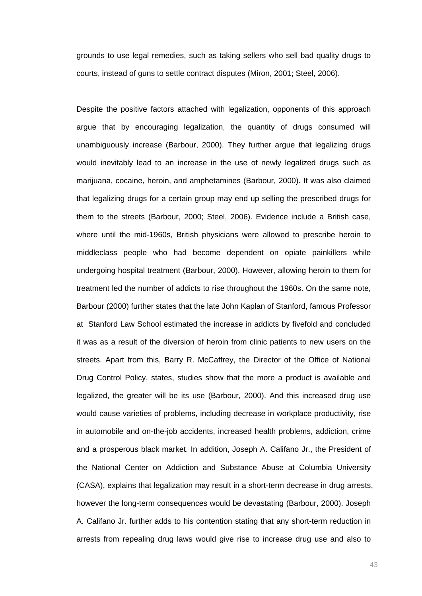grounds to use legal remedies, such as taking sellers who sell bad quality drugs to courts, instead of guns to settle contract disputes (Miron, 2001; Steel, 2006).

Despite the positive factors attached with legalization, opponents of this approach argue that by encouraging legalization, the quantity of drugs consumed will unambiguously increase (Barbour, 2000). They further argue that legalizing drugs would inevitably lead to an increase in the use of newly legalized drugs such as marijuana, cocaine, heroin, and amphetamines (Barbour, 2000). It was also claimed that legalizing drugs for a certain group may end up selling the prescribed drugs for them to the streets (Barbour, 2000; Steel, 2006). Evidence include a British case, where until the mid-1960s, British physicians were allowed to prescribe heroin to middleclass people who had become dependent on opiate painkillers while undergoing hospital treatment (Barbour, 2000). However, allowing heroin to them for treatment led the number of addicts to rise throughout the 1960s. On the same note, Barbour (2000) further states that the late John Kaplan of Stanford, famous Professor at Stanford Law School estimated the increase in addicts by fivefold and concluded it was as a result of the diversion of heroin from clinic patients to new users on the streets. Apart from this, Barry R. McCaffrey, the Director of the Office of National Drug Control Policy, states, studies show that the more a product is available and legalized, the greater will be its use (Barbour, 2000). And this increased drug use would cause varieties of problems, including decrease in workplace productivity, rise in automobile and on-the-job accidents, increased health problems, addiction, crime and a prosperous black market. In addition, Joseph A. Califano Jr., the President of the National Center on Addiction and Substance Abuse at Columbia University (CASA), explains that legalization may result in a short-term decrease in drug arrests, however the long-term consequences would be devastating (Barbour, 2000). Joseph A. Califano Jr. further adds to his contention stating that any short-term reduction in arrests from repealing drug laws would give rise to increase drug use and also to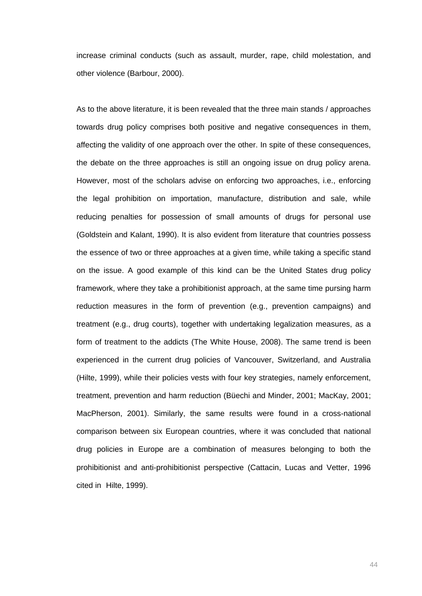increase criminal conducts (such as assault, murder, rape, child molestation, and other violence (Barbour, 2000).

As to the above literature, it is been revealed that the three main stands / approaches towards drug policy comprises both positive and negative consequences in them, affecting the validity of one approach over the other. In spite of these consequences, the debate on the three approaches is still an ongoing issue on drug policy arena. However, most of the scholars advise on enforcing two approaches, i.e., enforcing the legal prohibition on importation, manufacture, distribution and sale, while reducing penalties for possession of small amounts of drugs for personal use (Goldstein and Kalant, 1990). It is also evident from literature that countries possess the essence of two or three approaches at a given time, while taking a specific stand on the issue. A good example of this kind can be the United States drug policy framework, where they take a prohibitionist approach, at the same time pursing harm reduction measures in the form of prevention (e.g., prevention campaigns) and treatment (e.g., drug courts), together with undertaking legalization measures, as a form of treatment to the addicts (The White House, 2008). The same trend is been experienced in the current drug policies of Vancouver, Switzerland, and Australia (Hilte, 1999), while their policies vests with four key strategies, namely enforcement, treatment, prevention and harm reduction (Büechi and Minder, 2001; MacKay, 2001; MacPherson, 2001). Similarly, the same results were found in a cross-national comparison between six European countries, where it was concluded that national drug policies in Europe are a combination of measures belonging to both the prohibitionist and anti-prohibitionist perspective (Cattacin, Lucas and Vetter, 1996 cited in Hilte, 1999).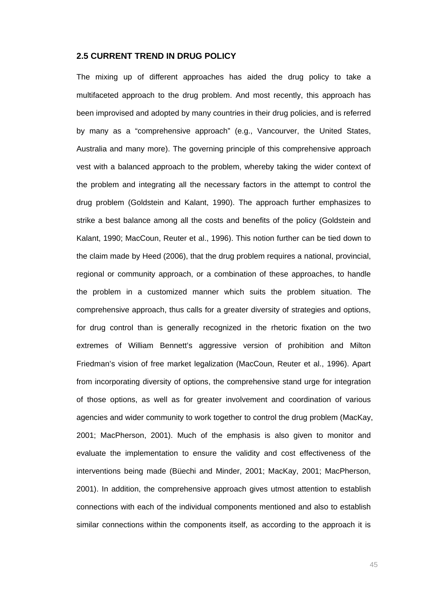# **2.5 CURRENT TREND IN DRUG POLICY**

The mixing up of different approaches has aided the drug policy to take a multifaceted approach to the drug problem. And most recently, this approach has been improvised and adopted by many countries in their drug policies, and is referred by many as a "comprehensive approach" (e.g., Vancourver, the United States, Australia and many more). The governing principle of this comprehensive approach vest with a balanced approach to the problem, whereby taking the wider context of the problem and integrating all the necessary factors in the attempt to control the drug problem (Goldstein and Kalant, 1990). The approach further emphasizes to strike a best balance among all the costs and benefits of the policy (Goldstein and Kalant, 1990; MacCoun, Reuter et al., 1996). This notion further can be tied down to the claim made by Heed (2006), that the drug problem requires a national, provincial, regional or community approach, or a combination of these approaches, to handle the problem in a customized manner which suits the problem situation. The comprehensive approach, thus calls for a greater diversity of strategies and options, for drug control than is generally recognized in the rhetoric fixation on the two extremes of William Bennett's aggressive version of prohibition and Milton Friedman's vision of free market legalization (MacCoun, Reuter et al., 1996). Apart from incorporating diversity of options, the comprehensive stand urge for integration of those options, as well as for greater involvement and coordination of various agencies and wider community to work together to control the drug problem (MacKay, 2001; MacPherson, 2001). Much of the emphasis is also given to monitor and evaluate the implementation to ensure the validity and cost effectiveness of the interventions being made (Büechi and Minder, 2001; MacKay, 2001; MacPherson, 2001). In addition, the comprehensive approach gives utmost attention to establish connections with each of the individual components mentioned and also to establish similar connections within the components itself, as according to the approach it is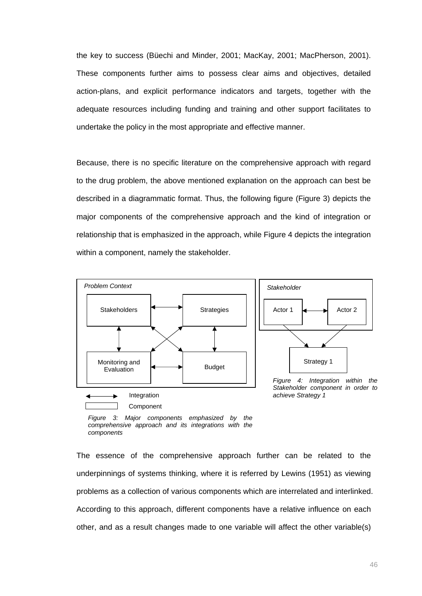the key to success (Büechi and Minder, 2001; MacKay, 2001; MacPherson, 2001). These components further aims to possess clear aims and objectives, detailed action-plans, and explicit performance indicators and targets, together with the adequate resources including funding and training and other support facilitates to undertake the policy in the most appropriate and effective manner.

Because, there is no specific literature on the comprehensive approach with regard to the drug problem, the above mentioned explanation on the approach can best be described in a diagrammatic format. Thus, the following figure (Figure 3) depicts the major components of the comprehensive approach and the kind of integration or relationship that is emphasized in the approach, while Figure 4 depicts the integration within a component, namely the stakeholder.



*Figure 3: Major components emphasized by the comprehensive approach and its integrations with the components* 

The essence of the comprehensive approach further can be related to the underpinnings of systems thinking, where it is referred by Lewins (1951) as viewing problems as a collection of various components which are interrelated and interlinked. According to this approach, different components have a relative influence on each other, and as a result changes made to one variable will affect the other variable(s)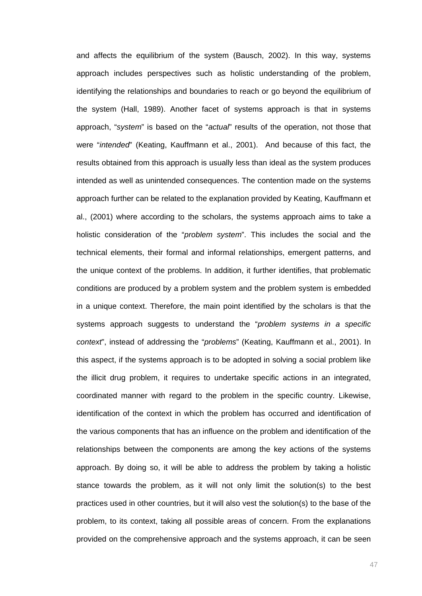and affects the equilibrium of the system (Bausch, 2002). In this way, systems approach includes perspectives such as holistic understanding of the problem, identifying the relationships and boundaries to reach or go beyond the equilibrium of the system (Hall, 1989). Another facet of systems approach is that in systems approach, "*system*" is based on the "*actual*" results of the operation, not those that were "*intended*" (Keating, Kauffmann et al., 2001). And because of this fact, the results obtained from this approach is usually less than ideal as the system produces intended as well as unintended consequences. The contention made on the systems approach further can be related to the explanation provided by Keating, Kauffmann et al., (2001) where according to the scholars, the systems approach aims to take a holistic consideration of the "*problem system*". This includes the social and the technical elements, their formal and informal relationships, emergent patterns, and the unique context of the problems. In addition, it further identifies, that problematic conditions are produced by a problem system and the problem system is embedded in a unique context. Therefore, the main point identified by the scholars is that the systems approach suggests to understand the "*problem systems in a specific context*", instead of addressing the "*problems*" (Keating, Kauffmann et al., 2001). In this aspect, if the systems approach is to be adopted in solving a social problem like the illicit drug problem, it requires to undertake specific actions in an integrated, coordinated manner with regard to the problem in the specific country. Likewise, identification of the context in which the problem has occurred and identification of the various components that has an influence on the problem and identification of the relationships between the components are among the key actions of the systems approach. By doing so, it will be able to address the problem by taking a holistic stance towards the problem, as it will not only limit the solution(s) to the best practices used in other countries, but it will also vest the solution(s) to the base of the problem, to its context, taking all possible areas of concern. From the explanations provided on the comprehensive approach and the systems approach, it can be seen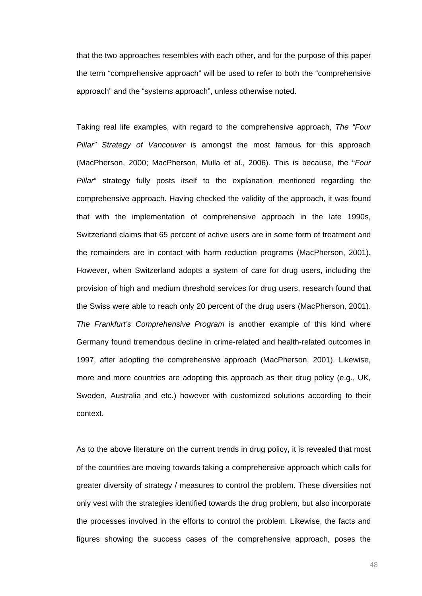that the two approaches resembles with each other, and for the purpose of this paper the term "comprehensive approach" will be used to refer to both the "comprehensive approach" and the "systems approach", unless otherwise noted.

Taking real life examples, with regard to the comprehensive approach, *The "Four Pillar" Strategy of Vancouver* is amongst the most famous for this approach (MacPherson, 2000; MacPherson, Mulla et al., 2006). This is because, the "*Four Pillar*" strategy fully posts itself to the explanation mentioned regarding the comprehensive approach. Having checked the validity of the approach, it was found that with the implementation of comprehensive approach in the late 1990s, Switzerland claims that 65 percent of active users are in some form of treatment and the remainders are in contact with harm reduction programs (MacPherson, 2001). However, when Switzerland adopts a system of care for drug users, including the provision of high and medium threshold services for drug users, research found that the Swiss were able to reach only 20 percent of the drug users (MacPherson, 2001). *The Frankfurt's Comprehensive Program* is another example of this kind where Germany found tremendous decline in crime-related and health-related outcomes in 1997, after adopting the comprehensive approach (MacPherson, 2001). Likewise, more and more countries are adopting this approach as their drug policy (e.g., UK, Sweden, Australia and etc.) however with customized solutions according to their context.

As to the above literature on the current trends in drug policy, it is revealed that most of the countries are moving towards taking a comprehensive approach which calls for greater diversity of strategy / measures to control the problem. These diversities not only vest with the strategies identified towards the drug problem, but also incorporate the processes involved in the efforts to control the problem. Likewise, the facts and figures showing the success cases of the comprehensive approach, poses the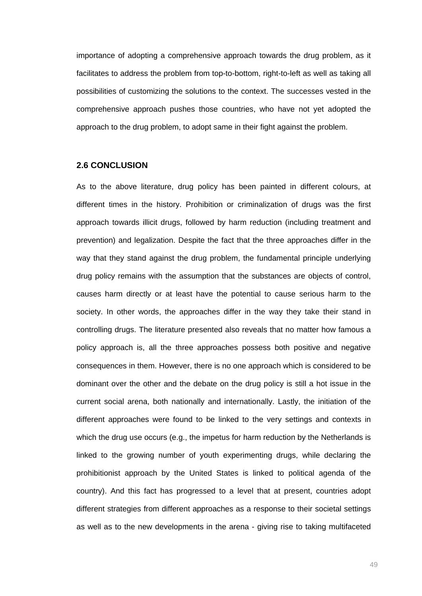importance of adopting a comprehensive approach towards the drug problem, as it facilitates to address the problem from top-to-bottom, right-to-left as well as taking all possibilities of customizing the solutions to the context. The successes vested in the comprehensive approach pushes those countries, who have not yet adopted the approach to the drug problem, to adopt same in their fight against the problem.

## **2.6 CONCLUSION**

As to the above literature, drug policy has been painted in different colours, at different times in the history. Prohibition or criminalization of drugs was the first approach towards illicit drugs, followed by harm reduction (including treatment and prevention) and legalization. Despite the fact that the three approaches differ in the way that they stand against the drug problem, the fundamental principle underlying drug policy remains with the assumption that the substances are objects of control, causes harm directly or at least have the potential to cause serious harm to the society. In other words, the approaches differ in the way they take their stand in controlling drugs. The literature presented also reveals that no matter how famous a policy approach is, all the three approaches possess both positive and negative consequences in them. However, there is no one approach which is considered to be dominant over the other and the debate on the drug policy is still a hot issue in the current social arena, both nationally and internationally. Lastly, the initiation of the different approaches were found to be linked to the very settings and contexts in which the drug use occurs (e.g., the impetus for harm reduction by the Netherlands is linked to the growing number of youth experimenting drugs, while declaring the prohibitionist approach by the United States is linked to political agenda of the country). And this fact has progressed to a level that at present, countries adopt different strategies from different approaches as a response to their societal settings as well as to the new developments in the arena - giving rise to taking multifaceted

49 and 2012 and 2013 and 2014 and 2014 and 2014 and 2014 and 2014 and 2014 and 2014 and 2014 and 2014 and 201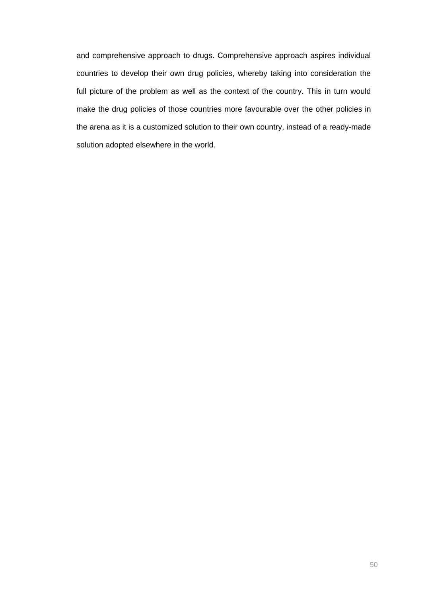and comprehensive approach to drugs. Comprehensive approach aspires individual countries to develop their own drug policies, whereby taking into consideration the full picture of the problem as well as the context of the country. This in turn would make the drug policies of those countries more favourable over the other policies in the arena as it is a customized solution to their own country, instead of a ready-made solution adopted elsewhere in the world.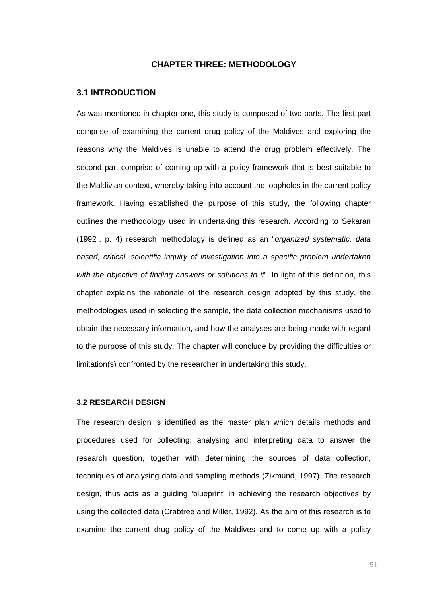# **CHAPTER THREE: METHODOLOGY**

## **3.1 INTRODUCTION**

As was mentioned in chapter one, this study is composed of two parts. The first part comprise of examining the current drug policy of the Maldives and exploring the reasons why the Maldives is unable to attend the drug problem effectively. The second part comprise of coming up with a policy framework that is best suitable to the Maldivian context, whereby taking into account the loopholes in the current policy framework. Having established the purpose of this study, the following chapter outlines the methodology used in undertaking this research. According to Sekaran (1992), p. 4) research methodology is defined as an "*organized systematic, data based, critical, scientific inquiry of investigation into a specific problem undertaken with the objective of finding answers or solutions to it*". In light of this definition, this chapter explains the rationale of the research design adopted by this study, the methodologies used in selecting the sample, the data collection mechanisms used to obtain the necessary information, and how the analyses are being made with regard to the purpose of this study. The chapter will conclude by providing the difficulties or limitation(s) confronted by the researcher in undertaking this study.

# **3.2 RESEARCH DESIGN**

The research design is identified as the master plan which details methods and procedures used for collecting, analysing and interpreting data to answer the research question, together with determining the sources of data collection, techniques of analysing data and sampling methods (Zikmund, 1997). The research design, thus acts as a guiding 'blueprint' in achieving the research objectives by using the collected data (Crabtree and Miller, 1992). As the aim of this research is to examine the current drug policy of the Maldives and to come up with a policy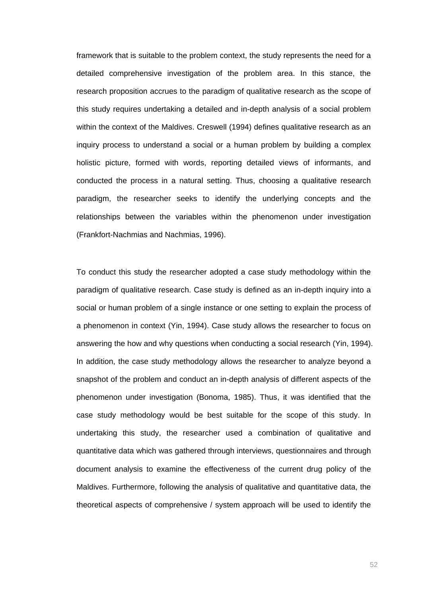framework that is suitable to the problem context, the study represents the need for a detailed comprehensive investigation of the problem area. In this stance, the research proposition accrues to the paradigm of qualitative research as the scope of this study requires undertaking a detailed and in-depth analysis of a social problem within the context of the Maldives. Creswell (1994) defines qualitative research as an inquiry process to understand a social or a human problem by building a complex holistic picture, formed with words, reporting detailed views of informants, and conducted the process in a natural setting. Thus, choosing a qualitative research paradigm, the researcher seeks to identify the underlying concepts and the relationships between the variables within the phenomenon under investigation (Frankfort-Nachmias and Nachmias, 1996).

To conduct this study the researcher adopted a case study methodology within the paradigm of qualitative research. Case study is defined as an in-depth inquiry into a social or human problem of a single instance or one setting to explain the process of a phenomenon in context (Yin, 1994). Case study allows the researcher to focus on answering the how and why questions when conducting a social research (Yin, 1994). In addition, the case study methodology allows the researcher to analyze beyond a snapshot of the problem and conduct an in-depth analysis of different aspects of the phenomenon under investigation (Bonoma, 1985). Thus, it was identified that the case study methodology would be best suitable for the scope of this study. In undertaking this study, the researcher used a combination of qualitative and quantitative data which was gathered through interviews, questionnaires and through document analysis to examine the effectiveness of the current drug policy of the Maldives. Furthermore, following the analysis of qualitative and quantitative data, the theoretical aspects of comprehensive / system approach will be used to identify the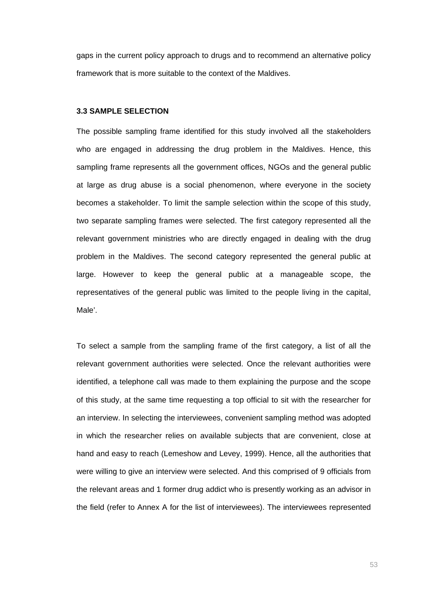gaps in the current policy approach to drugs and to recommend an alternative policy framework that is more suitable to the context of the Maldives.

#### **3.3 SAMPLE SELECTION**

The possible sampling frame identified for this study involved all the stakeholders who are engaged in addressing the drug problem in the Maldives. Hence, this sampling frame represents all the government offices, NGOs and the general public at large as drug abuse is a social phenomenon, where everyone in the society becomes a stakeholder. To limit the sample selection within the scope of this study, two separate sampling frames were selected. The first category represented all the relevant government ministries who are directly engaged in dealing with the drug problem in the Maldives. The second category represented the general public at large. However to keep the general public at a manageable scope, the representatives of the general public was limited to the people living in the capital, Male'.

To select a sample from the sampling frame of the first category, a list of all the relevant government authorities were selected. Once the relevant authorities were identified, a telephone call was made to them explaining the purpose and the scope of this study, at the same time requesting a top official to sit with the researcher for an interview. In selecting the interviewees, convenient sampling method was adopted in which the researcher relies on available subjects that are convenient, close at hand and easy to reach (Lemeshow and Levey, 1999). Hence, all the authorities that were willing to give an interview were selected. And this comprised of 9 officials from the relevant areas and 1 former drug addict who is presently working as an advisor in the field (refer to Annex A for the list of interviewees). The interviewees represented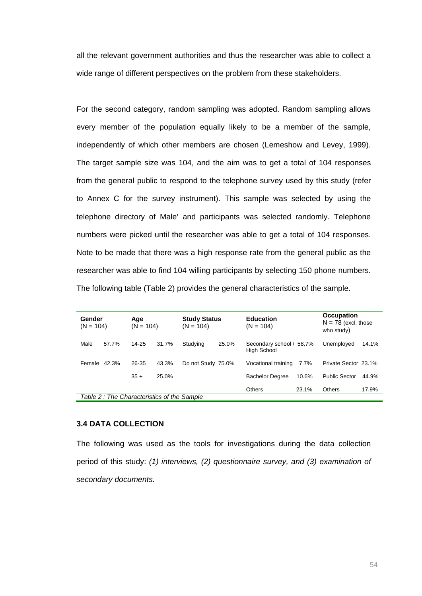all the relevant government authorities and thus the researcher was able to collect a wide range of different perspectives on the problem from these stakeholders.

For the second category, random sampling was adopted. Random sampling allows every member of the population equally likely to be a member of the sample, independently of which other members are chosen (Lemeshow and Levey, 1999). The target sample size was 104, and the aim was to get a total of 104 responses from the general public to respond to the telephone survey used by this study (refer to Annex C for the survey instrument). This sample was selected by using the telephone directory of Male' and participants was selected randomly. Telephone numbers were picked until the researcher was able to get a total of 104 responses. Note to be made that there was a high response rate from the general public as the researcher was able to find 104 willing participants by selecting 150 phone numbers. The following table (Table 2) provides the general characteristics of the sample.

| Gender<br>$(N = 104)$ | Age<br>$(N = 104)$                         | <b>Study Status</b><br>$(N = 104)$ | <b>Education</b><br>$(N = 104)$         | Occupation<br>$N = 78$ (excl. those<br>who study) |
|-----------------------|--------------------------------------------|------------------------------------|-----------------------------------------|---------------------------------------------------|
| Male<br>57.7%         | $14 - 25$<br>31.7%                         | 25.0%<br>Studying                  | Secondary school / 58.7%<br>High School | Unemployed<br>14.1%                               |
| Female 42.3%          | 26-35<br>43.3%                             | Do not Study 75.0%                 | Vocational training<br>7.7%             | Private Sector 23.1%                              |
|                       | $35 +$<br>25.0%                            |                                    | <b>Bachelor Degree</b><br>10.6%         | <b>Public Sector</b><br>44.9%                     |
|                       |                                            |                                    | Others<br>23.1%                         | Others<br>17.9%                                   |
|                       | Table 2: The Characteristics of the Sample |                                    |                                         |                                                   |

# **3.4 DATA COLLECTION**

The following was used as the tools for investigations during the data collection period of this study: *(1) interviews, (2) questionnaire survey, and (3) examination of secondary documents.*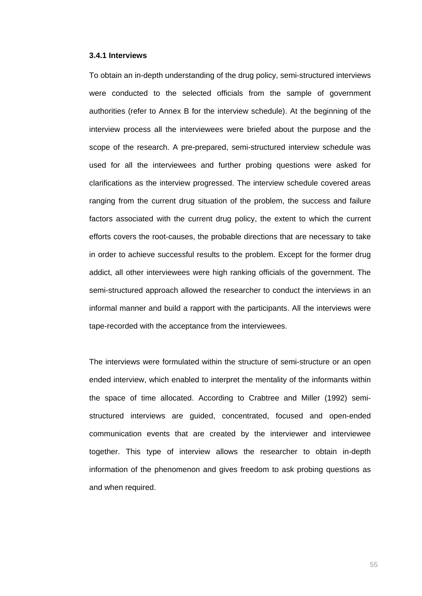#### **3.4.1 Interviews**

To obtain an in-depth understanding of the drug policy, semi-structured interviews were conducted to the selected officials from the sample of government authorities (refer to Annex B for the interview schedule). At the beginning of the interview process all the interviewees were briefed about the purpose and the scope of the research. A pre-prepared, semi-structured interview schedule was used for all the interviewees and further probing questions were asked for clarifications as the interview progressed. The interview schedule covered areas ranging from the current drug situation of the problem, the success and failure factors associated with the current drug policy, the extent to which the current efforts covers the root-causes, the probable directions that are necessary to take in order to achieve successful results to the problem. Except for the former drug addict, all other interviewees were high ranking officials of the government. The semi-structured approach allowed the researcher to conduct the interviews in an informal manner and build a rapport with the participants. All the interviews were tape-recorded with the acceptance from the interviewees.

The interviews were formulated within the structure of semi-structure or an open ended interview, which enabled to interpret the mentality of the informants within the space of time allocated. According to Crabtree and Miller (1992) semistructured interviews are guided, concentrated, focused and open-ended communication events that are created by the interviewer and interviewee together. This type of interview allows the researcher to obtain in-depth information of the phenomenon and gives freedom to ask probing questions as and when required.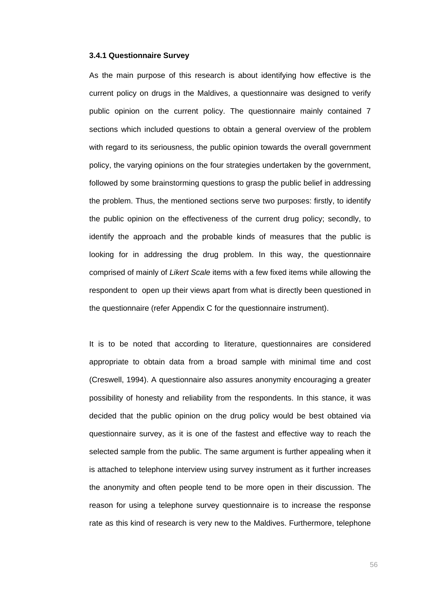#### **3.4.1 Questionnaire Survey**

As the main purpose of this research is about identifying how effective is the current policy on drugs in the Maldives, a questionnaire was designed to verify public opinion on the current policy. The questionnaire mainly contained 7 sections which included questions to obtain a general overview of the problem with regard to its seriousness, the public opinion towards the overall government policy, the varying opinions on the four strategies undertaken by the government, followed by some brainstorming questions to grasp the public belief in addressing the problem. Thus, the mentioned sections serve two purposes: firstly, to identify the public opinion on the effectiveness of the current drug policy; secondly, to identify the approach and the probable kinds of measures that the public is looking for in addressing the drug problem. In this way, the questionnaire comprised of mainly of *Likert Scale* items with a few fixed items while allowing the respondent to open up their views apart from what is directly been questioned in the questionnaire (refer Appendix C for the questionnaire instrument).

It is to be noted that according to literature, questionnaires are considered appropriate to obtain data from a broad sample with minimal time and cost (Creswell, 1994). A questionnaire also assures anonymity encouraging a greater possibility of honesty and reliability from the respondents. In this stance, it was decided that the public opinion on the drug policy would be best obtained via questionnaire survey, as it is one of the fastest and effective way to reach the selected sample from the public. The same argument is further appealing when it is attached to telephone interview using survey instrument as it further increases the anonymity and often people tend to be more open in their discussion. The reason for using a telephone survey questionnaire is to increase the response rate as this kind of research is very new to the Maldives. Furthermore, telephone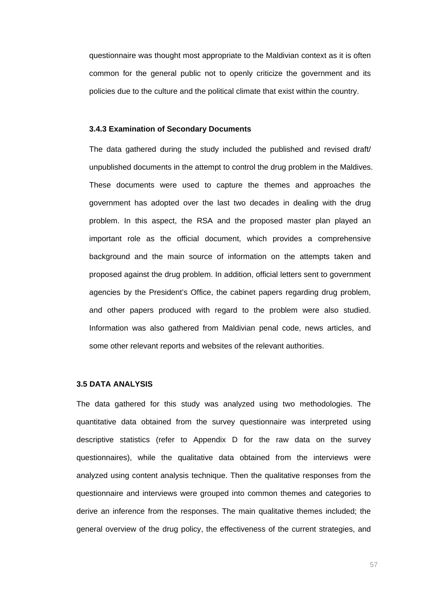questionnaire was thought most appropriate to the Maldivian context as it is often common for the general public not to openly criticize the government and its policies due to the culture and the political climate that exist within the country.

## **3.4.3 Examination of Secondary Documents**

The data gathered during the study included the published and revised draft/ unpublished documents in the attempt to control the drug problem in the Maldives. These documents were used to capture the themes and approaches the government has adopted over the last two decades in dealing with the drug problem. In this aspect, the RSA and the proposed master plan played an important role as the official document, which provides a comprehensive background and the main source of information on the attempts taken and proposed against the drug problem. In addition, official letters sent to government agencies by the President's Office, the cabinet papers regarding drug problem, and other papers produced with regard to the problem were also studied. Information was also gathered from Maldivian penal code, news articles, and some other relevant reports and websites of the relevant authorities.

# **3.5 DATA ANALYSIS**

The data gathered for this study was analyzed using two methodologies. The quantitative data obtained from the survey questionnaire was interpreted using descriptive statistics (refer to Appendix D for the raw data on the survey questionnaires), while the qualitative data obtained from the interviews were analyzed using content analysis technique. Then the qualitative responses from the questionnaire and interviews were grouped into common themes and categories to derive an inference from the responses. The main qualitative themes included; the general overview of the drug policy, the effectiveness of the current strategies, and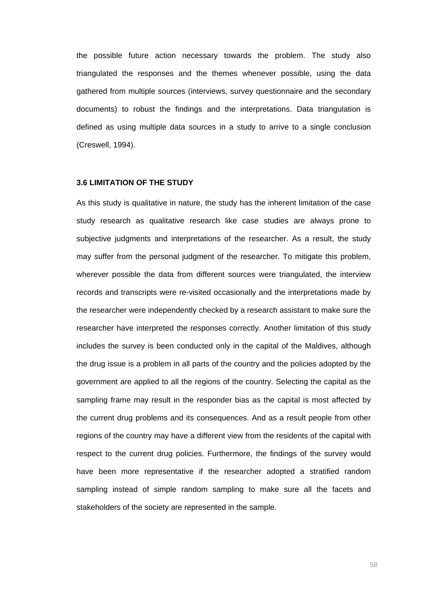the possible future action necessary towards the problem. The study also triangulated the responses and the themes whenever possible, using the data gathered from multiple sources (interviews, survey questionnaire and the secondary documents) to robust the findings and the interpretations. Data triangulation is defined as using multiple data sources in a study to arrive to a single conclusion (Creswell, 1994).

#### **3.6 LIMITATION OF THE STUDY**

As this study is qualitative in nature, the study has the inherent limitation of the case study research as qualitative research like case studies are always prone to subjective judgments and interpretations of the researcher. As a result, the study may suffer from the personal judgment of the researcher. To mitigate this problem, wherever possible the data from different sources were triangulated, the interview records and transcripts were re-visited occasionally and the interpretations made by the researcher were independently checked by a research assistant to make sure the researcher have interpreted the responses correctly. Another limitation of this study includes the survey is been conducted only in the capital of the Maldives, although the drug issue is a problem in all parts of the country and the policies adopted by the government are applied to all the regions of the country. Selecting the capital as the sampling frame may result in the responder bias as the capital is most affected by the current drug problems and its consequences. And as a result people from other regions of the country may have a different view from the residents of the capital with respect to the current drug policies. Furthermore, the findings of the survey would have been more representative if the researcher adopted a stratified random sampling instead of simple random sampling to make sure all the facets and stakeholders of the society are represented in the sample.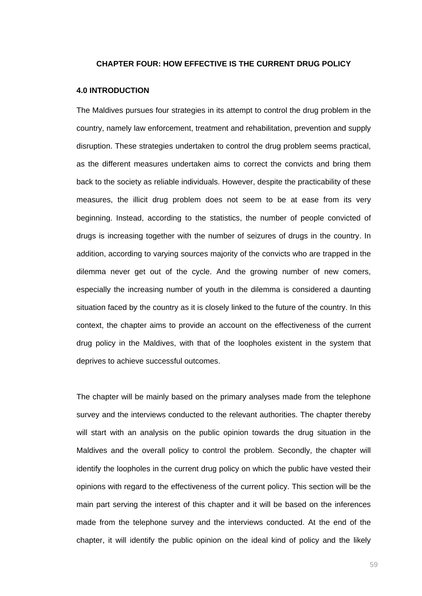### **CHAPTER FOUR: HOW EFFECTIVE IS THE CURRENT DRUG POLICY**

# **4.0 INTRODUCTION**

The Maldives pursues four strategies in its attempt to control the drug problem in the country, namely law enforcement, treatment and rehabilitation, prevention and supply disruption. These strategies undertaken to control the drug problem seems practical, as the different measures undertaken aims to correct the convicts and bring them back to the society as reliable individuals. However, despite the practicability of these measures, the illicit drug problem does not seem to be at ease from its very beginning. Instead, according to the statistics, the number of people convicted of drugs is increasing together with the number of seizures of drugs in the country. In addition, according to varying sources majority of the convicts who are trapped in the dilemma never get out of the cycle. And the growing number of new comers, especially the increasing number of youth in the dilemma is considered a daunting situation faced by the country as it is closely linked to the future of the country. In this context, the chapter aims to provide an account on the effectiveness of the current drug policy in the Maldives, with that of the loopholes existent in the system that deprives to achieve successful outcomes.

The chapter will be mainly based on the primary analyses made from the telephone survey and the interviews conducted to the relevant authorities. The chapter thereby will start with an analysis on the public opinion towards the drug situation in the Maldives and the overall policy to control the problem. Secondly, the chapter will identify the loopholes in the current drug policy on which the public have vested their opinions with regard to the effectiveness of the current policy. This section will be the main part serving the interest of this chapter and it will be based on the inferences made from the telephone survey and the interviews conducted. At the end of the chapter, it will identify the public opinion on the ideal kind of policy and the likely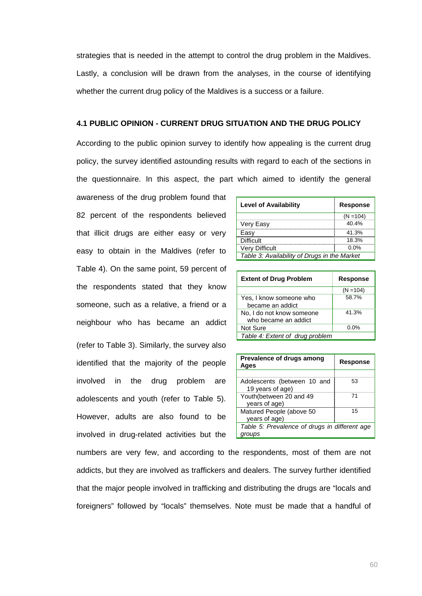strategies that is needed in the attempt to control the drug problem in the Maldives. Lastly, a conclusion will be drawn from the analyses, in the course of identifying whether the current drug policy of the Maldives is a success or a failure.

# **4.1 PUBLIC OPINION - CURRENT DRUG SITUATION AND THE DRUG POLICY**

According to the public opinion survey to identify how appealing is the current drug policy, the survey identified astounding results with regard to each of the sections in the questionnaire. In this aspect, the part which aimed to identify the general

awareness of the drug problem found that 82 percent of the respondents believed that illicit drugs are either easy or very easy to obtain in the Maldives (refer to Table 4). On the same point, 59 percent of the respondents stated that they know someone, such as a relative, a friend or a neighbour who has became an addict (refer to Table 3). Similarly, the survey also identified that the majority of the people involved in the drug problem are adolescents and youth (refer to Table 5). However, adults are also found to be involved in drug-related activities but the

| <b>Level of Availability</b>                 | <b>Response</b> |  |  |
|----------------------------------------------|-----------------|--|--|
|                                              | $(N = 104)$     |  |  |
| Very Easy                                    | 40.4%           |  |  |
| Easy                                         | 41.3%           |  |  |
| <b>Difficult</b>                             | 18.3%           |  |  |
| <b>Very Difficult</b>                        | $0.0\%$         |  |  |
| Table 3: Availability of Drugs in the Market |                 |  |  |
|                                              |                 |  |  |

| <b>Extent of Drug Problem</b>                     | <b>Response</b> |  |
|---------------------------------------------------|-----------------|--|
|                                                   | $(N = 104)$     |  |
| Yes, I know someone who<br>became an addict       | 58.7%           |  |
| No, I do not know someone<br>who became an addict | 41.3%           |  |
| Not Sure                                          | በ በ%            |  |
| Table 4: Extent of drug problem                   |                 |  |

| Prevalence of drugs among<br>Ages               | Response |  |
|-------------------------------------------------|----------|--|
|                                                 |          |  |
| Adolescents (between 10 and<br>19 years of age) | 53       |  |
| Youth(between 20 and 49<br>years of age)        | 71       |  |
| Matured People (above 50<br>years of age)       | 15       |  |
| Table 5: Prevalence of drugs in different age   |          |  |
| aroups                                          |          |  |

numbers are very few, and according to the respondents, most of them are not addicts, but they are involved as traffickers and dealers. The survey further identified that the major people involved in trafficking and distributing the drugs are "locals and foreigners" followed by "locals" themselves. Note must be made that a handful of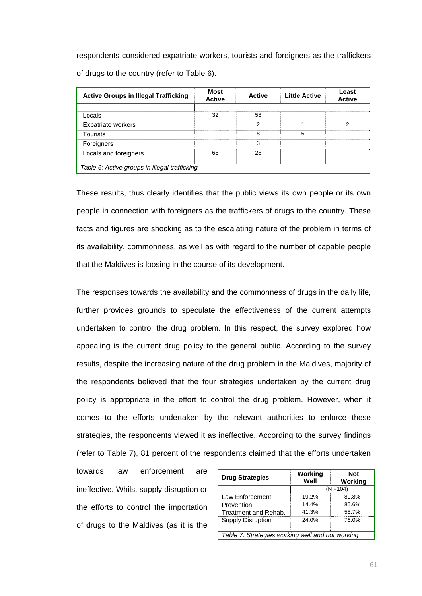respondents considered expatriate workers, tourists and foreigners as the traffickers of drugs to the country (refer to Table 6).

| <b>Active Groups in Illegal Trafficking</b>   | <b>Most</b><br><b>Active</b> | <b>Active</b> | <b>Little Active</b> | Least<br><b>Active</b> |  |
|-----------------------------------------------|------------------------------|---------------|----------------------|------------------------|--|
|                                               |                              |               |                      |                        |  |
| Locals                                        | 32                           | 58            |                      |                        |  |
| Expatriate workers                            |                              | 2             |                      | 2                      |  |
| <b>Tourists</b>                               |                              | 8             | 5                    |                        |  |
| Foreigners                                    |                              | 3             |                      |                        |  |
| Locals and foreigners                         | 68                           | 28            |                      |                        |  |
|                                               |                              |               |                      |                        |  |
| Table 6: Active groups in illegal trafficking |                              |               |                      |                        |  |

These results, thus clearly identifies that the public views its own people or its own people in connection with foreigners as the traffickers of drugs to the country. These facts and figures are shocking as to the escalating nature of the problem in terms of its availability, commonness, as well as with regard to the number of capable people that the Maldives is loosing in the course of its development.

The responses towards the availability and the commonness of drugs in the daily life, further provides grounds to speculate the effectiveness of the current attempts undertaken to control the drug problem. In this respect, the survey explored how appealing is the current drug policy to the general public. According to the survey results, despite the increasing nature of the drug problem in the Maldives, majority of the respondents believed that the four strategies undertaken by the current drug policy is appropriate in the effort to control the drug problem. However, when it comes to the efforts undertaken by the relevant authorities to enforce these strategies, the respondents viewed it as ineffective. According to the survey findings (refer to Table 7), 81 percent of the respondents claimed that the efforts undertaken

towards law enforcement are ineffective. Whilst supply disruption or the efforts to control the importation of drugs to the Maldives (as it is the

| <b>Drug Strategies</b>                           | Working<br>Well | Not<br>Working |  |  |  |
|--------------------------------------------------|-----------------|----------------|--|--|--|
|                                                  | $(N = 104)$     |                |  |  |  |
| Law Enforcement                                  | 19.2%           | 80.8%          |  |  |  |
| Prevention                                       | 14.4%           | 85.6%          |  |  |  |
| Treatment and Rehab.                             | 41.3%           | 58.7%          |  |  |  |
| Supply Disruption                                | 24.0%           | 76.0%          |  |  |  |
|                                                  |                 |                |  |  |  |
| Table 7: Strategies working well and not working |                 |                |  |  |  |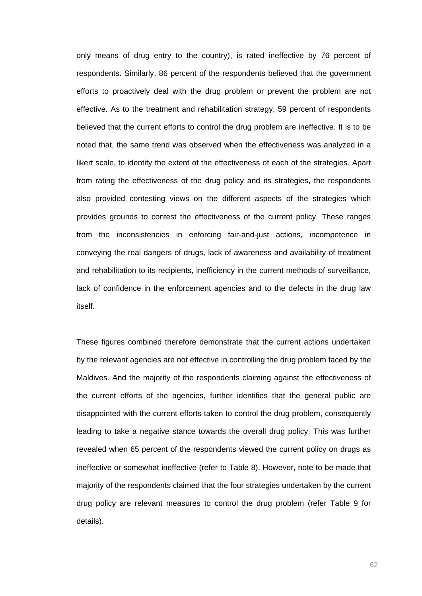only means of drug entry to the country), is rated ineffective by 76 percent of respondents. Similarly, 86 percent of the respondents believed that the government efforts to proactively deal with the drug problem or prevent the problem are not effective. As to the treatment and rehabilitation strategy, 59 percent of respondents believed that the current efforts to control the drug problem are ineffective. It is to be noted that, the same trend was observed when the effectiveness was analyzed in a likert scale, to identify the extent of the effectiveness of each of the strategies. Apart from rating the effectiveness of the drug policy and its strategies, the respondents also provided contesting views on the different aspects of the strategies which provides grounds to contest the effectiveness of the current policy. These ranges from the inconsistencies in enforcing fair-and-just actions, incompetence in conveying the real dangers of drugs, lack of awareness and availability of treatment and rehabilitation to its recipients, inefficiency in the current methods of surveillance, lack of confidence in the enforcement agencies and to the defects in the drug law itself.

These figures combined therefore demonstrate that the current actions undertaken by the relevant agencies are not effective in controlling the drug problem faced by the Maldives. And the majority of the respondents claiming against the effectiveness of the current efforts of the agencies, further identifies that the general public are disappointed with the current efforts taken to control the drug problem, consequently leading to take a negative stance towards the overall drug policy. This was further revealed when 65 percent of the respondents viewed the current policy on drugs as ineffective or somewhat ineffective (refer to Table 8). However, note to be made that majority of the respondents claimed that the four strategies undertaken by the current drug policy are relevant measures to control the drug problem (refer Table 9 for details).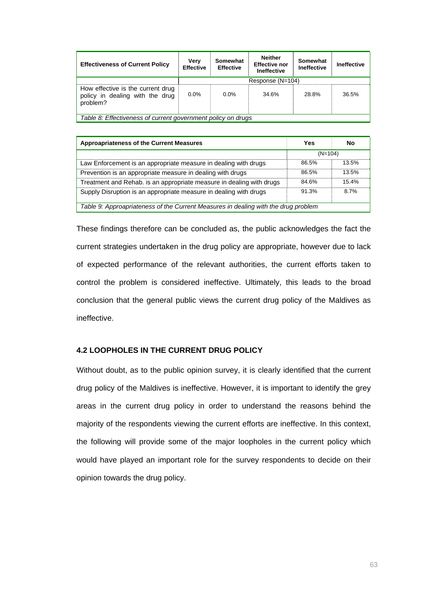| <b>Effectiveness of Current Policy</b>                                           | Verv<br><b>Effective</b> | Somewhat<br><b>Effective</b> | <b>Neither</b><br><b>Effective nor</b><br><b>Ineffective</b> | Somewhat<br><b>Ineffective</b> | Ineffective |
|----------------------------------------------------------------------------------|--------------------------|------------------------------|--------------------------------------------------------------|--------------------------------|-------------|
|                                                                                  | Response (N=104)         |                              |                                                              |                                |             |
| How effective is the current drug<br>policy in dealing with the drug<br>problem? | $0.0\%$                  | $0.0\%$                      | 34.6%                                                        | 28.8%                          | 36.5%       |
| Table 8: Effectiveness of current government policy on drugs                     |                          |                              |                                                              |                                |             |

| <b>Approapriateness of the Current Measures</b>                                    | Yes       | No    |  |  |  |
|------------------------------------------------------------------------------------|-----------|-------|--|--|--|
|                                                                                    | $(N=104)$ |       |  |  |  |
| Law Enforcement is an appropriate measure in dealing with drugs                    | 86.5%     | 13.5% |  |  |  |
| Prevention is an appropriate measure in dealing with drugs                         | 86.5%     | 13.5% |  |  |  |
| Treatment and Rehab. is an appropriate measure in dealing with drugs               | 84.6%     | 15.4% |  |  |  |
| Supply Disruption is an appropriate measure in dealing with drugs                  | 91.3%     | 8.7%  |  |  |  |
| Table 9: Approapriateness of the Current Measures in dealing with the drug problem |           |       |  |  |  |

These findings therefore can be concluded as, the public acknowledges the fact the current strategies undertaken in the drug policy are appropriate, however due to lack of expected performance of the relevant authorities, the current efforts taken to control the problem is considered ineffective. Ultimately, this leads to the broad conclusion that the general public views the current drug policy of the Maldives as ineffective.

# **4.2 LOOPHOLES IN THE CURRENT DRUG POLICY**

Without doubt, as to the public opinion survey, it is clearly identified that the current drug policy of the Maldives is ineffective. However, it is important to identify the grey areas in the current drug policy in order to understand the reasons behind the majority of the respondents viewing the current efforts are ineffective. In this context, the following will provide some of the major loopholes in the current policy which would have played an important role for the survey respondents to decide on their opinion towards the drug policy.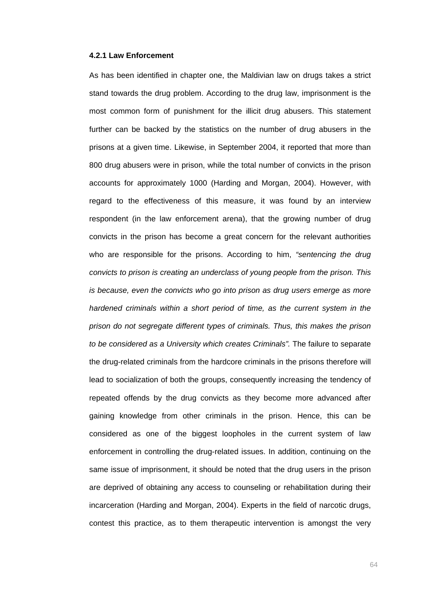### **4.2.1 Law Enforcement**

As has been identified in chapter one, the Maldivian law on drugs takes a strict stand towards the drug problem. According to the drug law, imprisonment is the most common form of punishment for the illicit drug abusers. This statement further can be backed by the statistics on the number of drug abusers in the prisons at a given time. Likewise, in September 2004, it reported that more than 800 drug abusers were in prison, while the total number of convicts in the prison accounts for approximately 1000 (Harding and Morgan, 2004). However, with regard to the effectiveness of this measure, it was found by an interview respondent (in the law enforcement arena), that the growing number of drug convicts in the prison has become a great concern for the relevant authorities who are responsible for the prisons. According to him, *"sentencing the drug convicts to prison is creating an underclass of young people from the prison. This is because, even the convicts who go into prison as drug users emerge as more hardened criminals within a short period of time, as the current system in the prison do not segregate different types of criminals. Thus, this makes the prison to be considered as a University which creates Criminals".* The failure to separate the drug-related criminals from the hardcore criminals in the prisons therefore will lead to socialization of both the groups, consequently increasing the tendency of repeated offends by the drug convicts as they become more advanced after gaining knowledge from other criminals in the prison. Hence, this can be considered as one of the biggest loopholes in the current system of law enforcement in controlling the drug-related issues. In addition, continuing on the same issue of imprisonment, it should be noted that the drug users in the prison are deprived of obtaining any access to counseling or rehabilitation during their incarceration (Harding and Morgan, 2004). Experts in the field of narcotic drugs, contest this practice, as to them therapeutic intervention is amongst the very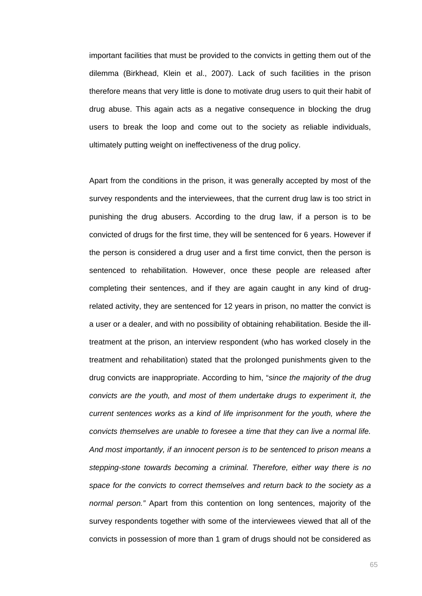important facilities that must be provided to the convicts in getting them out of the dilemma (Birkhead, Klein et al., 2007). Lack of such facilities in the prison therefore means that very little is done to motivate drug users to quit their habit of drug abuse. This again acts as a negative consequence in blocking the drug users to break the loop and come out to the society as reliable individuals, ultimately putting weight on ineffectiveness of the drug policy.

Apart from the conditions in the prison, it was generally accepted by most of the survey respondents and the interviewees, that the current drug law is too strict in punishing the drug abusers. According to the drug law, if a person is to be convicted of drugs for the first time, they will be sentenced for 6 years. However if the person is considered a drug user and a first time convict, then the person is sentenced to rehabilitation. However, once these people are released after completing their sentences, and if they are again caught in any kind of drugrelated activity, they are sentenced for 12 years in prison, no matter the convict is a user or a dealer, and with no possibility of obtaining rehabilitation. Beside the illtreatment at the prison, an interview respondent (who has worked closely in the treatment and rehabilitation) stated that the prolonged punishments given to the drug convicts are inappropriate. According to him, "*since the majority of the drug convicts are the youth, and most of them undertake drugs to experiment it, the current sentences works as a kind of life imprisonment for the youth, where the convicts themselves are unable to foresee a time that they can live a normal life. And most importantly, if an innocent person is to be sentenced to prison means a stepping-stone towards becoming a criminal. Therefore, either way there is no space for the convicts to correct themselves and return back to the society as a normal person."* Apart from this contention on long sentences, majority of the survey respondents together with some of the interviewees viewed that all of the convicts in possession of more than 1 gram of drugs should not be considered as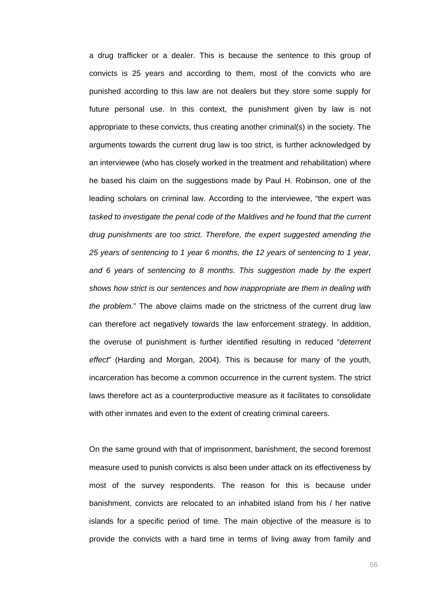a drug trafficker or a dealer. This is because the sentence to this group of convicts is 25 years and according to them, most of the convicts who are punished according to this law are not dealers but they store some supply for future personal use. In this context, the punishment given by law is not appropriate to these convicts, thus creating another criminal(s) in the society. The arguments towards the current drug law is too strict, is further acknowledged by an interviewee (who has closely worked in the treatment and rehabilitation) where he based his claim on the suggestions made by Paul H. Robinson, one of the leading scholars on criminal law. According to the interviewee, "the expert was *tasked to investigate the penal code of the Maldives and he found that the current drug punishments are too strict. Therefore, the expert suggested amending the 25 years of sentencing to 1 year 6 months, the 12 years of sentencing to 1 year, and 6 years of sentencing to 8 months*. *This suggestion made by the expert shows how strict is our sentences and how inappropriate are them in dealing with the problem.*" The above claims made on the strictness of the current drug law can therefore act negatively towards the law enforcement strategy. In addition, the overuse of punishment is further identified resulting in reduced "*deterrent effect*" (Harding and Morgan, 2004). This is because for many of the youth, incarceration has become a common occurrence in the current system. The strict laws therefore act as a counterproductive measure as it facilitates to consolidate with other inmates and even to the extent of creating criminal careers.

On the same ground with that of imprisonment, banishment, the second foremost measure used to punish convicts is also been under attack on its effectiveness by most of the survey respondents. The reason for this is because under banishment, convicts are relocated to an inhabited island from his / her native islands for a specific period of time. The main objective of the measure is to provide the convicts with a hard time in terms of living away from family and

е в село в село во село во село во село во село во село во село во село во село во село во село во село во сел<br>Во село во село во село во село во село во село во село во село во село во село во село во село во село во сел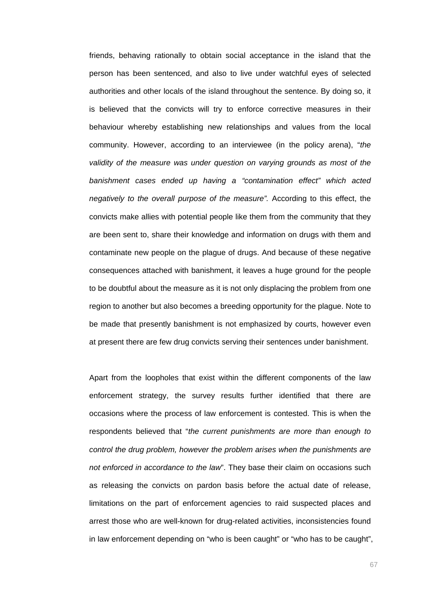friends, behaving rationally to obtain social acceptance in the island that the person has been sentenced, and also to live under watchful eyes of selected authorities and other locals of the island throughout the sentence. By doing so, it is believed that the convicts will try to enforce corrective measures in their behaviour whereby establishing new relationships and values from the local community. However, according to an interviewee (in the policy arena), "*the validity of the measure was under question on varying grounds as most of the banishment cases ended up having a "contamination effect" which acted negatively to the overall purpose of the measure".* According to this effect, the convicts make allies with potential people like them from the community that they are been sent to, share their knowledge and information on drugs with them and contaminate new people on the plague of drugs. And because of these negative consequences attached with banishment, it leaves a huge ground for the people to be doubtful about the measure as it is not only displacing the problem from one region to another but also becomes a breeding opportunity for the plague. Note to be made that presently banishment is not emphasized by courts, however even at present there are few drug convicts serving their sentences under banishment.

Apart from the loopholes that exist within the different components of the law enforcement strategy, the survey results further identified that there are occasions where the process of law enforcement is contested. This is when the respondents believed that "*the current punishments are more than enough to control the drug problem, however the problem arises when the punishments are not enforced in accordance to the law*". They base their claim on occasions such as releasing the convicts on pardon basis before the actual date of release, limitations on the part of enforcement agencies to raid suspected places and arrest those who are well-known for drug-related activities, inconsistencies found in law enforcement depending on "who is been caught" or "who has to be caught",

67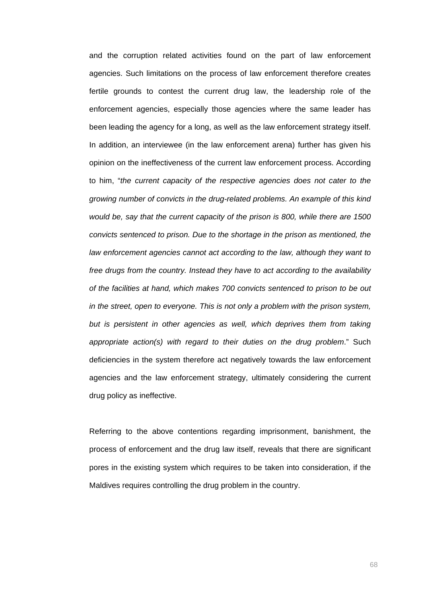and the corruption related activities found on the part of law enforcement agencies. Such limitations on the process of law enforcement therefore creates fertile grounds to contest the current drug law, the leadership role of the enforcement agencies, especially those agencies where the same leader has been leading the agency for a long, as well as the law enforcement strategy itself. In addition, an interviewee (in the law enforcement arena) further has given his opinion on the ineffectiveness of the current law enforcement process. According to him, "*the current capacity of the respective agencies does not cater to the growing number of convicts in the drug-related problems. An example of this kind would be, say that the current capacity of the prison is 800, while there are 1500 convicts sentenced to prison. Due to the shortage in the prison as mentioned, the law enforcement agencies cannot act according to the law, although they want to free drugs from the country. Instead they have to act according to the availability of the facilities at hand, which makes 700 convicts sentenced to prison to be out in the street, open to everyone. This is not only a problem with the prison system,*  but is persistent in other agencies as well, which deprives them from taking *appropriate action(s) with regard to their duties on the drug problem*." Such deficiencies in the system therefore act negatively towards the law enforcement agencies and the law enforcement strategy, ultimately considering the current drug policy as ineffective.

Referring to the above contentions regarding imprisonment, banishment, the process of enforcement and the drug law itself, reveals that there are significant pores in the existing system which requires to be taken into consideration, if the Maldives requires controlling the drug problem in the country.

68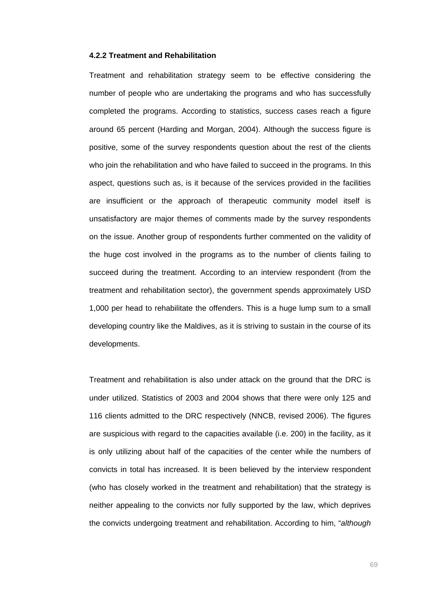### **4.2.2 Treatment and Rehabilitation**

Treatment and rehabilitation strategy seem to be effective considering the number of people who are undertaking the programs and who has successfully completed the programs. According to statistics, success cases reach a figure around 65 percent (Harding and Morgan, 2004). Although the success figure is positive, some of the survey respondents question about the rest of the clients who join the rehabilitation and who have failed to succeed in the programs. In this aspect, questions such as, is it because of the services provided in the facilities are insufficient or the approach of therapeutic community model itself is unsatisfactory are major themes of comments made by the survey respondents on the issue. Another group of respondents further commented on the validity of the huge cost involved in the programs as to the number of clients failing to succeed during the treatment. According to an interview respondent (from the treatment and rehabilitation sector), the government spends approximately USD 1,000 per head to rehabilitate the offenders. This is a huge lump sum to a small developing country like the Maldives, as it is striving to sustain in the course of its developments.

Treatment and rehabilitation is also under attack on the ground that the DRC is under utilized. Statistics of 2003 and 2004 shows that there were only 125 and 116 clients admitted to the DRC respectively (NNCB, revised 2006). The figures are suspicious with regard to the capacities available (i.e. 200) in the facility, as it is only utilizing about half of the capacities of the center while the numbers of convicts in total has increased. It is been believed by the interview respondent (who has closely worked in the treatment and rehabilitation) that the strategy is neither appealing to the convicts nor fully supported by the law, which deprives the convicts undergoing treatment and rehabilitation. According to him, "*although*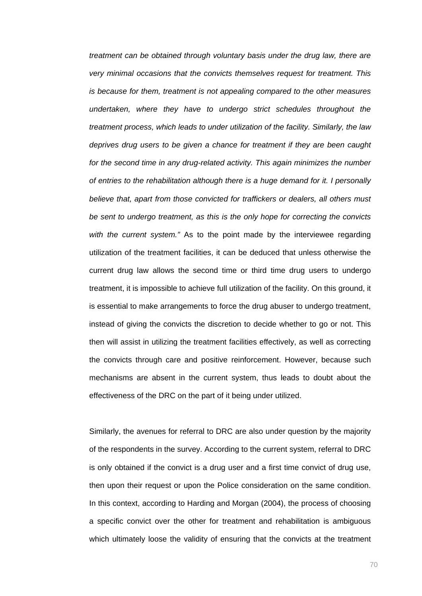*treatment can be obtained through voluntary basis under the drug law, there are very minimal occasions that the convicts themselves request for treatment. This is because for them, treatment is not appealing compared to the other measures undertaken, where they have to undergo strict schedules throughout the treatment process, which leads to under utilization of the facility. Similarly, the law deprives drug users to be given a chance for treatment if they are been caught for the second time in any drug-related activity. This again minimizes the number of entries to the rehabilitation although there is a huge demand for it. I personally believe that, apart from those convicted for traffickers or dealers, all others must be sent to undergo treatment, as this is the only hope for correcting the convicts with the current system."* As to the point made by the interviewee regarding utilization of the treatment facilities, it can be deduced that unless otherwise the current drug law allows the second time or third time drug users to undergo treatment, it is impossible to achieve full utilization of the facility. On this ground, it is essential to make arrangements to force the drug abuser to undergo treatment, instead of giving the convicts the discretion to decide whether to go or not. This then will assist in utilizing the treatment facilities effectively, as well as correcting the convicts through care and positive reinforcement. However, because such mechanisms are absent in the current system, thus leads to doubt about the effectiveness of the DRC on the part of it being under utilized.

Similarly, the avenues for referral to DRC are also under question by the majority of the respondents in the survey. According to the current system, referral to DRC is only obtained if the convict is a drug user and a first time convict of drug use, then upon their request or upon the Police consideration on the same condition. In this context, according to Harding and Morgan (2004), the process of choosing a specific convict over the other for treatment and rehabilitation is ambiguous which ultimately loose the validity of ensuring that the convicts at the treatment

70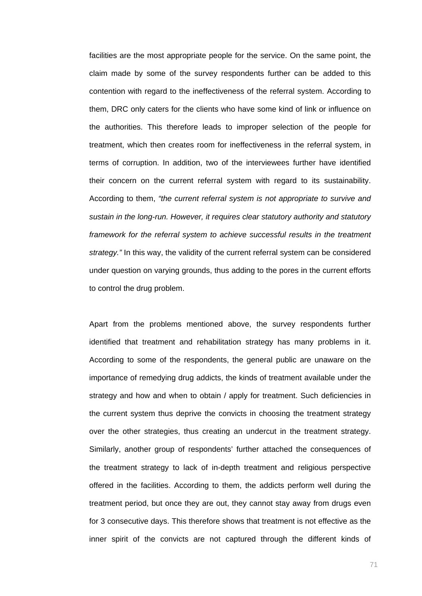facilities are the most appropriate people for the service. On the same point, the claim made by some of the survey respondents further can be added to this contention with regard to the ineffectiveness of the referral system. According to them, DRC only caters for the clients who have some kind of link or influence on the authorities. This therefore leads to improper selection of the people for treatment, which then creates room for ineffectiveness in the referral system, in terms of corruption. In addition, two of the interviewees further have identified their concern on the current referral system with regard to its sustainability. According to them, *"the current referral system is not appropriate to survive and sustain in the long-run. However, it requires clear statutory authority and statutory*  framework for the referral system to achieve successful results in the treatment *strategy."* In this way, the validity of the current referral system can be considered under question on varying grounds, thus adding to the pores in the current efforts to control the drug problem.

Apart from the problems mentioned above, the survey respondents further identified that treatment and rehabilitation strategy has many problems in it. According to some of the respondents, the general public are unaware on the importance of remedying drug addicts, the kinds of treatment available under the strategy and how and when to obtain / apply for treatment. Such deficiencies in the current system thus deprive the convicts in choosing the treatment strategy over the other strategies, thus creating an undercut in the treatment strategy. Similarly, another group of respondents' further attached the consequences of the treatment strategy to lack of in-depth treatment and religious perspective offered in the facilities. According to them, the addicts perform well during the treatment period, but once they are out, they cannot stay away from drugs even for 3 consecutive days. This therefore shows that treatment is not effective as the inner spirit of the convicts are not captured through the different kinds of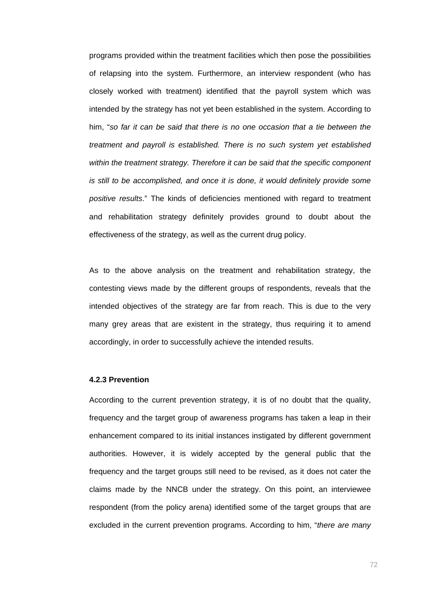programs provided within the treatment facilities which then pose the possibilities of relapsing into the system. Furthermore, an interview respondent (who has closely worked with treatment) identified that the payroll system which was intended by the strategy has not yet been established in the system. According to him, "*so far it can be said that there is no one occasion that a tie between the treatment and payroll is established. There is no such system yet established within the treatment strategy. Therefore it can be said that the specific component is still to be accomplished, and once it is done, it would definitely provide some positive results*." The kinds of deficiencies mentioned with regard to treatment and rehabilitation strategy definitely provides ground to doubt about the effectiveness of the strategy, as well as the current drug policy.

As to the above analysis on the treatment and rehabilitation strategy, the contesting views made by the different groups of respondents, reveals that the intended objectives of the strategy are far from reach. This is due to the very many grey areas that are existent in the strategy, thus requiring it to amend accordingly, in order to successfully achieve the intended results.

### **4.2.3 Prevention**

According to the current prevention strategy, it is of no doubt that the quality, frequency and the target group of awareness programs has taken a leap in their enhancement compared to its initial instances instigated by different government authorities. However, it is widely accepted by the general public that the frequency and the target groups still need to be revised, as it does not cater the claims made by the NNCB under the strategy. On this point, an interviewee respondent (from the policy arena) identified some of the target groups that are excluded in the current prevention programs. According to him, "*there are many*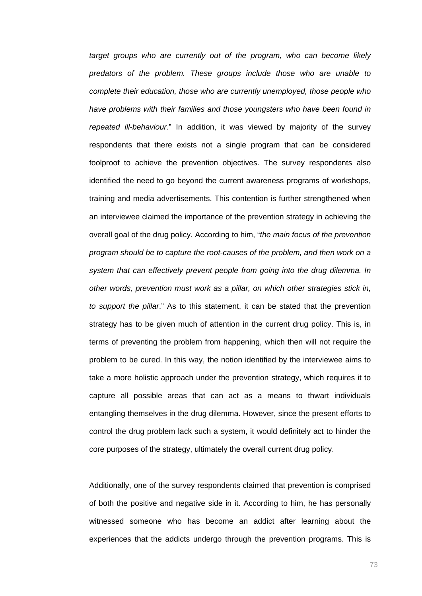*target groups who are currently out of the program, who can become likely predators of the problem. These groups include those who are unable to complete their education, those who are currently unemployed, those people who have problems with their families and those youngsters who have been found in repeated ill-behaviour*." In addition, it was viewed by majority of the survey respondents that there exists not a single program that can be considered foolproof to achieve the prevention objectives. The survey respondents also identified the need to go beyond the current awareness programs of workshops, training and media advertisements. This contention is further strengthened when an interviewee claimed the importance of the prevention strategy in achieving the overall goal of the drug policy. According to him, "*the main focus of the prevention program should be to capture the root-causes of the problem, and then work on a system that can effectively prevent people from going into the drug dilemma. In other words, prevention must work as a pillar, on which other strategies stick in, to support the pillar*." As to this statement, it can be stated that the prevention strategy has to be given much of attention in the current drug policy. This is, in terms of preventing the problem from happening, which then will not require the problem to be cured. In this way, the notion identified by the interviewee aims to take a more holistic approach under the prevention strategy, which requires it to capture all possible areas that can act as a means to thwart individuals entangling themselves in the drug dilemma. However, since the present efforts to control the drug problem lack such a system, it would definitely act to hinder the core purposes of the strategy, ultimately the overall current drug policy.

Additionally, one of the survey respondents claimed that prevention is comprised of both the positive and negative side in it. According to him, he has personally witnessed someone who has become an addict after learning about the experiences that the addicts undergo through the prevention programs. This is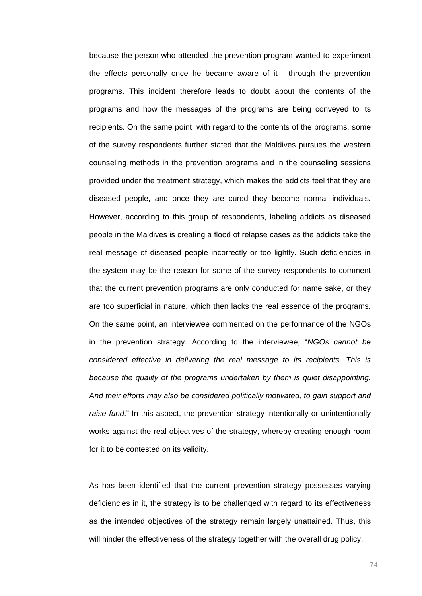because the person who attended the prevention program wanted to experiment the effects personally once he became aware of it - through the prevention programs. This incident therefore leads to doubt about the contents of the programs and how the messages of the programs are being conveyed to its recipients. On the same point, with regard to the contents of the programs, some of the survey respondents further stated that the Maldives pursues the western counseling methods in the prevention programs and in the counseling sessions provided under the treatment strategy, which makes the addicts feel that they are diseased people, and once they are cured they become normal individuals. However, according to this group of respondents, labeling addicts as diseased people in the Maldives is creating a flood of relapse cases as the addicts take the real message of diseased people incorrectly or too lightly. Such deficiencies in the system may be the reason for some of the survey respondents to comment that the current prevention programs are only conducted for name sake, or they are too superficial in nature, which then lacks the real essence of the programs. On the same point, an interviewee commented on the performance of the NGOs in the prevention strategy. According to the interviewee, "*NGOs cannot be considered effective in delivering the real message to its recipients. This is because the quality of the programs undertaken by them is quiet disappointing. And their efforts may also be considered politically motivated, to gain support and raise fund*." In this aspect, the prevention strategy intentionally or unintentionally works against the real objectives of the strategy, whereby creating enough room for it to be contested on its validity.

As has been identified that the current prevention strategy possesses varying deficiencies in it, the strategy is to be challenged with regard to its effectiveness as the intended objectives of the strategy remain largely unattained. Thus, this will hinder the effectiveness of the strategy together with the overall drug policy.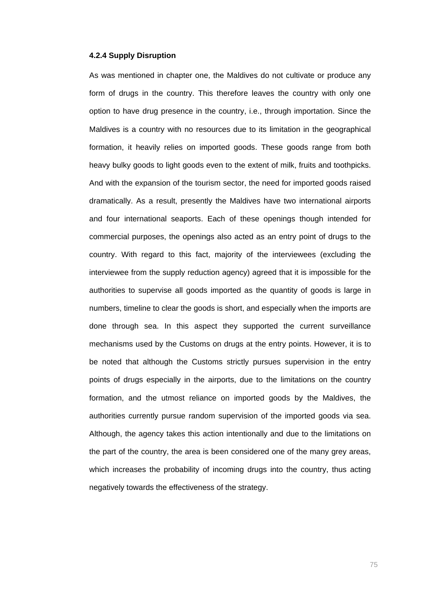### **4.2.4 Supply Disruption**

As was mentioned in chapter one, the Maldives do not cultivate or produce any form of drugs in the country. This therefore leaves the country with only one option to have drug presence in the country, i.e., through importation. Since the Maldives is a country with no resources due to its limitation in the geographical formation, it heavily relies on imported goods. These goods range from both heavy bulky goods to light goods even to the extent of milk, fruits and toothpicks. And with the expansion of the tourism sector, the need for imported goods raised dramatically. As a result, presently the Maldives have two international airports and four international seaports. Each of these openings though intended for commercial purposes, the openings also acted as an entry point of drugs to the country. With regard to this fact, majority of the interviewees (excluding the interviewee from the supply reduction agency) agreed that it is impossible for the authorities to supervise all goods imported as the quantity of goods is large in numbers, timeline to clear the goods is short, and especially when the imports are done through sea. In this aspect they supported the current surveillance mechanisms used by the Customs on drugs at the entry points. However, it is to be noted that although the Customs strictly pursues supervision in the entry points of drugs especially in the airports, due to the limitations on the country formation, and the utmost reliance on imported goods by the Maldives, the authorities currently pursue random supervision of the imported goods via sea. Although, the agency takes this action intentionally and due to the limitations on the part of the country, the area is been considered one of the many grey areas, which increases the probability of incoming drugs into the country, thus acting negatively towards the effectiveness of the strategy.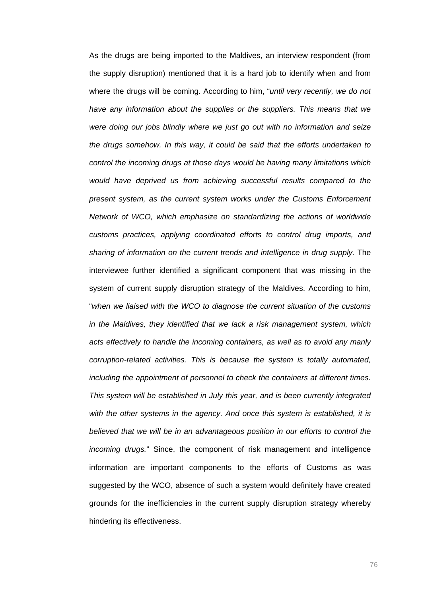As the drugs are being imported to the Maldives, an interview respondent (from the supply disruption) mentioned that it is a hard job to identify when and from where the drugs will be coming. According to him, "*until very recently, we do not have any information about the supplies or the suppliers. This means that we were doing our jobs blindly where we just go out with no information and seize the drugs somehow. In this way, it could be said that the efforts undertaken to control the incoming drugs at those days would be having many limitations which would have deprived us from achieving successful results compared to the present system, as the current system works under the Customs Enforcement Network of WCO, which emphasize on standardizing the actions of worldwide customs practices, applying coordinated efforts to control drug imports, and sharing of information on the current trends and intelligence in drug supply.* The interviewee further identified a significant component that was missing in the system of current supply disruption strategy of the Maldives. According to him, "*when we liaised with the WCO to diagnose the current situation of the customs in the Maldives, they identified that we lack a risk management system, which acts effectively to handle the incoming containers, as well as to avoid any manly corruption-related activities. This is because the system is totally automated, including the appointment of personnel to check the containers at different times. This system will be established in July this year, and is been currently integrated with the other systems in the agency. And once this system is established, it is*  believed that we will be in an advantageous position in our efforts to control the *incoming drugs.*" Since, the component of risk management and intelligence information are important components to the efforts of Customs as was suggested by the WCO, absence of such a system would definitely have created grounds for the inefficiencies in the current supply disruption strategy whereby hindering its effectiveness.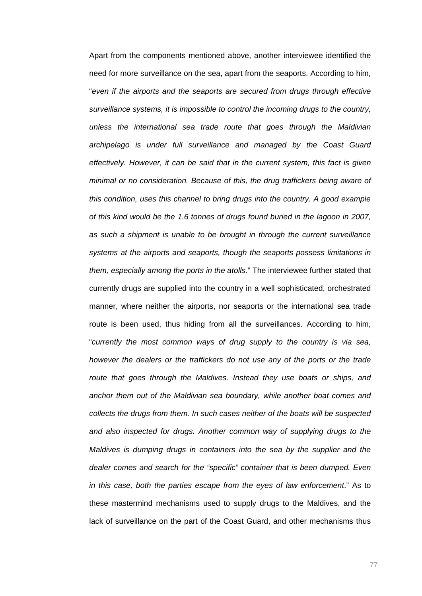Apart from the components mentioned above, another interviewee identified the need for more surveillance on the sea, apart from the seaports. According to him, "*even if the airports and the seaports are secured from drugs through effective surveillance systems, it is impossible to control the incoming drugs to the country, unless the international sea trade route that goes through the Maldivian archipelago is under full surveillance and managed by the Coast Guard effectively. However, it can be said that in the current system, this fact is given minimal or no consideration. Because of this, the drug traffickers being aware of this condition, uses this channel to bring drugs into the country. A good example of this kind would be the 1.6 tonnes of drugs found buried in the lagoon in 2007, as such a shipment is unable to be brought in through the current surveillance systems at the airports and seaports, though the seaports possess limitations in them, especially among the ports in the atolls.*" The interviewee further stated that currently drugs are supplied into the country in a well sophisticated, orchestrated manner, where neither the airports, nor seaports or the international sea trade route is been used, thus hiding from all the surveillances. According to him, "*currently the most common ways of drug supply to the country is via sea, however the dealers or the traffickers do not use any of the ports or the trade route that goes through the Maldives. Instead they use boats or ships, and anchor them out of the Maldivian sea boundary, while another boat comes and collects the drugs from them. In such cases neither of the boats will be suspected and also inspected for drugs. Another common way of supplying drugs to the Maldives is dumping drugs in containers into the sea by the supplier and the*  dealer comes and search for the "specific" container that is been dumped. Even *in this case, both the parties escape from the eyes of law enforcement*." As to these mastermind mechanisms used to supply drugs to the Maldives, and the lack of surveillance on the part of the Coast Guard, and other mechanisms thus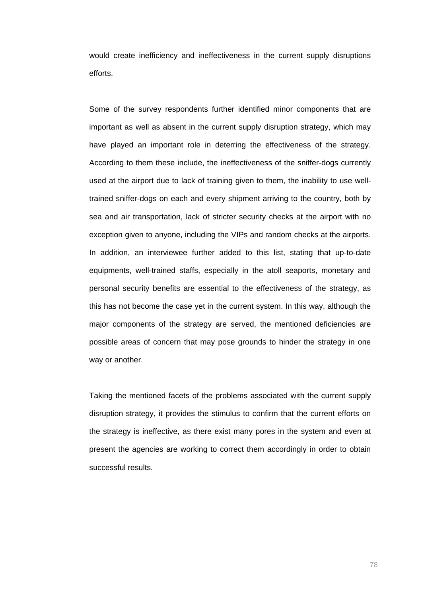would create inefficiency and ineffectiveness in the current supply disruptions efforts.

Some of the survey respondents further identified minor components that are important as well as absent in the current supply disruption strategy, which may have played an important role in deterring the effectiveness of the strategy. According to them these include, the ineffectiveness of the sniffer-dogs currently used at the airport due to lack of training given to them, the inability to use welltrained sniffer-dogs on each and every shipment arriving to the country, both by sea and air transportation, lack of stricter security checks at the airport with no exception given to anyone, including the VIPs and random checks at the airports. In addition, an interviewee further added to this list, stating that up-to-date equipments, well-trained staffs, especially in the atoll seaports, monetary and personal security benefits are essential to the effectiveness of the strategy, as this has not become the case yet in the current system. In this way, although the major components of the strategy are served, the mentioned deficiencies are possible areas of concern that may pose grounds to hinder the strategy in one way or another.

Taking the mentioned facets of the problems associated with the current supply disruption strategy, it provides the stimulus to confirm that the current efforts on the strategy is ineffective, as there exist many pores in the system and even at present the agencies are working to correct them accordingly in order to obtain successful results.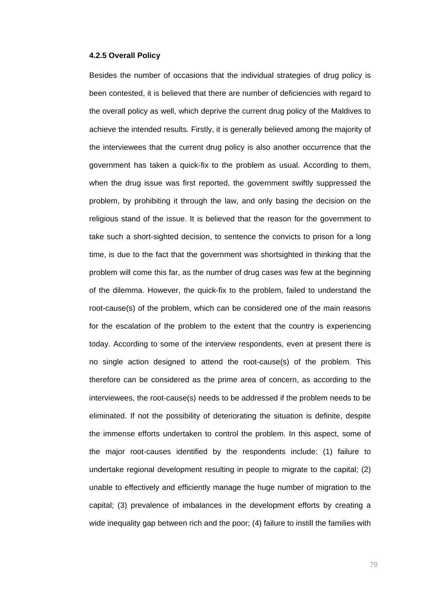### **4.2.5 Overall Policy**

Besides the number of occasions that the individual strategies of drug policy is been contested, it is believed that there are number of deficiencies with regard to the overall policy as well, which deprive the current drug policy of the Maldives to achieve the intended results. Firstly, it is generally believed among the majority of the interviewees that the current drug policy is also another occurrence that the government has taken a quick-fix to the problem as usual. According to them, when the drug issue was first reported, the government swiftly suppressed the problem, by prohibiting it through the law, and only basing the decision on the religious stand of the issue. It is believed that the reason for the government to take such a short-sighted decision, to sentence the convicts to prison for a long time, is due to the fact that the government was shortsighted in thinking that the problem will come this far, as the number of drug cases was few at the beginning of the dilemma. However, the quick-fix to the problem, failed to understand the root-cause(s) of the problem, which can be considered one of the main reasons for the escalation of the problem to the extent that the country is experiencing today. According to some of the interview respondents, even at present there is no single action designed to attend the root-cause(s) of the problem. This therefore can be considered as the prime area of concern, as according to the interviewees, the root-cause(s) needs to be addressed if the problem needs to be eliminated. If not the possibility of deteriorating the situation is definite, despite the immense efforts undertaken to control the problem. In this aspect, some of the major root-causes identified by the respondents include: (1) failure to undertake regional development resulting in people to migrate to the capital; (2) unable to effectively and efficiently manage the huge number of migration to the capital; (3) prevalence of imbalances in the development efforts by creating a wide inequality gap between rich and the poor; (4) failure to instill the families with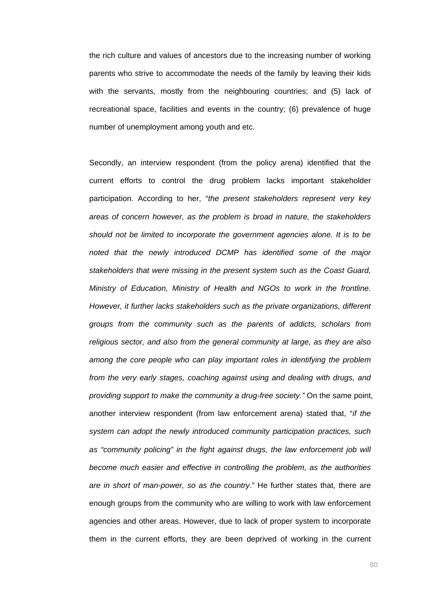the rich culture and values of ancestors due to the increasing number of working parents who strive to accommodate the needs of the family by leaving their kids with the servants, mostly from the neighbouring countries; and (5) lack of recreational space, facilities and events in the country; (6) prevalence of huge number of unemployment among youth and etc.

Secondly, an interview respondent (from the policy arena) identified that the current efforts to control the drug problem lacks important stakeholder participation. According to her, "*the present stakeholders represent very key areas of concern however, as the problem is broad in nature, the stakeholders should not be limited to incorporate the government agencies alone. It is to be noted that the newly introduced DCMP has identified some of the major stakeholders that were missing in the present system such as the Coast Guard, Ministry of Education, Ministry of Health and NGOs to work in the frontline. However, it further lacks stakeholders such as the private organizations, different groups from the community such as the parents of addicts, scholars from religious sector, and also from the general community at large, as they are also among the core people who can play important roles in identifying the problem from the very early stages, coaching against using and dealing with drugs, and providing support to make the community a drug-free society."* On the same point, another interview respondent (from law enforcement arena) stated that, "*if the system can adopt the newly introduced community participation practices, such*  as "community policing" in the fight against drugs, the law enforcement job will *become much easier and effective in controlling the problem, as the authorities are in short of man-power, so as the country*." He further states that, there are enough groups from the community who are willing to work with law enforcement agencies and other areas. However, due to lack of proper system to incorporate them in the current efforts, they are been deprived of working in the current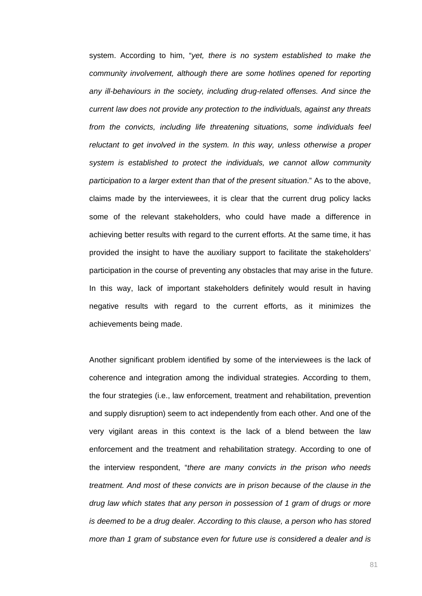system. According to him, "*yet, there is no system established to make the community involvement, although there are some hotlines opened for reporting any ill-behaviours in the society, including drug-related offenses. And since the current law does not provide any protection to the individuals, against any threats from the convicts, including life threatening situations, some individuals feel reluctant to get involved in the system. In this way, unless otherwise a proper system is established to protect the individuals, we cannot allow community participation to a larger extent than that of the present situation*." As to the above, claims made by the interviewees, it is clear that the current drug policy lacks some of the relevant stakeholders, who could have made a difference in achieving better results with regard to the current efforts. At the same time, it has provided the insight to have the auxiliary support to facilitate the stakeholders' participation in the course of preventing any obstacles that may arise in the future. In this way, lack of important stakeholders definitely would result in having negative results with regard to the current efforts, as it minimizes the achievements being made.

Another significant problem identified by some of the interviewees is the lack of coherence and integration among the individual strategies. According to them, the four strategies (i.e., law enforcement, treatment and rehabilitation, prevention and supply disruption) seem to act independently from each other. And one of the very vigilant areas in this context is the lack of a blend between the law enforcement and the treatment and rehabilitation strategy. According to one of the interview respondent, "*there are many convicts in the prison who needs treatment. And most of these convicts are in prison because of the clause in the drug law which states that any person in possession of 1 gram of drugs or more is deemed to be a drug dealer. According to this clause, a person who has stored more than 1 gram of substance even for future use is considered a dealer and is*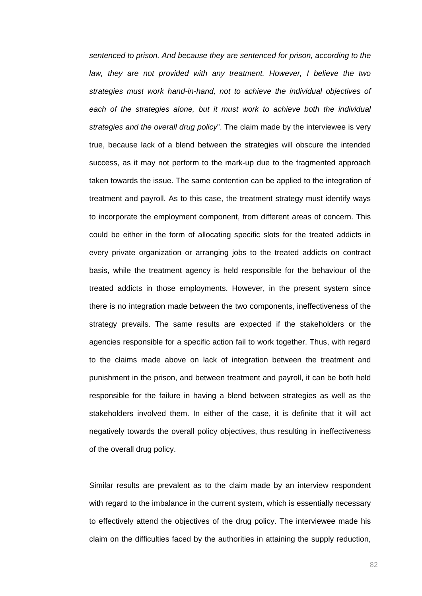*sentenced to prison. And because they are sentenced for prison, according to the law, they are not provided with any treatment. However, I believe the two strategies must work hand-in-hand, not to achieve the individual objectives of*  each of the strategies alone, but it must work to achieve both the individual *strategies and the overall drug policy*". The claim made by the interviewee is very true, because lack of a blend between the strategies will obscure the intended success, as it may not perform to the mark-up due to the fragmented approach taken towards the issue. The same contention can be applied to the integration of treatment and payroll. As to this case, the treatment strategy must identify ways to incorporate the employment component, from different areas of concern. This could be either in the form of allocating specific slots for the treated addicts in every private organization or arranging jobs to the treated addicts on contract basis, while the treatment agency is held responsible for the behaviour of the treated addicts in those employments. However, in the present system since there is no integration made between the two components, ineffectiveness of the strategy prevails. The same results are expected if the stakeholders or the agencies responsible for a specific action fail to work together. Thus, with regard to the claims made above on lack of integration between the treatment and punishment in the prison, and between treatment and payroll, it can be both held responsible for the failure in having a blend between strategies as well as the stakeholders involved them. In either of the case, it is definite that it will act negatively towards the overall policy objectives, thus resulting in ineffectiveness of the overall drug policy.

Similar results are prevalent as to the claim made by an interview respondent with regard to the imbalance in the current system, which is essentially necessary to effectively attend the objectives of the drug policy. The interviewee made his claim on the difficulties faced by the authorities in attaining the supply reduction,

82 and 2012 and 2012 and 2012 and 2012 and 2012 and 2012 and 2012 and 2012 and 2012 and 2012 and 201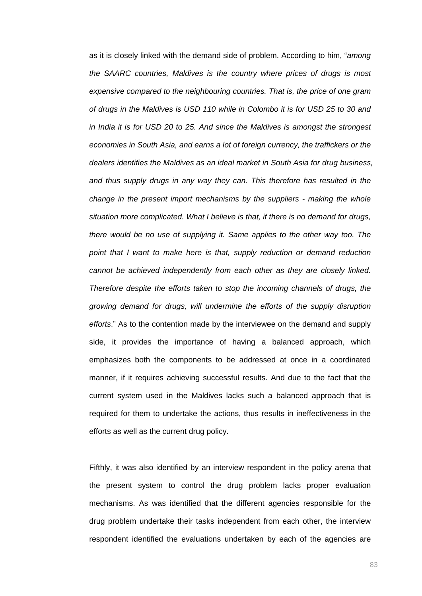as it is closely linked with the demand side of problem. According to him, "*among the SAARC countries, Maldives is the country where prices of drugs is most expensive compared to the neighbouring countries. That is, the price of one gram of drugs in the Maldives is USD 110 while in Colombo it is for USD 25 to 30 and in India it is for USD 20 to 25. And since the Maldives is amongst the strongest economies in South Asia, and earns a lot of foreign currency, the traffickers or the dealers identifies the Maldives as an ideal market in South Asia for drug business, and thus supply drugs in any way they can. This therefore has resulted in the change in the present import mechanisms by the suppliers - making the whole situation more complicated. What I believe is that, if there is no demand for drugs, there would be no use of supplying it. Same applies to the other way too. The point that I want to make here is that, supply reduction or demand reduction cannot be achieved independently from each other as they are closely linked. Therefore despite the efforts taken to stop the incoming channels of drugs, the growing demand for drugs, will undermine the efforts of the supply disruption efforts*." As to the contention made by the interviewee on the demand and supply side, it provides the importance of having a balanced approach, which emphasizes both the components to be addressed at once in a coordinated manner, if it requires achieving successful results. And due to the fact that the current system used in the Maldives lacks such a balanced approach that is required for them to undertake the actions, thus results in ineffectiveness in the efforts as well as the current drug policy.

Fifthly, it was also identified by an interview respondent in the policy arena that the present system to control the drug problem lacks proper evaluation mechanisms. As was identified that the different agencies responsible for the drug problem undertake their tasks independent from each other, the interview respondent identified the evaluations undertaken by each of the agencies are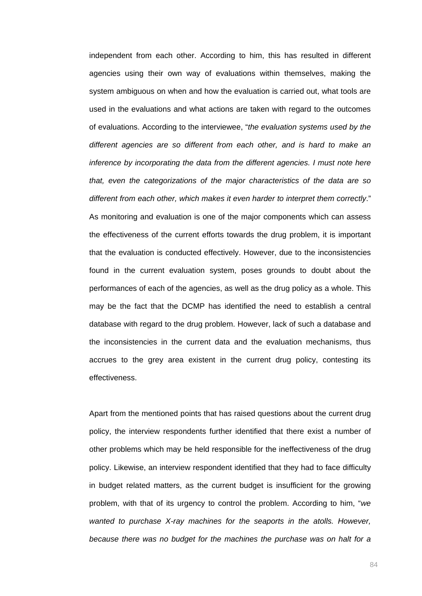independent from each other. According to him, this has resulted in different agencies using their own way of evaluations within themselves, making the system ambiguous on when and how the evaluation is carried out, what tools are used in the evaluations and what actions are taken with regard to the outcomes of evaluations. According to the interviewee, "*the evaluation systems used by the different agencies are so different from each other, and is hard to make an inference by incorporating the data from the different agencies. I must note here that, even the categorizations of the major characteristics of the data are so different from each other, which makes it even harder to interpret them correctly*." As monitoring and evaluation is one of the major components which can assess the effectiveness of the current efforts towards the drug problem, it is important that the evaluation is conducted effectively. However, due to the inconsistencies found in the current evaluation system, poses grounds to doubt about the performances of each of the agencies, as well as the drug policy as a whole. This may be the fact that the DCMP has identified the need to establish a central database with regard to the drug problem. However, lack of such a database and the inconsistencies in the current data and the evaluation mechanisms, thus accrues to the grey area existent in the current drug policy, contesting its effectiveness.

Apart from the mentioned points that has raised questions about the current drug policy, the interview respondents further identified that there exist a number of other problems which may be held responsible for the ineffectiveness of the drug policy. Likewise, an interview respondent identified that they had to face difficulty in budget related matters, as the current budget is insufficient for the growing problem, with that of its urgency to control the problem. According to him, "*we wanted to purchase X-ray machines for the seaports in the atolls. However, because there was no budget for the machines the purchase was on halt for a*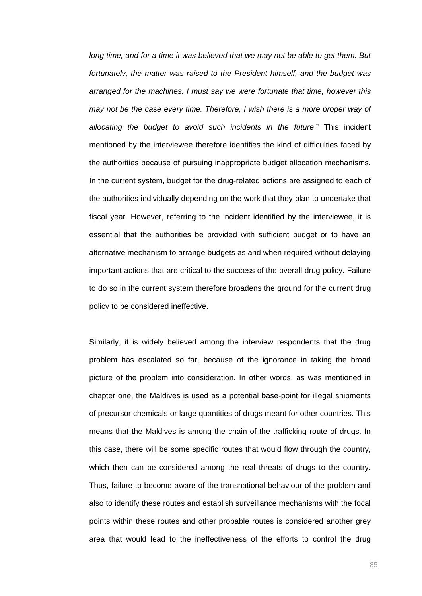*long time, and for a time it was believed that we may not be able to get them. But fortunately, the matter was raised to the President himself, and the budget was arranged for the machines. I must say we were fortunate that time, however this may not be the case every time. Therefore, I wish there is a more proper way of allocating the budget to avoid such incidents in the future*." This incident mentioned by the interviewee therefore identifies the kind of difficulties faced by the authorities because of pursuing inappropriate budget allocation mechanisms. In the current system, budget for the drug-related actions are assigned to each of the authorities individually depending on the work that they plan to undertake that fiscal year. However, referring to the incident identified by the interviewee, it is essential that the authorities be provided with sufficient budget or to have an alternative mechanism to arrange budgets as and when required without delaying important actions that are critical to the success of the overall drug policy. Failure to do so in the current system therefore broadens the ground for the current drug policy to be considered ineffective.

Similarly, it is widely believed among the interview respondents that the drug problem has escalated so far, because of the ignorance in taking the broad picture of the problem into consideration. In other words, as was mentioned in chapter one, the Maldives is used as a potential base-point for illegal shipments of precursor chemicals or large quantities of drugs meant for other countries. This means that the Maldives is among the chain of the trafficking route of drugs. In this case, there will be some specific routes that would flow through the country, which then can be considered among the real threats of drugs to the country. Thus, failure to become aware of the transnational behaviour of the problem and also to identify these routes and establish surveillance mechanisms with the focal points within these routes and other probable routes is considered another grey area that would lead to the ineffectiveness of the efforts to control the drug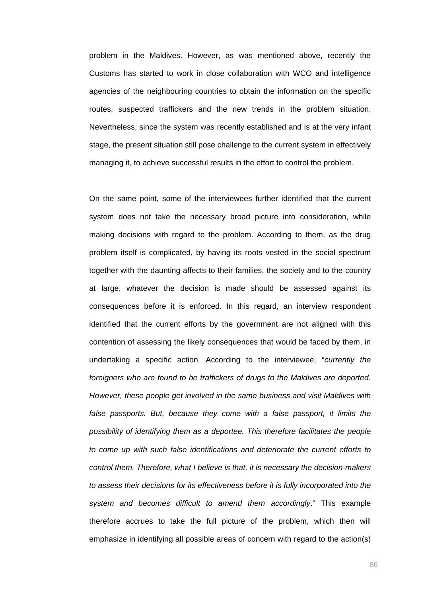problem in the Maldives. However, as was mentioned above, recently the Customs has started to work in close collaboration with WCO and intelligence agencies of the neighbouring countries to obtain the information on the specific routes, suspected traffickers and the new trends in the problem situation. Nevertheless, since the system was recently established and is at the very infant stage, the present situation still pose challenge to the current system in effectively managing it, to achieve successful results in the effort to control the problem.

On the same point, some of the interviewees further identified that the current system does not take the necessary broad picture into consideration, while making decisions with regard to the problem. According to them, as the drug problem itself is complicated, by having its roots vested in the social spectrum together with the daunting affects to their families, the society and to the country at large, whatever the decision is made should be assessed against its consequences before it is enforced. In this regard, an interview respondent identified that the current efforts by the government are not aligned with this contention of assessing the likely consequences that would be faced by them, in undertaking a specific action. According to the interviewee, "*currently the foreigners who are found to be traffickers of drugs to the Maldives are deported. However, these people get involved in the same business and visit Maldives with*  false passports. But, because they come with a false passport, it limits the *possibility of identifying them as a deportee. This therefore facilitates the people to come up with such false identifications and deteriorate the current efforts to control them. Therefore, what I believe is that, it is necessary the decision-makers to assess their decisions for its effectiveness before it is fully incorporated into the system and becomes difficult to amend them accordingly*." This example therefore accrues to take the full picture of the problem, which then will emphasize in identifying all possible areas of concern with regard to the action(s)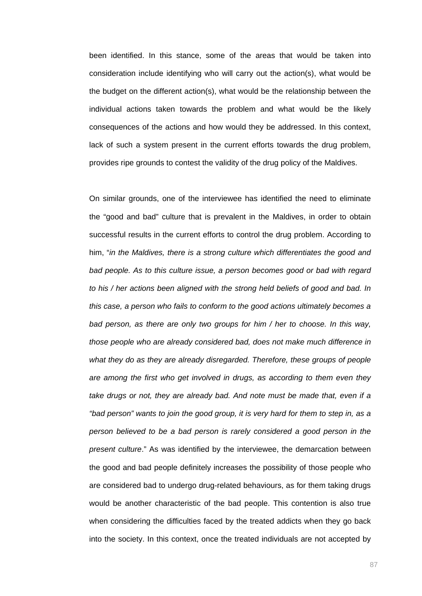been identified. In this stance, some of the areas that would be taken into consideration include identifying who will carry out the action(s), what would be the budget on the different action(s), what would be the relationship between the individual actions taken towards the problem and what would be the likely consequences of the actions and how would they be addressed. In this context, lack of such a system present in the current efforts towards the drug problem, provides ripe grounds to contest the validity of the drug policy of the Maldives.

On similar grounds, one of the interviewee has identified the need to eliminate the "good and bad" culture that is prevalent in the Maldives, in order to obtain successful results in the current efforts to control the drug problem. According to him, "*in the Maldives, there is a strong culture which differentiates the good and*  bad people. As to this culture issue, a person becomes good or bad with regard *to his / her actions been aligned with the strong held beliefs of good and bad. In this case, a person who fails to conform to the good actions ultimately becomes a bad person, as there are only two groups for him / her to choose. In this way, those people who are already considered bad, does not make much difference in what they do as they are already disregarded. Therefore, these groups of people are among the first who get involved in drugs, as according to them even they take drugs or not, they are already bad. And note must be made that, even if a "bad person" wants to join the good group, it is very hard for them to step in, as a person believed to be a bad person is rarely considered a good person in the present culture*." As was identified by the interviewee, the demarcation between the good and bad people definitely increases the possibility of those people who are considered bad to undergo drug-related behaviours, as for them taking drugs would be another characteristic of the bad people. This contention is also true when considering the difficulties faced by the treated addicts when they go back into the society. In this context, once the treated individuals are not accepted by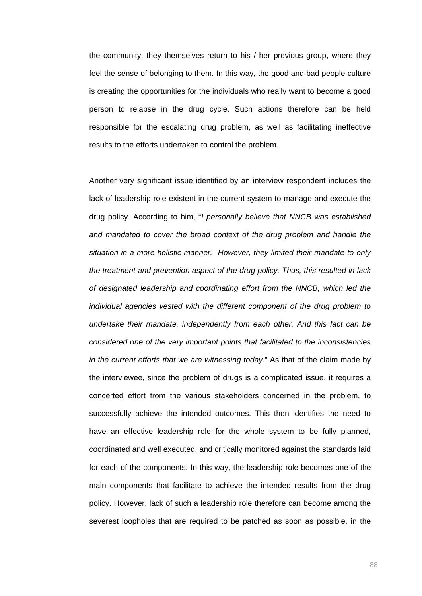the community, they themselves return to his / her previous group, where they feel the sense of belonging to them. In this way, the good and bad people culture is creating the opportunities for the individuals who really want to become a good person to relapse in the drug cycle. Such actions therefore can be held responsible for the escalating drug problem, as well as facilitating ineffective results to the efforts undertaken to control the problem.

Another very significant issue identified by an interview respondent includes the lack of leadership role existent in the current system to manage and execute the drug policy. According to him, "*I personally believe that NNCB was established and mandated to cover the broad context of the drug problem and handle the situation in a more holistic manner. However, they limited their mandate to only the treatment and prevention aspect of the drug policy. Thus, this resulted in lack of designated leadership and coordinating effort from the NNCB, which led the individual agencies vested with the different component of the drug problem to undertake their mandate, independently from each other. And this fact can be considered one of the very important points that facilitated to the inconsistencies in the current efforts that we are witnessing today*." As that of the claim made by the interviewee, since the problem of drugs is a complicated issue, it requires a concerted effort from the various stakeholders concerned in the problem, to successfully achieve the intended outcomes. This then identifies the need to have an effective leadership role for the whole system to be fully planned, coordinated and well executed, and critically monitored against the standards laid for each of the components. In this way, the leadership role becomes one of the main components that facilitate to achieve the intended results from the drug policy. However, lack of such a leadership role therefore can become among the severest loopholes that are required to be patched as soon as possible, in the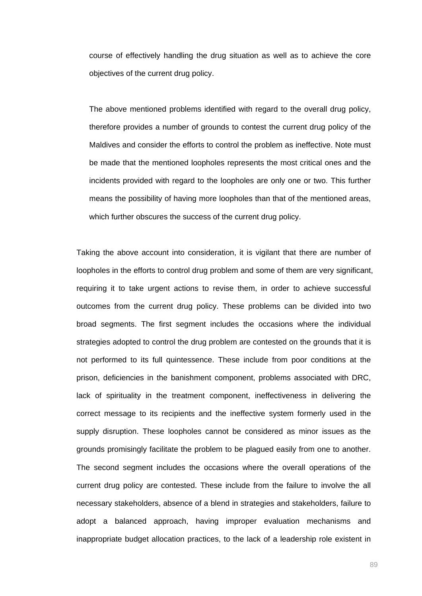course of effectively handling the drug situation as well as to achieve the core objectives of the current drug policy.

The above mentioned problems identified with regard to the overall drug policy, therefore provides a number of grounds to contest the current drug policy of the Maldives and consider the efforts to control the problem as ineffective. Note must be made that the mentioned loopholes represents the most critical ones and the incidents provided with regard to the loopholes are only one or two. This further means the possibility of having more loopholes than that of the mentioned areas, which further obscures the success of the current drug policy.

Taking the above account into consideration, it is vigilant that there are number of loopholes in the efforts to control drug problem and some of them are very significant, requiring it to take urgent actions to revise them, in order to achieve successful outcomes from the current drug policy. These problems can be divided into two broad segments. The first segment includes the occasions where the individual strategies adopted to control the drug problem are contested on the grounds that it is not performed to its full quintessence. These include from poor conditions at the prison, deficiencies in the banishment component, problems associated with DRC, lack of spirituality in the treatment component, ineffectiveness in delivering the correct message to its recipients and the ineffective system formerly used in the supply disruption. These loopholes cannot be considered as minor issues as the grounds promisingly facilitate the problem to be plagued easily from one to another. The second segment includes the occasions where the overall operations of the current drug policy are contested. These include from the failure to involve the all necessary stakeholders, absence of a blend in strategies and stakeholders, failure to adopt a balanced approach, having improper evaluation mechanisms and inappropriate budget allocation practices, to the lack of a leadership role existent in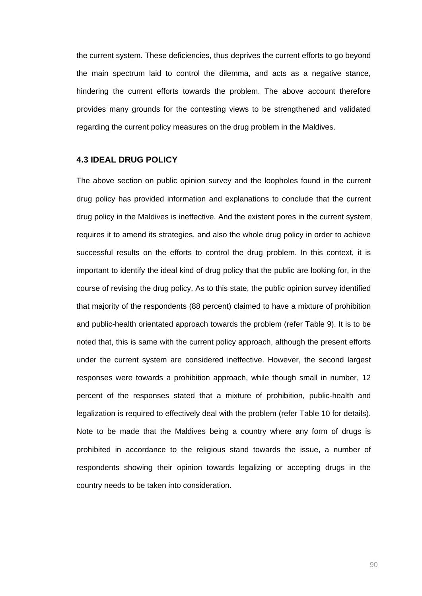the current system. These deficiencies, thus deprives the current efforts to go beyond the main spectrum laid to control the dilemma, and acts as a negative stance, hindering the current efforts towards the problem. The above account therefore provides many grounds for the contesting views to be strengthened and validated regarding the current policy measures on the drug problem in the Maldives.

## **4.3 IDEAL DRUG POLICY**

The above section on public opinion survey and the loopholes found in the current drug policy has provided information and explanations to conclude that the current drug policy in the Maldives is ineffective. And the existent pores in the current system, requires it to amend its strategies, and also the whole drug policy in order to achieve successful results on the efforts to control the drug problem. In this context, it is important to identify the ideal kind of drug policy that the public are looking for, in the course of revising the drug policy. As to this state, the public opinion survey identified that majority of the respondents (88 percent) claimed to have a mixture of prohibition and public-health orientated approach towards the problem (refer Table 9). It is to be noted that, this is same with the current policy approach, although the present efforts under the current system are considered ineffective. However, the second largest responses were towards a prohibition approach, while though small in number, 12 percent of the responses stated that a mixture of prohibition, public-health and legalization is required to effectively deal with the problem (refer Table 10 for details). Note to be made that the Maldives being a country where any form of drugs is prohibited in accordance to the religious stand towards the issue, a number of respondents showing their opinion towards legalizing or accepting drugs in the country needs to be taken into consideration.

90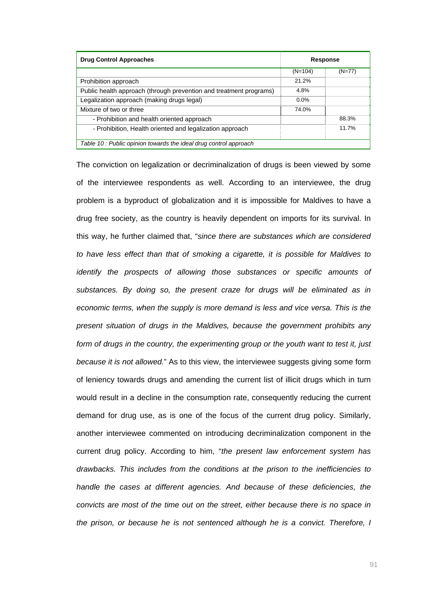| <b>Drug Control Approaches</b>                                     | <b>Response</b> |          |  |  |  |
|--------------------------------------------------------------------|-----------------|----------|--|--|--|
|                                                                    | $(N=104)$       | $(N=77)$ |  |  |  |
| Prohibition approach                                               | 21.2%           |          |  |  |  |
| Public health approach (through prevention and treatment programs) | 4.8%            |          |  |  |  |
| Legalization approach (making drugs legal)                         | $0.0\%$         |          |  |  |  |
| Mixture of two or three                                            | 74.0%           |          |  |  |  |
| - Prohibition and health oriented approach                         |                 | 88.3%    |  |  |  |
| - Prohibition, Health oriented and legalization approach           |                 | 11.7%    |  |  |  |
| Table 10: Public opinion towards the ideal drug control approach   |                 |          |  |  |  |

The conviction on legalization or decriminalization of drugs is been viewed by some of the interviewee respondents as well. According to an interviewee, the drug problem is a byproduct of globalization and it is impossible for Maldives to have a drug free society, as the country is heavily dependent on imports for its survival. In this way, he further claimed that, "*since there are substances which are considered to have less effect than that of smoking a cigarette, it is possible for Maldives to identify the prospects of allowing those substances or specific amounts of substances. By doing so, the present craze for drugs will be eliminated as in economic terms, when the supply is more demand is less and vice versa. This is the present situation of drugs in the Maldives, because the government prohibits any form of drugs in the country, the experimenting group or the youth want to test it, just because it is not allowed.*" As to this view, the interviewee suggests giving some form of leniency towards drugs and amending the current list of illicit drugs which in turn would result in a decline in the consumption rate, consequently reducing the current demand for drug use, as is one of the focus of the current drug policy. Similarly, another interviewee commented on introducing decriminalization component in the current drug policy. According to him, "*the present law enforcement system has drawbacks. This includes from the conditions at the prison to the inefficiencies to handle the cases at different agencies. And because of these deficiencies, the convicts are most of the time out on the street, either because there is no space in the prison, or because he is not sentenced although he is a convict. Therefore, I*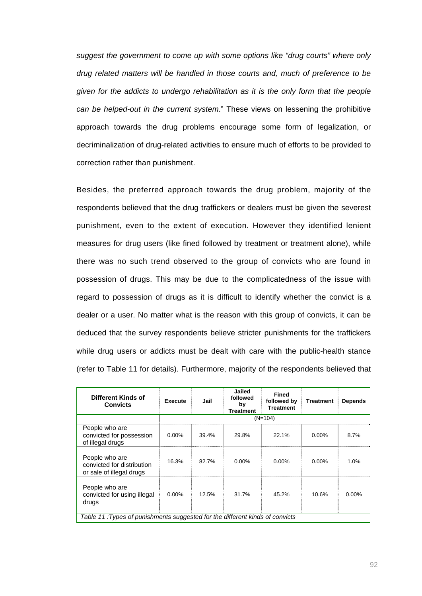*suggest the government to come up with some options like "drug courts" where only drug related matters will be handled in those courts and, much of preference to be given for the addicts to undergo rehabilitation as it is the only form that the people can be helped-out in the current system*." These views on lessening the prohibitive approach towards the drug problems encourage some form of legalization, or decriminalization of drug-related activities to ensure much of efforts to be provided to correction rather than punishment.

Besides, the preferred approach towards the drug problem, majority of the respondents believed that the drug traffickers or dealers must be given the severest punishment, even to the extent of execution. However they identified lenient measures for drug users (like fined followed by treatment or treatment alone), while there was no such trend observed to the group of convicts who are found in possession of drugs. This may be due to the complicatedness of the issue with regard to possession of drugs as it is difficult to identify whether the convict is a dealer or a user. No matter what is the reason with this group of convicts, it can be deduced that the survey respondents believe stricter punishments for the traffickers while drug users or addicts must be dealt with care with the public-health stance (refer to Table 11 for details). Furthermore, majority of the respondents believed that

| Different Kinds of<br><b>Convicts</b>                                        | <b>Execute</b> | Jail  | Jailed<br>followed<br>by<br><b>Treatment</b> | <b>Fined</b><br>followed by<br><b>Treatment</b> | Treatment | <b>Depends</b> |
|------------------------------------------------------------------------------|----------------|-------|----------------------------------------------|-------------------------------------------------|-----------|----------------|
|                                                                              |                |       |                                              | $(N=104)$                                       |           |                |
| People who are<br>convicted for possession<br>of illegal drugs               | $0.00\%$       | 39.4% | 29.8%                                        | 22.1%                                           | $0.00\%$  | 8.7%           |
| People who are<br>convicted for distribution<br>or sale of illegal drugs     | 16.3%          | 82.7% | $0.00\%$                                     | $0.00\%$                                        | $0.00\%$  | 1.0%           |
| People who are<br>convicted for using illegal<br>drugs                       | $0.00\%$       | 12.5% | 31.7%                                        | 45.2%                                           | 10.6%     | $0.00\%$       |
| Table 11: Types of punishments suggested for the different kinds of convicts |                |       |                                              |                                                 |           |                |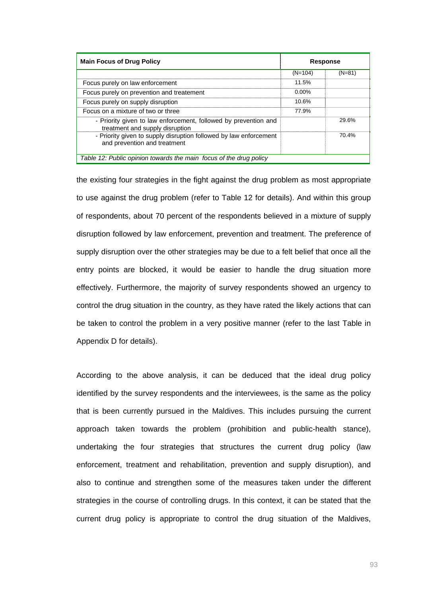| <b>Main Focus of Drug Policy</b>                                                                   | <b>Response</b> |          |  |  |  |
|----------------------------------------------------------------------------------------------------|-----------------|----------|--|--|--|
|                                                                                                    | $(N=104)$       | $(N=81)$ |  |  |  |
| Focus purely on law enforcement                                                                    | 11.5%           |          |  |  |  |
| Focus purely on prevention and treatement                                                          | $0.00\%$        |          |  |  |  |
| Focus purely on supply disruption                                                                  | 10.6%           |          |  |  |  |
| Focus on a mixture of two or three                                                                 | 77.9%           |          |  |  |  |
| - Priority given to law enforcement, followed by prevention and<br>treatment and supply disruption |                 | 29.6%    |  |  |  |
| - Priority given to supply disruption followed by law enforcement<br>and prevention and treatment  |                 | 70.4%    |  |  |  |
| Table 12: Public opinion towards the main focus of the drug policy                                 |                 |          |  |  |  |

the existing four strategies in the fight against the drug problem as most appropriate to use against the drug problem (refer to Table 12 for details). And within this group of respondents, about 70 percent of the respondents believed in a mixture of supply disruption followed by law enforcement, prevention and treatment. The preference of supply disruption over the other strategies may be due to a felt belief that once all the entry points are blocked, it would be easier to handle the drug situation more effectively. Furthermore, the majority of survey respondents showed an urgency to control the drug situation in the country, as they have rated the likely actions that can be taken to control the problem in a very positive manner (refer to the last Table in Appendix D for details).

According to the above analysis, it can be deduced that the ideal drug policy identified by the survey respondents and the interviewees, is the same as the policy that is been currently pursued in the Maldives. This includes pursuing the current approach taken towards the problem (prohibition and public-health stance), undertaking the four strategies that structures the current drug policy (law enforcement, treatment and rehabilitation, prevention and supply disruption), and also to continue and strengthen some of the measures taken under the different strategies in the course of controlling drugs. In this context, it can be stated that the current drug policy is appropriate to control the drug situation of the Maldives,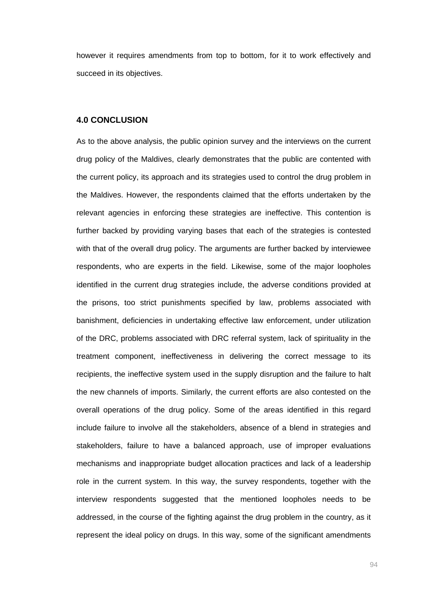however it requires amendments from top to bottom, for it to work effectively and succeed in its objectives.

# **4.0 CONCLUSION**

As to the above analysis, the public opinion survey and the interviews on the current drug policy of the Maldives, clearly demonstrates that the public are contented with the current policy, its approach and its strategies used to control the drug problem in the Maldives. However, the respondents claimed that the efforts undertaken by the relevant agencies in enforcing these strategies are ineffective. This contention is further backed by providing varying bases that each of the strategies is contested with that of the overall drug policy. The arguments are further backed by interviewee respondents, who are experts in the field. Likewise, some of the major loopholes identified in the current drug strategies include, the adverse conditions provided at the prisons, too strict punishments specified by law, problems associated with banishment, deficiencies in undertaking effective law enforcement, under utilization of the DRC, problems associated with DRC referral system, lack of spirituality in the treatment component, ineffectiveness in delivering the correct message to its recipients, the ineffective system used in the supply disruption and the failure to halt the new channels of imports. Similarly, the current efforts are also contested on the overall operations of the drug policy. Some of the areas identified in this regard include failure to involve all the stakeholders, absence of a blend in strategies and stakeholders, failure to have a balanced approach, use of improper evaluations mechanisms and inappropriate budget allocation practices and lack of a leadership role in the current system. In this way, the survey respondents, together with the interview respondents suggested that the mentioned loopholes needs to be addressed, in the course of the fighting against the drug problem in the country, as it represent the ideal policy on drugs. In this way, some of the significant amendments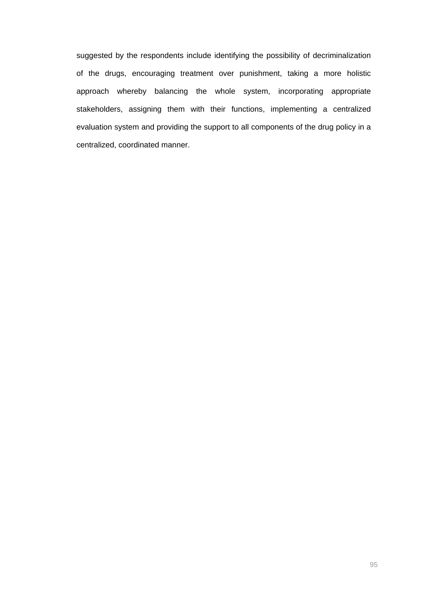suggested by the respondents include identifying the possibility of decriminalization of the drugs, encouraging treatment over punishment, taking a more holistic approach whereby balancing the whole system, incorporating appropriate stakeholders, assigning them with their functions, implementing a centralized evaluation system and providing the support to all components of the drug policy in a centralized, coordinated manner.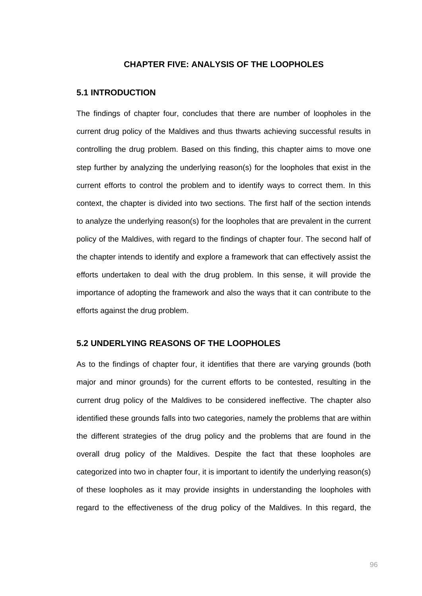## **CHAPTER FIVE: ANALYSIS OF THE LOOPHOLES**

### **5.1 INTRODUCTION**

The findings of chapter four, concludes that there are number of loopholes in the current drug policy of the Maldives and thus thwarts achieving successful results in controlling the drug problem. Based on this finding, this chapter aims to move one step further by analyzing the underlying reason(s) for the loopholes that exist in the current efforts to control the problem and to identify ways to correct them. In this context, the chapter is divided into two sections. The first half of the section intends to analyze the underlying reason(s) for the loopholes that are prevalent in the current policy of the Maldives, with regard to the findings of chapter four. The second half of the chapter intends to identify and explore a framework that can effectively assist the efforts undertaken to deal with the drug problem. In this sense, it will provide the importance of adopting the framework and also the ways that it can contribute to the efforts against the drug problem.

## **5.2 UNDERLYING REASONS OF THE LOOPHOLES**

As to the findings of chapter four, it identifies that there are varying grounds (both major and minor grounds) for the current efforts to be contested, resulting in the current drug policy of the Maldives to be considered ineffective. The chapter also identified these grounds falls into two categories, namely the problems that are within the different strategies of the drug policy and the problems that are found in the overall drug policy of the Maldives. Despite the fact that these loopholes are categorized into two in chapter four, it is important to identify the underlying reason(s) of these loopholes as it may provide insights in understanding the loopholes with regard to the effectiveness of the drug policy of the Maldives. In this regard, the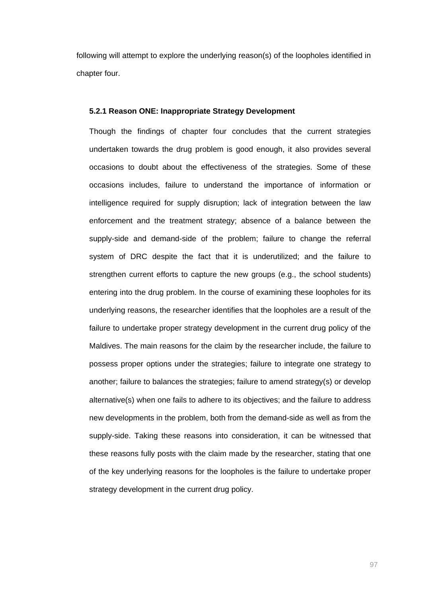following will attempt to explore the underlying reason(s) of the loopholes identified in chapter four.

#### **5.2.1 Reason ONE: Inappropriate Strategy Development**

Though the findings of chapter four concludes that the current strategies undertaken towards the drug problem is good enough, it also provides several occasions to doubt about the effectiveness of the strategies. Some of these occasions includes, failure to understand the importance of information or intelligence required for supply disruption; lack of integration between the law enforcement and the treatment strategy; absence of a balance between the supply-side and demand-side of the problem; failure to change the referral system of DRC despite the fact that it is underutilized; and the failure to strengthen current efforts to capture the new groups (e.g., the school students) entering into the drug problem. In the course of examining these loopholes for its underlying reasons, the researcher identifies that the loopholes are a result of the failure to undertake proper strategy development in the current drug policy of the Maldives. The main reasons for the claim by the researcher include, the failure to possess proper options under the strategies; failure to integrate one strategy to another; failure to balances the strategies; failure to amend strategy(s) or develop alternative(s) when one fails to adhere to its objectives; and the failure to address new developments in the problem, both from the demand-side as well as from the supply-side. Taking these reasons into consideration, it can be witnessed that these reasons fully posts with the claim made by the researcher, stating that one of the key underlying reasons for the loopholes is the failure to undertake proper strategy development in the current drug policy.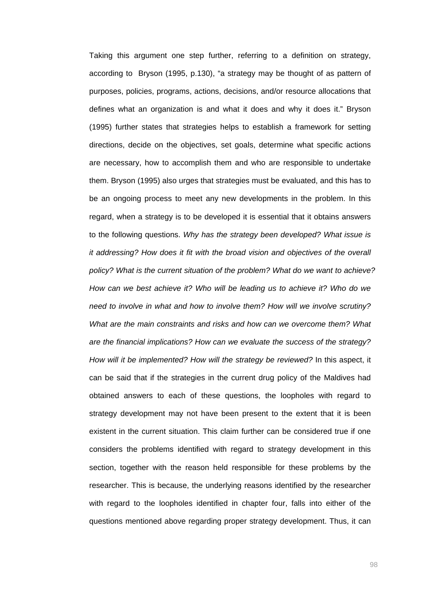Taking this argument one step further, referring to a definition on strategy, according to Bryson (1995, p.130), "a strategy may be thought of as pattern of purposes, policies, programs, actions, decisions, and/or resource allocations that defines what an organization is and what it does and why it does it." Bryson (1995) further states that strategies helps to establish a framework for setting directions, decide on the objectives, set goals, determine what specific actions are necessary, how to accomplish them and who are responsible to undertake them. Bryson (1995) also urges that strategies must be evaluated, and this has to be an ongoing process to meet any new developments in the problem. In this regard, when a strategy is to be developed it is essential that it obtains answers to the following questions. *Why has the strategy been developed? What issue is it addressing? How does it fit with the broad vision and objectives of the overall policy? What is the current situation of the problem? What do we want to achieve? How can we best achieve it? Who will be leading us to achieve it? Who do we need to involve in what and how to involve them? How will we involve scrutiny? What are the main constraints and risks and how can we overcome them? What are the financial implications? How can we evaluate the success of the strategy? How will it be implemented? How will the strategy be reviewed?* In this aspect, it can be said that if the strategies in the current drug policy of the Maldives had obtained answers to each of these questions, the loopholes with regard to strategy development may not have been present to the extent that it is been existent in the current situation. This claim further can be considered true if one considers the problems identified with regard to strategy development in this section, together with the reason held responsible for these problems by the researcher. This is because, the underlying reasons identified by the researcher with regard to the loopholes identified in chapter four, falls into either of the questions mentioned above regarding proper strategy development. Thus, it can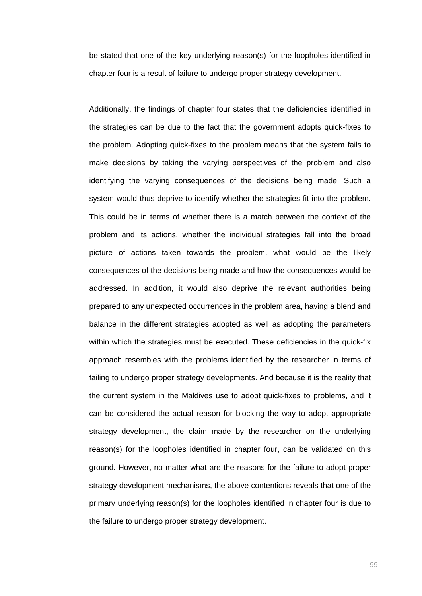be stated that one of the key underlying reason(s) for the loopholes identified in chapter four is a result of failure to undergo proper strategy development.

Additionally, the findings of chapter four states that the deficiencies identified in the strategies can be due to the fact that the government adopts quick-fixes to the problem. Adopting quick-fixes to the problem means that the system fails to make decisions by taking the varying perspectives of the problem and also identifying the varying consequences of the decisions being made. Such a system would thus deprive to identify whether the strategies fit into the problem. This could be in terms of whether there is a match between the context of the problem and its actions, whether the individual strategies fall into the broad picture of actions taken towards the problem, what would be the likely consequences of the decisions being made and how the consequences would be addressed. In addition, it would also deprive the relevant authorities being prepared to any unexpected occurrences in the problem area, having a blend and balance in the different strategies adopted as well as adopting the parameters within which the strategies must be executed. These deficiencies in the quick-fix approach resembles with the problems identified by the researcher in terms of failing to undergo proper strategy developments. And because it is the reality that the current system in the Maldives use to adopt quick-fixes to problems, and it can be considered the actual reason for blocking the way to adopt appropriate strategy development, the claim made by the researcher on the underlying reason(s) for the loopholes identified in chapter four, can be validated on this ground. However, no matter what are the reasons for the failure to adopt proper strategy development mechanisms, the above contentions reveals that one of the primary underlying reason(s) for the loopholes identified in chapter four is due to the failure to undergo proper strategy development.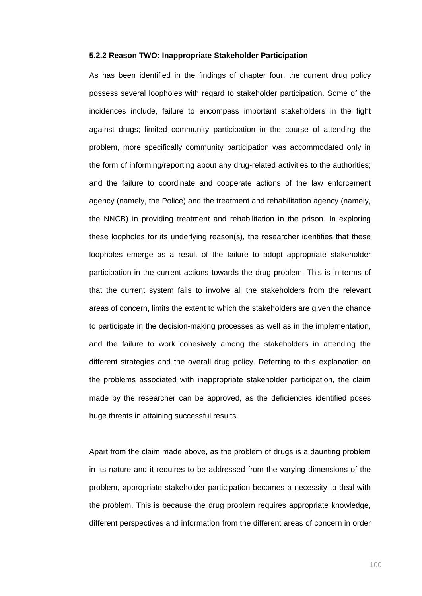#### **5.2.2 Reason TWO: Inappropriate Stakeholder Participation**

As has been identified in the findings of chapter four, the current drug policy possess several loopholes with regard to stakeholder participation. Some of the incidences include, failure to encompass important stakeholders in the fight against drugs; limited community participation in the course of attending the problem, more specifically community participation was accommodated only in the form of informing/reporting about any drug-related activities to the authorities; and the failure to coordinate and cooperate actions of the law enforcement agency (namely, the Police) and the treatment and rehabilitation agency (namely, the NNCB) in providing treatment and rehabilitation in the prison. In exploring these loopholes for its underlying reason(s), the researcher identifies that these loopholes emerge as a result of the failure to adopt appropriate stakeholder participation in the current actions towards the drug problem. This is in terms of that the current system fails to involve all the stakeholders from the relevant areas of concern, limits the extent to which the stakeholders are given the chance to participate in the decision-making processes as well as in the implementation, and the failure to work cohesively among the stakeholders in attending the different strategies and the overall drug policy. Referring to this explanation on the problems associated with inappropriate stakeholder participation, the claim made by the researcher can be approved, as the deficiencies identified poses huge threats in attaining successful results.

Apart from the claim made above, as the problem of drugs is a daunting problem in its nature and it requires to be addressed from the varying dimensions of the problem, appropriate stakeholder participation becomes a necessity to deal with the problem. This is because the drug problem requires appropriate knowledge, different perspectives and information from the different areas of concern in order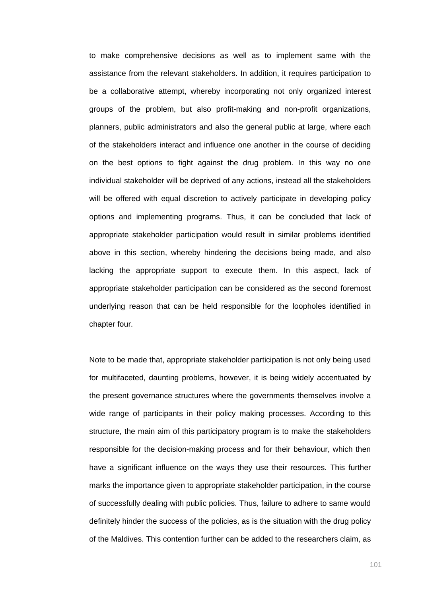to make comprehensive decisions as well as to implement same with the assistance from the relevant stakeholders. In addition, it requires participation to be a collaborative attempt, whereby incorporating not only organized interest groups of the problem, but also profit-making and non-profit organizations, planners, public administrators and also the general public at large, where each of the stakeholders interact and influence one another in the course of deciding on the best options to fight against the drug problem. In this way no one individual stakeholder will be deprived of any actions, instead all the stakeholders will be offered with equal discretion to actively participate in developing policy options and implementing programs. Thus, it can be concluded that lack of appropriate stakeholder participation would result in similar problems identified above in this section, whereby hindering the decisions being made, and also lacking the appropriate support to execute them. In this aspect, lack of appropriate stakeholder participation can be considered as the second foremost underlying reason that can be held responsible for the loopholes identified in chapter four.

Note to be made that, appropriate stakeholder participation is not only being used for multifaceted, daunting problems, however, it is being widely accentuated by the present governance structures where the governments themselves involve a wide range of participants in their policy making processes. According to this structure, the main aim of this participatory program is to make the stakeholders responsible for the decision-making process and for their behaviour, which then have a significant influence on the ways they use their resources. This further marks the importance given to appropriate stakeholder participation, in the course of successfully dealing with public policies. Thus, failure to adhere to same would definitely hinder the success of the policies, as is the situation with the drug policy of the Maldives. This contention further can be added to the researchers claim, as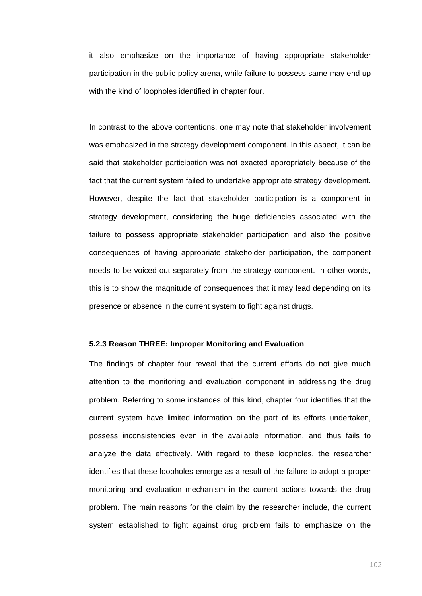it also emphasize on the importance of having appropriate stakeholder participation in the public policy arena, while failure to possess same may end up with the kind of loopholes identified in chapter four.

In contrast to the above contentions, one may note that stakeholder involvement was emphasized in the strategy development component. In this aspect, it can be said that stakeholder participation was not exacted appropriately because of the fact that the current system failed to undertake appropriate strategy development. However, despite the fact that stakeholder participation is a component in strategy development, considering the huge deficiencies associated with the failure to possess appropriate stakeholder participation and also the positive consequences of having appropriate stakeholder participation, the component needs to be voiced-out separately from the strategy component. In other words, this is to show the magnitude of consequences that it may lead depending on its presence or absence in the current system to fight against drugs.

# **5.2.3 Reason THREE: Improper Monitoring and Evaluation**

The findings of chapter four reveal that the current efforts do not give much attention to the monitoring and evaluation component in addressing the drug problem. Referring to some instances of this kind, chapter four identifies that the current system have limited information on the part of its efforts undertaken, possess inconsistencies even in the available information, and thus fails to analyze the data effectively. With regard to these loopholes, the researcher identifies that these loopholes emerge as a result of the failure to adopt a proper monitoring and evaluation mechanism in the current actions towards the drug problem. The main reasons for the claim by the researcher include, the current system established to fight against drug problem fails to emphasize on the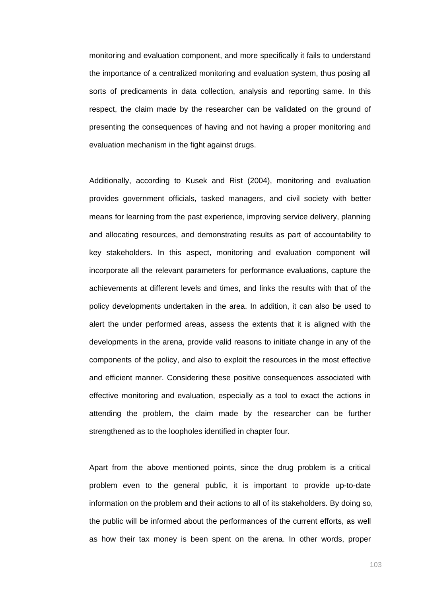monitoring and evaluation component, and more specifically it fails to understand the importance of a centralized monitoring and evaluation system, thus posing all sorts of predicaments in data collection, analysis and reporting same. In this respect, the claim made by the researcher can be validated on the ground of presenting the consequences of having and not having a proper monitoring and evaluation mechanism in the fight against drugs.

Additionally, according to Kusek and Rist (2004), monitoring and evaluation provides government officials, tasked managers, and civil society with better means for learning from the past experience, improving service delivery, planning and allocating resources, and demonstrating results as part of accountability to key stakeholders. In this aspect, monitoring and evaluation component will incorporate all the relevant parameters for performance evaluations, capture the achievements at different levels and times, and links the results with that of the policy developments undertaken in the area. In addition, it can also be used to alert the under performed areas, assess the extents that it is aligned with the developments in the arena, provide valid reasons to initiate change in any of the components of the policy, and also to exploit the resources in the most effective and efficient manner. Considering these positive consequences associated with effective monitoring and evaluation, especially as a tool to exact the actions in attending the problem, the claim made by the researcher can be further strengthened as to the loopholes identified in chapter four.

Apart from the above mentioned points, since the drug problem is a critical problem even to the general public, it is important to provide up-to-date information on the problem and their actions to all of its stakeholders. By doing so, the public will be informed about the performances of the current efforts, as well as how their tax money is been spent on the arena. In other words, proper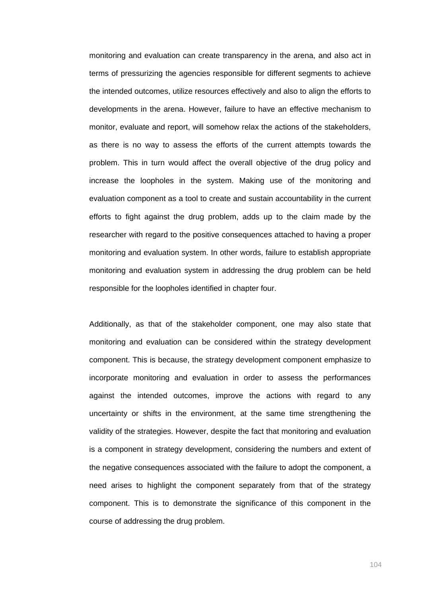monitoring and evaluation can create transparency in the arena, and also act in terms of pressurizing the agencies responsible for different segments to achieve the intended outcomes, utilize resources effectively and also to align the efforts to developments in the arena. However, failure to have an effective mechanism to monitor, evaluate and report, will somehow relax the actions of the stakeholders, as there is no way to assess the efforts of the current attempts towards the problem. This in turn would affect the overall objective of the drug policy and increase the loopholes in the system. Making use of the monitoring and evaluation component as a tool to create and sustain accountability in the current efforts to fight against the drug problem, adds up to the claim made by the researcher with regard to the positive consequences attached to having a proper monitoring and evaluation system. In other words, failure to establish appropriate monitoring and evaluation system in addressing the drug problem can be held responsible for the loopholes identified in chapter four.

Additionally, as that of the stakeholder component, one may also state that monitoring and evaluation can be considered within the strategy development component. This is because, the strategy development component emphasize to incorporate monitoring and evaluation in order to assess the performances against the intended outcomes, improve the actions with regard to any uncertainty or shifts in the environment, at the same time strengthening the validity of the strategies. However, despite the fact that monitoring and evaluation is a component in strategy development, considering the numbers and extent of the negative consequences associated with the failure to adopt the component, a need arises to highlight the component separately from that of the strategy component. This is to demonstrate the significance of this component in the course of addressing the drug problem.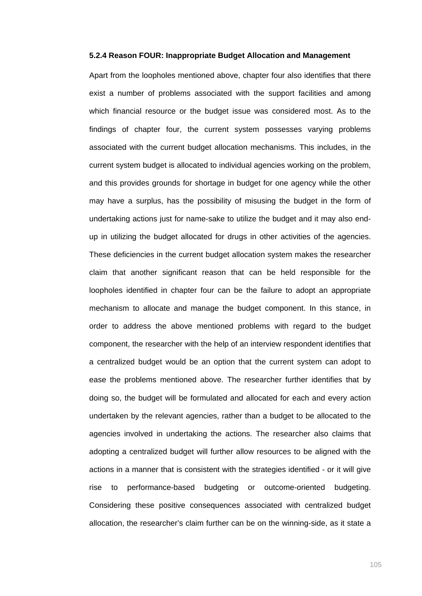#### **5.2.4 Reason FOUR: Inappropriate Budget Allocation and Management**

Apart from the loopholes mentioned above, chapter four also identifies that there exist a number of problems associated with the support facilities and among which financial resource or the budget issue was considered most. As to the findings of chapter four, the current system possesses varying problems associated with the current budget allocation mechanisms. This includes, in the current system budget is allocated to individual agencies working on the problem, and this provides grounds for shortage in budget for one agency while the other may have a surplus, has the possibility of misusing the budget in the form of undertaking actions just for name-sake to utilize the budget and it may also endup in utilizing the budget allocated for drugs in other activities of the agencies. These deficiencies in the current budget allocation system makes the researcher claim that another significant reason that can be held responsible for the loopholes identified in chapter four can be the failure to adopt an appropriate mechanism to allocate and manage the budget component. In this stance, in order to address the above mentioned problems with regard to the budget component, the researcher with the help of an interview respondent identifies that a centralized budget would be an option that the current system can adopt to ease the problems mentioned above. The researcher further identifies that by doing so, the budget will be formulated and allocated for each and every action undertaken by the relevant agencies, rather than a budget to be allocated to the agencies involved in undertaking the actions. The researcher also claims that adopting a centralized budget will further allow resources to be aligned with the actions in a manner that is consistent with the strategies identified - or it will give rise to performance-based budgeting or outcome-oriented budgeting. Considering these positive consequences associated with centralized budget allocation, the researcher's claim further can be on the winning-side, as it state a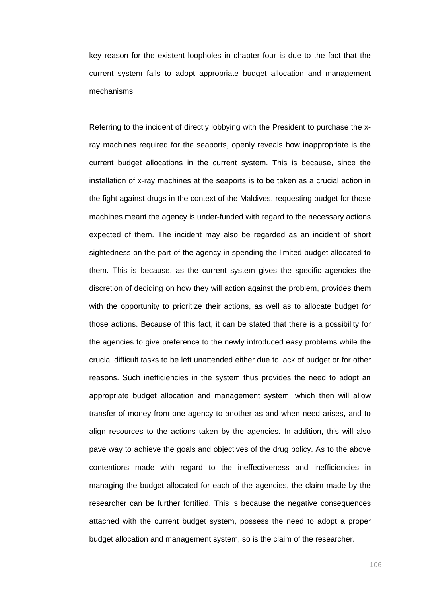key reason for the existent loopholes in chapter four is due to the fact that the current system fails to adopt appropriate budget allocation and management mechanisms.

Referring to the incident of directly lobbying with the President to purchase the xray machines required for the seaports, openly reveals how inappropriate is the current budget allocations in the current system. This is because, since the installation of x-ray machines at the seaports is to be taken as a crucial action in the fight against drugs in the context of the Maldives, requesting budget for those machines meant the agency is under-funded with regard to the necessary actions expected of them. The incident may also be regarded as an incident of short sightedness on the part of the agency in spending the limited budget allocated to them. This is because, as the current system gives the specific agencies the discretion of deciding on how they will action against the problem, provides them with the opportunity to prioritize their actions, as well as to allocate budget for those actions. Because of this fact, it can be stated that there is a possibility for the agencies to give preference to the newly introduced easy problems while the crucial difficult tasks to be left unattended either due to lack of budget or for other reasons. Such inefficiencies in the system thus provides the need to adopt an appropriate budget allocation and management system, which then will allow transfer of money from one agency to another as and when need arises, and to align resources to the actions taken by the agencies. In addition, this will also pave way to achieve the goals and objectives of the drug policy. As to the above contentions made with regard to the ineffectiveness and inefficiencies in managing the budget allocated for each of the agencies, the claim made by the researcher can be further fortified. This is because the negative consequences attached with the current budget system, possess the need to adopt a proper budget allocation and management system, so is the claim of the researcher.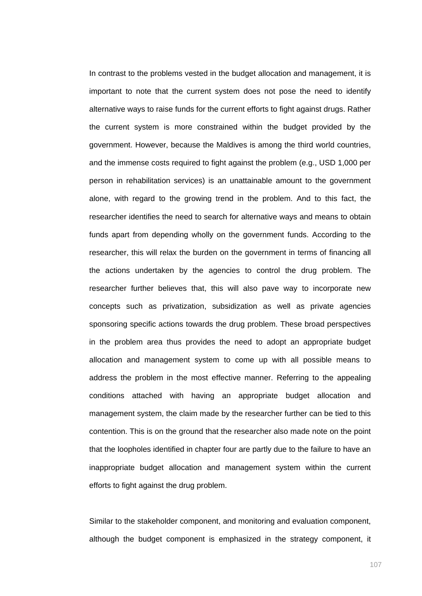In contrast to the problems vested in the budget allocation and management, it is important to note that the current system does not pose the need to identify alternative ways to raise funds for the current efforts to fight against drugs. Rather the current system is more constrained within the budget provided by the government. However, because the Maldives is among the third world countries, and the immense costs required to fight against the problem (e.g., USD 1,000 per person in rehabilitation services) is an unattainable amount to the government alone, with regard to the growing trend in the problem. And to this fact, the researcher identifies the need to search for alternative ways and means to obtain funds apart from depending wholly on the government funds. According to the researcher, this will relax the burden on the government in terms of financing all the actions undertaken by the agencies to control the drug problem. The researcher further believes that, this will also pave way to incorporate new concepts such as privatization, subsidization as well as private agencies sponsoring specific actions towards the drug problem. These broad perspectives in the problem area thus provides the need to adopt an appropriate budget allocation and management system to come up with all possible means to address the problem in the most effective manner. Referring to the appealing conditions attached with having an appropriate budget allocation and management system, the claim made by the researcher further can be tied to this contention. This is on the ground that the researcher also made note on the point that the loopholes identified in chapter four are partly due to the failure to have an inappropriate budget allocation and management system within the current efforts to fight against the drug problem.

Similar to the stakeholder component, and monitoring and evaluation component, although the budget component is emphasized in the strategy component, it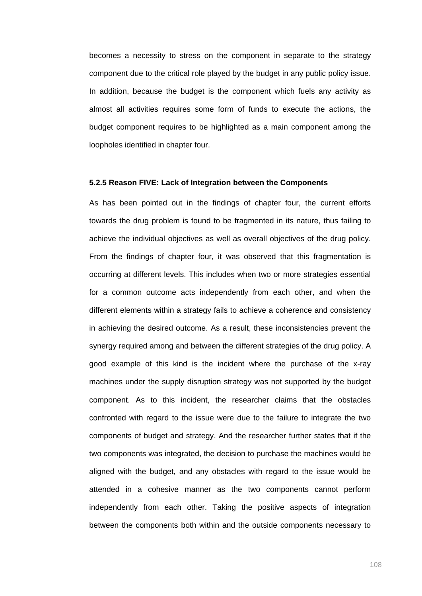becomes a necessity to stress on the component in separate to the strategy component due to the critical role played by the budget in any public policy issue. In addition, because the budget is the component which fuels any activity as almost all activities requires some form of funds to execute the actions, the budget component requires to be highlighted as a main component among the loopholes identified in chapter four.

### **5.2.5 Reason FIVE: Lack of Integration between the Components**

As has been pointed out in the findings of chapter four, the current efforts towards the drug problem is found to be fragmented in its nature, thus failing to achieve the individual objectives as well as overall objectives of the drug policy. From the findings of chapter four, it was observed that this fragmentation is occurring at different levels. This includes when two or more strategies essential for a common outcome acts independently from each other, and when the different elements within a strategy fails to achieve a coherence and consistency in achieving the desired outcome. As a result, these inconsistencies prevent the synergy required among and between the different strategies of the drug policy. A good example of this kind is the incident where the purchase of the x-ray machines under the supply disruption strategy was not supported by the budget component. As to this incident, the researcher claims that the obstacles confronted with regard to the issue were due to the failure to integrate the two components of budget and strategy. And the researcher further states that if the two components was integrated, the decision to purchase the machines would be aligned with the budget, and any obstacles with regard to the issue would be attended in a cohesive manner as the two components cannot perform independently from each other. Taking the positive aspects of integration between the components both within and the outside components necessary to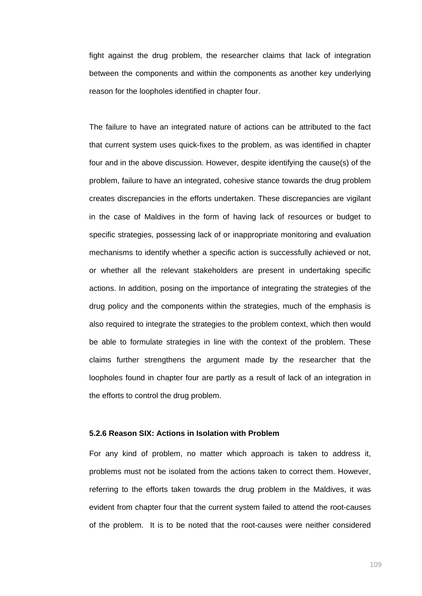fight against the drug problem, the researcher claims that lack of integration between the components and within the components as another key underlying reason for the loopholes identified in chapter four.

The failure to have an integrated nature of actions can be attributed to the fact that current system uses quick-fixes to the problem, as was identified in chapter four and in the above discussion. However, despite identifying the cause(s) of the problem, failure to have an integrated, cohesive stance towards the drug problem creates discrepancies in the efforts undertaken. These discrepancies are vigilant in the case of Maldives in the form of having lack of resources or budget to specific strategies, possessing lack of or inappropriate monitoring and evaluation mechanisms to identify whether a specific action is successfully achieved or not, or whether all the relevant stakeholders are present in undertaking specific actions. In addition, posing on the importance of integrating the strategies of the drug policy and the components within the strategies, much of the emphasis is also required to integrate the strategies to the problem context, which then would be able to formulate strategies in line with the context of the problem. These claims further strengthens the argument made by the researcher that the loopholes found in chapter four are partly as a result of lack of an integration in the efforts to control the drug problem.

# **5.2.6 Reason SIX: Actions in Isolation with Problem**

For any kind of problem, no matter which approach is taken to address it, problems must not be isolated from the actions taken to correct them. However, referring to the efforts taken towards the drug problem in the Maldives, it was evident from chapter four that the current system failed to attend the root-causes of the problem. It is to be noted that the root-causes were neither considered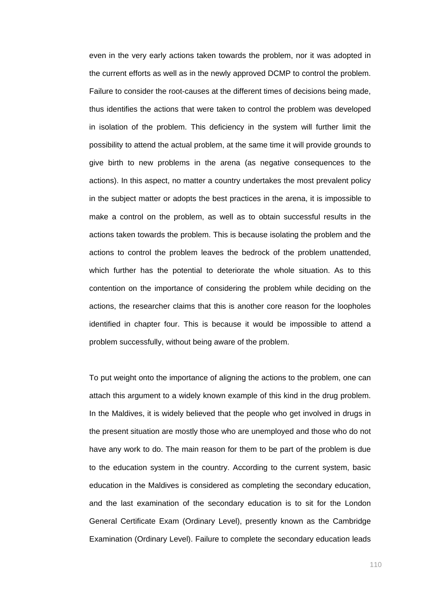even in the very early actions taken towards the problem, nor it was adopted in the current efforts as well as in the newly approved DCMP to control the problem. Failure to consider the root-causes at the different times of decisions being made, thus identifies the actions that were taken to control the problem was developed in isolation of the problem. This deficiency in the system will further limit the possibility to attend the actual problem, at the same time it will provide grounds to give birth to new problems in the arena (as negative consequences to the actions). In this aspect, no matter a country undertakes the most prevalent policy in the subject matter or adopts the best practices in the arena, it is impossible to make a control on the problem, as well as to obtain successful results in the actions taken towards the problem. This is because isolating the problem and the actions to control the problem leaves the bedrock of the problem unattended, which further has the potential to deteriorate the whole situation. As to this contention on the importance of considering the problem while deciding on the actions, the researcher claims that this is another core reason for the loopholes identified in chapter four. This is because it would be impossible to attend a problem successfully, without being aware of the problem.

To put weight onto the importance of aligning the actions to the problem, one can attach this argument to a widely known example of this kind in the drug problem. In the Maldives, it is widely believed that the people who get involved in drugs in the present situation are mostly those who are unemployed and those who do not have any work to do. The main reason for them to be part of the problem is due to the education system in the country. According to the current system, basic education in the Maldives is considered as completing the secondary education, and the last examination of the secondary education is to sit for the London General Certificate Exam (Ordinary Level), presently known as the Cambridge Examination (Ordinary Level). Failure to complete the secondary education leads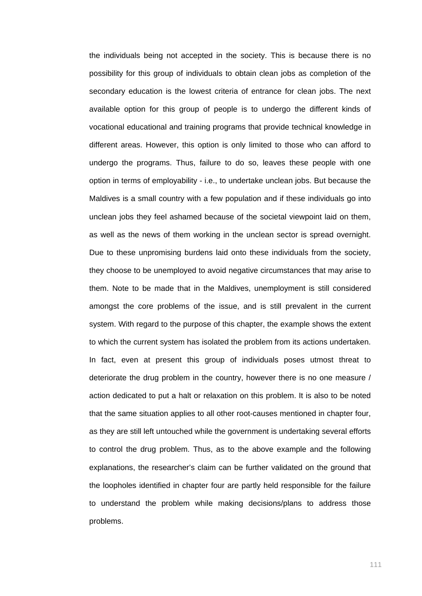the individuals being not accepted in the society. This is because there is no possibility for this group of individuals to obtain clean jobs as completion of the secondary education is the lowest criteria of entrance for clean jobs. The next available option for this group of people is to undergo the different kinds of vocational educational and training programs that provide technical knowledge in different areas. However, this option is only limited to those who can afford to undergo the programs. Thus, failure to do so, leaves these people with one option in terms of employability - i.e., to undertake unclean jobs. But because the Maldives is a small country with a few population and if these individuals go into unclean jobs they feel ashamed because of the societal viewpoint laid on them, as well as the news of them working in the unclean sector is spread overnight. Due to these unpromising burdens laid onto these individuals from the society, they choose to be unemployed to avoid negative circumstances that may arise to them. Note to be made that in the Maldives, unemployment is still considered amongst the core problems of the issue, and is still prevalent in the current system. With regard to the purpose of this chapter, the example shows the extent to which the current system has isolated the problem from its actions undertaken. In fact, even at present this group of individuals poses utmost threat to deteriorate the drug problem in the country, however there is no one measure / action dedicated to put a halt or relaxation on this problem. It is also to be noted that the same situation applies to all other root-causes mentioned in chapter four, as they are still left untouched while the government is undertaking several efforts to control the drug problem. Thus, as to the above example and the following explanations, the researcher's claim can be further validated on the ground that the loopholes identified in chapter four are partly held responsible for the failure to understand the problem while making decisions/plans to address those problems.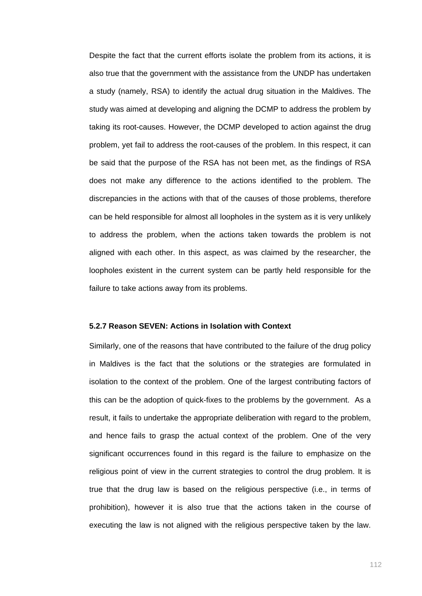Despite the fact that the current efforts isolate the problem from its actions, it is also true that the government with the assistance from the UNDP has undertaken a study (namely, RSA) to identify the actual drug situation in the Maldives. The study was aimed at developing and aligning the DCMP to address the problem by taking its root-causes. However, the DCMP developed to action against the drug problem, yet fail to address the root-causes of the problem. In this respect, it can be said that the purpose of the RSA has not been met, as the findings of RSA does not make any difference to the actions identified to the problem. The discrepancies in the actions with that of the causes of those problems, therefore can be held responsible for almost all loopholes in the system as it is very unlikely to address the problem, when the actions taken towards the problem is not aligned with each other. In this aspect, as was claimed by the researcher, the loopholes existent in the current system can be partly held responsible for the failure to take actions away from its problems.

### **5.2.7 Reason SEVEN: Actions in Isolation with Context**

Similarly, one of the reasons that have contributed to the failure of the drug policy in Maldives is the fact that the solutions or the strategies are formulated in isolation to the context of the problem. One of the largest contributing factors of this can be the adoption of quick-fixes to the problems by the government. As a result, it fails to undertake the appropriate deliberation with regard to the problem, and hence fails to grasp the actual context of the problem. One of the very significant occurrences found in this regard is the failure to emphasize on the religious point of view in the current strategies to control the drug problem. It is true that the drug law is based on the religious perspective (i.e., in terms of prohibition), however it is also true that the actions taken in the course of executing the law is not aligned with the religious perspective taken by the law.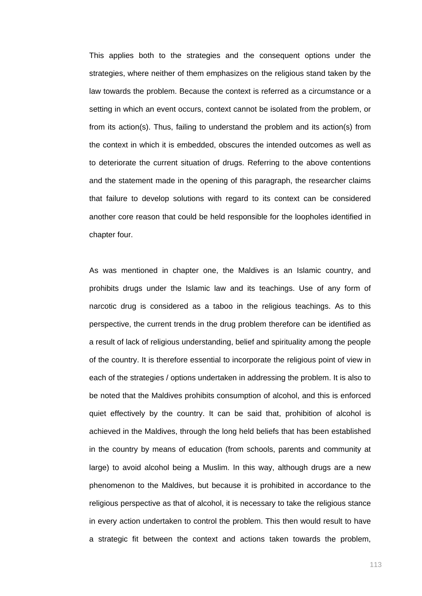This applies both to the strategies and the consequent options under the strategies, where neither of them emphasizes on the religious stand taken by the law towards the problem. Because the context is referred as a circumstance or a setting in which an event occurs, context cannot be isolated from the problem, or from its action(s). Thus, failing to understand the problem and its action(s) from the context in which it is embedded, obscures the intended outcomes as well as to deteriorate the current situation of drugs. Referring to the above contentions and the statement made in the opening of this paragraph, the researcher claims that failure to develop solutions with regard to its context can be considered another core reason that could be held responsible for the loopholes identified in chapter four.

As was mentioned in chapter one, the Maldives is an Islamic country, and prohibits drugs under the Islamic law and its teachings. Use of any form of narcotic drug is considered as a taboo in the religious teachings. As to this perspective, the current trends in the drug problem therefore can be identified as a result of lack of religious understanding, belief and spirituality among the people of the country. It is therefore essential to incorporate the religious point of view in each of the strategies / options undertaken in addressing the problem. It is also to be noted that the Maldives prohibits consumption of alcohol, and this is enforced quiet effectively by the country. It can be said that, prohibition of alcohol is achieved in the Maldives, through the long held beliefs that has been established in the country by means of education (from schools, parents and community at large) to avoid alcohol being a Muslim. In this way, although drugs are a new phenomenon to the Maldives, but because it is prohibited in accordance to the religious perspective as that of alcohol, it is necessary to take the religious stance in every action undertaken to control the problem. This then would result to have a strategic fit between the context and actions taken towards the problem,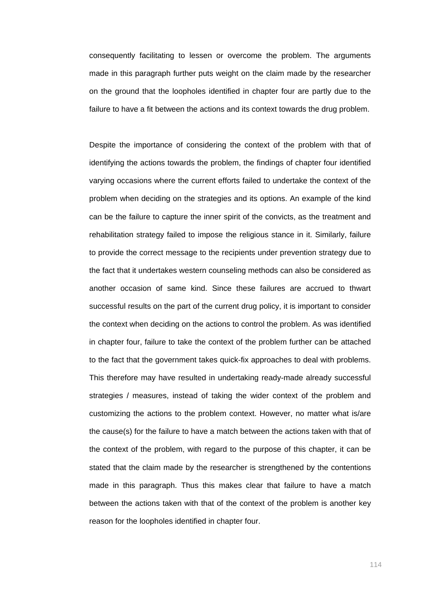consequently facilitating to lessen or overcome the problem. The arguments made in this paragraph further puts weight on the claim made by the researcher on the ground that the loopholes identified in chapter four are partly due to the failure to have a fit between the actions and its context towards the drug problem.

Despite the importance of considering the context of the problem with that of identifying the actions towards the problem, the findings of chapter four identified varying occasions where the current efforts failed to undertake the context of the problem when deciding on the strategies and its options. An example of the kind can be the failure to capture the inner spirit of the convicts, as the treatment and rehabilitation strategy failed to impose the religious stance in it. Similarly, failure to provide the correct message to the recipients under prevention strategy due to the fact that it undertakes western counseling methods can also be considered as another occasion of same kind. Since these failures are accrued to thwart successful results on the part of the current drug policy, it is important to consider the context when deciding on the actions to control the problem. As was identified in chapter four, failure to take the context of the problem further can be attached to the fact that the government takes quick-fix approaches to deal with problems. This therefore may have resulted in undertaking ready-made already successful strategies / measures, instead of taking the wider context of the problem and customizing the actions to the problem context. However, no matter what is/are the cause(s) for the failure to have a match between the actions taken with that of the context of the problem, with regard to the purpose of this chapter, it can be stated that the claim made by the researcher is strengthened by the contentions made in this paragraph. Thus this makes clear that failure to have a match between the actions taken with that of the context of the problem is another key reason for the loopholes identified in chapter four.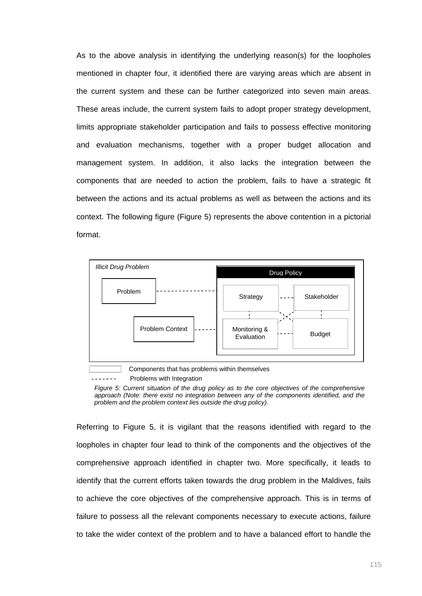As to the above analysis in identifying the underlying reason(s) for the loopholes mentioned in chapter four, it identified there are varying areas which are absent in the current system and these can be further categorized into seven main areas. These areas include, the current system fails to adopt proper strategy development, limits appropriate stakeholder participation and fails to possess effective monitoring and evaluation mechanisms, together with a proper budget allocation and management system. In addition, it also lacks the integration between the components that are needed to action the problem, fails to have a strategic fit between the actions and its actual problems as well as between the actions and its context. The following figure (Figure 5) represents the above contention in a pictorial format.





Problems with Integration

*Figure 5: Current situation of the drug policy as to the core objectives of the comprehensive approach (Note: there exist no integration between any of the components identified, and the problem and the problem context lies outside the drug policy).* 

Referring to Figure 5, it is vigilant that the reasons identified with regard to the loopholes in chapter four lead to think of the components and the objectives of the comprehensive approach identified in chapter two. More specifically, it leads to identify that the current efforts taken towards the drug problem in the Maldives, fails to achieve the core objectives of the comprehensive approach. This is in terms of failure to possess all the relevant components necessary to execute actions, failure to take the wider context of the problem and to have a balanced effort to handle the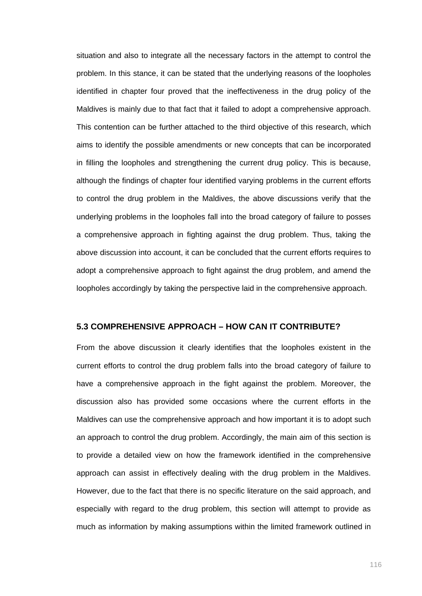situation and also to integrate all the necessary factors in the attempt to control the problem. In this stance, it can be stated that the underlying reasons of the loopholes identified in chapter four proved that the ineffectiveness in the drug policy of the Maldives is mainly due to that fact that it failed to adopt a comprehensive approach. This contention can be further attached to the third objective of this research, which aims to identify the possible amendments or new concepts that can be incorporated in filling the loopholes and strengthening the current drug policy. This is because, although the findings of chapter four identified varying problems in the current efforts to control the drug problem in the Maldives, the above discussions verify that the underlying problems in the loopholes fall into the broad category of failure to posses a comprehensive approach in fighting against the drug problem. Thus, taking the above discussion into account, it can be concluded that the current efforts requires to adopt a comprehensive approach to fight against the drug problem, and amend the loopholes accordingly by taking the perspective laid in the comprehensive approach.

# **5.3 COMPREHENSIVE APPROACH – HOW CAN IT CONTRIBUTE?**

From the above discussion it clearly identifies that the loopholes existent in the current efforts to control the drug problem falls into the broad category of failure to have a comprehensive approach in the fight against the problem. Moreover, the discussion also has provided some occasions where the current efforts in the Maldives can use the comprehensive approach and how important it is to adopt such an approach to control the drug problem. Accordingly, the main aim of this section is to provide a detailed view on how the framework identified in the comprehensive approach can assist in effectively dealing with the drug problem in the Maldives. However, due to the fact that there is no specific literature on the said approach, and especially with regard to the drug problem, this section will attempt to provide as much as information by making assumptions within the limited framework outlined in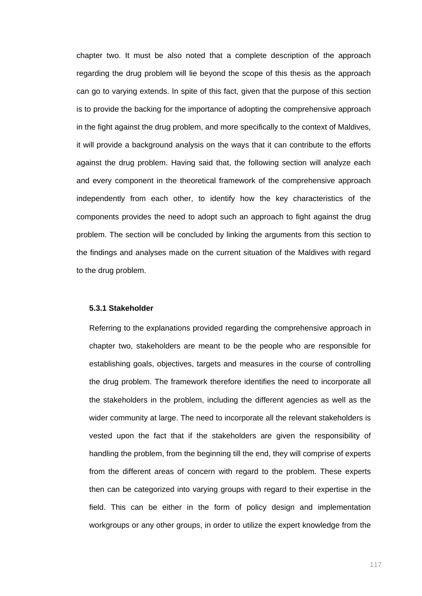chapter two. It must be also noted that a complete description of the approach regarding the drug problem will lie beyond the scope of this thesis as the approach can go to varying extends. In spite of this fact, given that the purpose of this section is to provide the backing for the importance of adopting the comprehensive approach in the fight against the drug problem, and more specifically to the context of Maldives, it will provide a background analysis on the ways that it can contribute to the efforts against the drug problem. Having said that, the following section will analyze each and every component in the theoretical framework of the comprehensive approach independently from each other, to identify how the key characteristics of the components provides the need to adopt such an approach to fight against the drug problem. The section will be concluded by linking the arguments from this section to the findings and analyses made on the current situation of the Maldives with regard to the drug problem.

### **5.3.1 Stakeholder**

Referring to the explanations provided regarding the comprehensive approach in chapter two, stakeholders are meant to be the people who are responsible for establishing goals, objectives, targets and measures in the course of controlling the drug problem. The framework therefore identifies the need to incorporate all the stakeholders in the problem, including the different agencies as well as the wider community at large. The need to incorporate all the relevant stakeholders is vested upon the fact that if the stakeholders are given the responsibility of handling the problem, from the beginning till the end, they will comprise of experts from the different areas of concern with regard to the problem. These experts then can be categorized into varying groups with regard to their expertise in the field. This can be either in the form of policy design and implementation workgroups or any other groups, in order to utilize the expert knowledge from the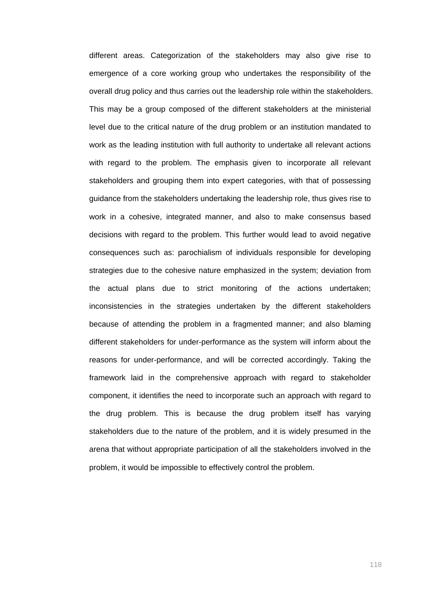different areas. Categorization of the stakeholders may also give rise to emergence of a core working group who undertakes the responsibility of the overall drug policy and thus carries out the leadership role within the stakeholders. This may be a group composed of the different stakeholders at the ministerial level due to the critical nature of the drug problem or an institution mandated to work as the leading institution with full authority to undertake all relevant actions with regard to the problem. The emphasis given to incorporate all relevant stakeholders and grouping them into expert categories, with that of possessing guidance from the stakeholders undertaking the leadership role, thus gives rise to work in a cohesive, integrated manner, and also to make consensus based decisions with regard to the problem. This further would lead to avoid negative consequences such as: parochialism of individuals responsible for developing strategies due to the cohesive nature emphasized in the system; deviation from the actual plans due to strict monitoring of the actions undertaken; inconsistencies in the strategies undertaken by the different stakeholders because of attending the problem in a fragmented manner; and also blaming different stakeholders for under-performance as the system will inform about the reasons for under-performance, and will be corrected accordingly. Taking the framework laid in the comprehensive approach with regard to stakeholder component, it identifies the need to incorporate such an approach with regard to the drug problem. This is because the drug problem itself has varying stakeholders due to the nature of the problem, and it is widely presumed in the arena that without appropriate participation of all the stakeholders involved in the problem, it would be impossible to effectively control the problem.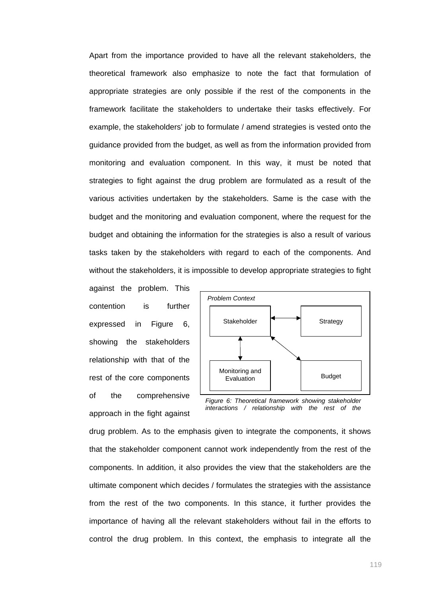Apart from the importance provided to have all the relevant stakeholders, the theoretical framework also emphasize to note the fact that formulation of appropriate strategies are only possible if the rest of the components in the framework facilitate the stakeholders to undertake their tasks effectively. For example, the stakeholders' job to formulate / amend strategies is vested onto the guidance provided from the budget, as well as from the information provided from monitoring and evaluation component. In this way, it must be noted that strategies to fight against the drug problem are formulated as a result of the various activities undertaken by the stakeholders. Same is the case with the budget and the monitoring and evaluation component, where the request for the budget and obtaining the information for the strategies is also a result of various tasks taken by the stakeholders with regard to each of the components. And without the stakeholders, it is impossible to develop appropriate strategies to fight

against the problem. This contention is further expressed in Figure 6, showing the stakeholders relationship with that of the rest of the core components of the comprehensive approach in the fight against



*Figure 6: Theoretical framework showing stakeholder interactions / relationship with the rest of the* 

drug problem. As to the emphasis given to integrate the components, it shows that the stakeholder component cannot work independently from the rest of the components. In addition, it also provides the view that the stakeholders are the ultimate component which decides / formulates the strategies with the assistance from the rest of the two components. In this stance, it further provides the importance of having all the relevant stakeholders without fail in the efforts to control the drug problem. In this context, the emphasis to integrate all the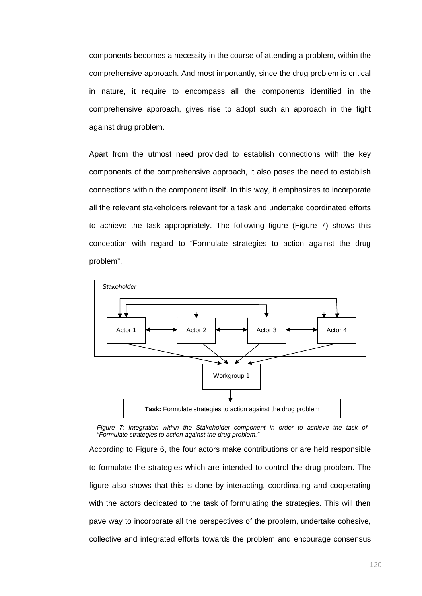components becomes a necessity in the course of attending a problem, within the comprehensive approach. And most importantly, since the drug problem is critical in nature, it require to encompass all the components identified in the comprehensive approach, gives rise to adopt such an approach in the fight against drug problem.

Apart from the utmost need provided to establish connections with the key components of the comprehensive approach, it also poses the need to establish connections within the component itself. In this way, it emphasizes to incorporate all the relevant stakeholders relevant for a task and undertake coordinated efforts to achieve the task appropriately. The following figure (Figure 7) shows this conception with regard to "Formulate strategies to action against the drug problem".



*Figure 7: Integration within the Stakeholder component in order to achieve the task of "Formulate strategies to action against the drug problem."*

According to Figure 6, the four actors make contributions or are held responsible to formulate the strategies which are intended to control the drug problem. The figure also shows that this is done by interacting, coordinating and cooperating with the actors dedicated to the task of formulating the strategies. This will then pave way to incorporate all the perspectives of the problem, undertake cohesive, collective and integrated efforts towards the problem and encourage consensus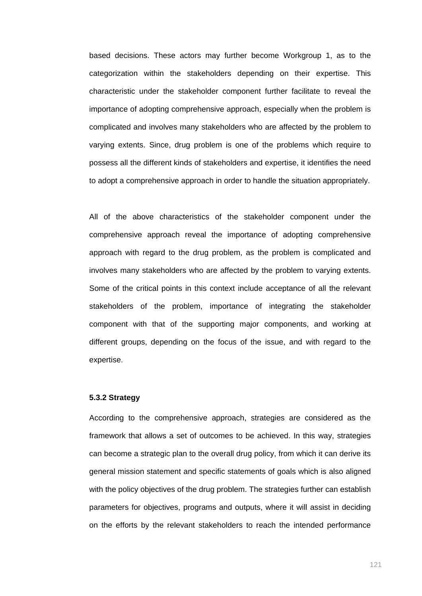based decisions. These actors may further become Workgroup 1, as to the categorization within the stakeholders depending on their expertise. This characteristic under the stakeholder component further facilitate to reveal the importance of adopting comprehensive approach, especially when the problem is complicated and involves many stakeholders who are affected by the problem to varying extents. Since, drug problem is one of the problems which require to possess all the different kinds of stakeholders and expertise, it identifies the need to adopt a comprehensive approach in order to handle the situation appropriately.

All of the above characteristics of the stakeholder component under the comprehensive approach reveal the importance of adopting comprehensive approach with regard to the drug problem, as the problem is complicated and involves many stakeholders who are affected by the problem to varying extents. Some of the critical points in this context include acceptance of all the relevant stakeholders of the problem, importance of integrating the stakeholder component with that of the supporting major components, and working at different groups, depending on the focus of the issue, and with regard to the expertise.

# **5.3.2 Strategy**

According to the comprehensive approach, strategies are considered as the framework that allows a set of outcomes to be achieved. In this way, strategies can become a strategic plan to the overall drug policy, from which it can derive its general mission statement and specific statements of goals which is also aligned with the policy objectives of the drug problem. The strategies further can establish parameters for objectives, programs and outputs, where it will assist in deciding on the efforts by the relevant stakeholders to reach the intended performance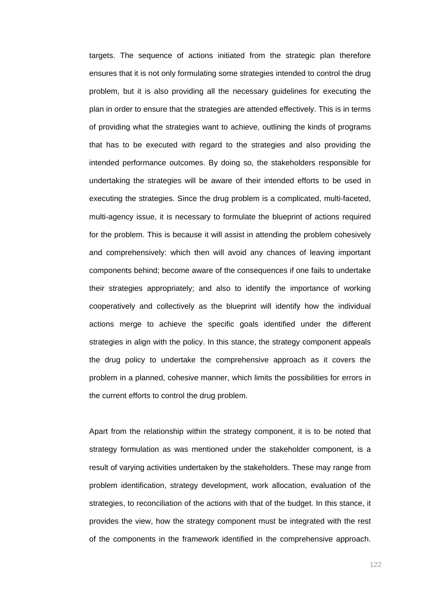targets. The sequence of actions initiated from the strategic plan therefore ensures that it is not only formulating some strategies intended to control the drug problem, but it is also providing all the necessary guidelines for executing the plan in order to ensure that the strategies are attended effectively. This is in terms of providing what the strategies want to achieve, outlining the kinds of programs that has to be executed with regard to the strategies and also providing the intended performance outcomes. By doing so, the stakeholders responsible for undertaking the strategies will be aware of their intended efforts to be used in executing the strategies. Since the drug problem is a complicated, multi-faceted, multi-agency issue, it is necessary to formulate the blueprint of actions required for the problem. This is because it will assist in attending the problem cohesively and comprehensively: which then will avoid any chances of leaving important components behind; become aware of the consequences if one fails to undertake their strategies appropriately; and also to identify the importance of working cooperatively and collectively as the blueprint will identify how the individual actions merge to achieve the specific goals identified under the different strategies in align with the policy. In this stance, the strategy component appeals the drug policy to undertake the comprehensive approach as it covers the problem in a planned, cohesive manner, which limits the possibilities for errors in the current efforts to control the drug problem.

Apart from the relationship within the strategy component, it is to be noted that strategy formulation as was mentioned under the stakeholder component, is a result of varying activities undertaken by the stakeholders. These may range from problem identification, strategy development, work allocation, evaluation of the strategies, to reconciliation of the actions with that of the budget. In this stance, it provides the view, how the strategy component must be integrated with the rest of the components in the framework identified in the comprehensive approach.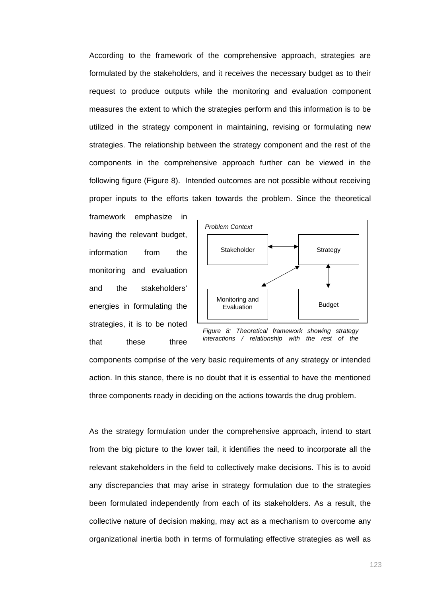According to the framework of the comprehensive approach, strategies are formulated by the stakeholders, and it receives the necessary budget as to their request to produce outputs while the monitoring and evaluation component measures the extent to which the strategies perform and this information is to be utilized in the strategy component in maintaining, revising or formulating new strategies. The relationship between the strategy component and the rest of the components in the comprehensive approach further can be viewed in the following figure (Figure 8). Intended outcomes are not possible without receiving proper inputs to the efforts taken towards the problem. Since the theoretical

framework emphasize in having the relevant budget, information from the monitoring and evaluation and the stakeholders' energies in formulating the strategies, it is to be noted that these three



*Figure 8: Theoretical framework showing strategy interactions / relationship with the rest of the* 

components comprise of the very basic requirements of any strategy or intended action. In this stance, there is no doubt that it is essential to have the mentioned three components ready in deciding on the actions towards the drug problem.

As the strategy formulation under the comprehensive approach, intend to start from the big picture to the lower tail, it identifies the need to incorporate all the relevant stakeholders in the field to collectively make decisions. This is to avoid any discrepancies that may arise in strategy formulation due to the strategies been formulated independently from each of its stakeholders. As a result, the collective nature of decision making, may act as a mechanism to overcome any organizational inertia both in terms of formulating effective strategies as well as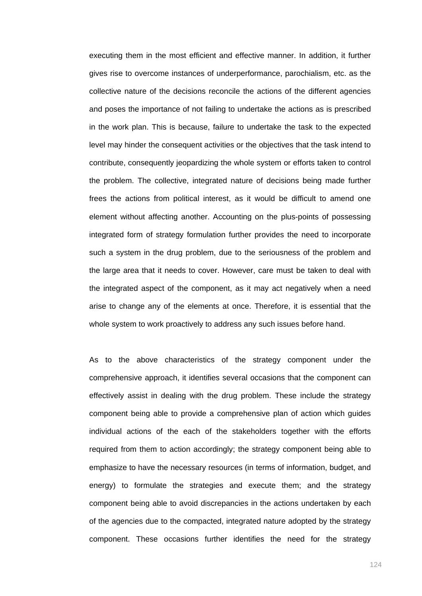executing them in the most efficient and effective manner. In addition, it further gives rise to overcome instances of underperformance, parochialism, etc. as the collective nature of the decisions reconcile the actions of the different agencies and poses the importance of not failing to undertake the actions as is prescribed in the work plan. This is because, failure to undertake the task to the expected level may hinder the consequent activities or the objectives that the task intend to contribute, consequently jeopardizing the whole system or efforts taken to control the problem. The collective, integrated nature of decisions being made further frees the actions from political interest, as it would be difficult to amend one element without affecting another. Accounting on the plus-points of possessing integrated form of strategy formulation further provides the need to incorporate such a system in the drug problem, due to the seriousness of the problem and the large area that it needs to cover. However, care must be taken to deal with the integrated aspect of the component, as it may act negatively when a need arise to change any of the elements at once. Therefore, it is essential that the whole system to work proactively to address any such issues before hand.

As to the above characteristics of the strategy component under the comprehensive approach, it identifies several occasions that the component can effectively assist in dealing with the drug problem. These include the strategy component being able to provide a comprehensive plan of action which guides individual actions of the each of the stakeholders together with the efforts required from them to action accordingly; the strategy component being able to emphasize to have the necessary resources (in terms of information, budget, and energy) to formulate the strategies and execute them; and the strategy component being able to avoid discrepancies in the actions undertaken by each of the agencies due to the compacted, integrated nature adopted by the strategy component. These occasions further identifies the need for the strategy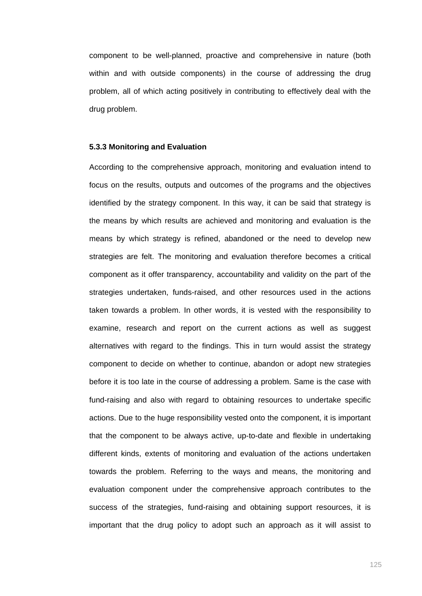component to be well-planned, proactive and comprehensive in nature (both within and with outside components) in the course of addressing the drug problem, all of which acting positively in contributing to effectively deal with the drug problem.

#### **5.3.3 Monitoring and Evaluation**

According to the comprehensive approach, monitoring and evaluation intend to focus on the results, outputs and outcomes of the programs and the objectives identified by the strategy component. In this way, it can be said that strategy is the means by which results are achieved and monitoring and evaluation is the means by which strategy is refined, abandoned or the need to develop new strategies are felt. The monitoring and evaluation therefore becomes a critical component as it offer transparency, accountability and validity on the part of the strategies undertaken, funds-raised, and other resources used in the actions taken towards a problem. In other words, it is vested with the responsibility to examine, research and report on the current actions as well as suggest alternatives with regard to the findings. This in turn would assist the strategy component to decide on whether to continue, abandon or adopt new strategies before it is too late in the course of addressing a problem. Same is the case with fund-raising and also with regard to obtaining resources to undertake specific actions. Due to the huge responsibility vested onto the component, it is important that the component to be always active, up-to-date and flexible in undertaking different kinds, extents of monitoring and evaluation of the actions undertaken towards the problem. Referring to the ways and means, the monitoring and evaluation component under the comprehensive approach contributes to the success of the strategies, fund-raising and obtaining support resources, it is important that the drug policy to adopt such an approach as it will assist to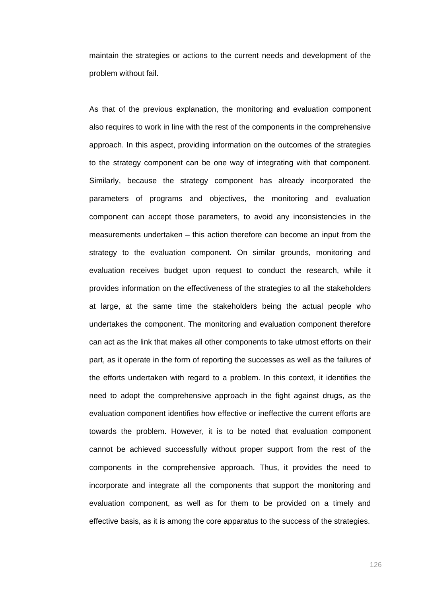maintain the strategies or actions to the current needs and development of the problem without fail.

As that of the previous explanation, the monitoring and evaluation component also requires to work in line with the rest of the components in the comprehensive approach. In this aspect, providing information on the outcomes of the strategies to the strategy component can be one way of integrating with that component. Similarly, because the strategy component has already incorporated the parameters of programs and objectives, the monitoring and evaluation component can accept those parameters, to avoid any inconsistencies in the measurements undertaken – this action therefore can become an input from the strategy to the evaluation component. On similar grounds, monitoring and evaluation receives budget upon request to conduct the research, while it provides information on the effectiveness of the strategies to all the stakeholders at large, at the same time the stakeholders being the actual people who undertakes the component. The monitoring and evaluation component therefore can act as the link that makes all other components to take utmost efforts on their part, as it operate in the form of reporting the successes as well as the failures of the efforts undertaken with regard to a problem. In this context, it identifies the need to adopt the comprehensive approach in the fight against drugs, as the evaluation component identifies how effective or ineffective the current efforts are towards the problem. However, it is to be noted that evaluation component cannot be achieved successfully without proper support from the rest of the components in the comprehensive approach. Thus, it provides the need to incorporate and integrate all the components that support the monitoring and evaluation component, as well as for them to be provided on a timely and effective basis, as it is among the core apparatus to the success of the strategies.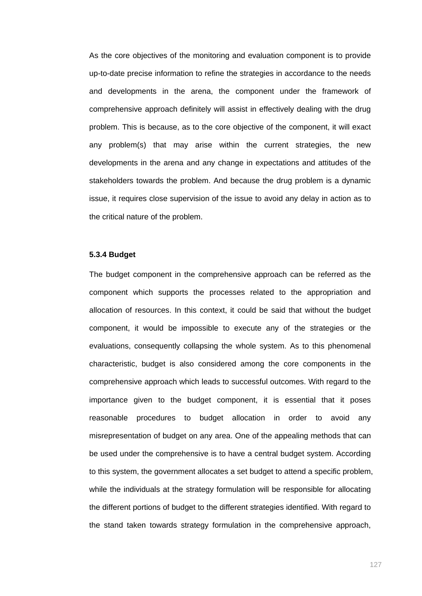As the core objectives of the monitoring and evaluation component is to provide up-to-date precise information to refine the strategies in accordance to the needs and developments in the arena, the component under the framework of comprehensive approach definitely will assist in effectively dealing with the drug problem. This is because, as to the core objective of the component, it will exact any problem(s) that may arise within the current strategies, the new developments in the arena and any change in expectations and attitudes of the stakeholders towards the problem. And because the drug problem is a dynamic issue, it requires close supervision of the issue to avoid any delay in action as to the critical nature of the problem.

# **5.3.4 Budget**

The budget component in the comprehensive approach can be referred as the component which supports the processes related to the appropriation and allocation of resources. In this context, it could be said that without the budget component, it would be impossible to execute any of the strategies or the evaluations, consequently collapsing the whole system. As to this phenomenal characteristic, budget is also considered among the core components in the comprehensive approach which leads to successful outcomes. With regard to the importance given to the budget component, it is essential that it poses reasonable procedures to budget allocation in order to avoid any misrepresentation of budget on any area. One of the appealing methods that can be used under the comprehensive is to have a central budget system. According to this system, the government allocates a set budget to attend a specific problem, while the individuals at the strategy formulation will be responsible for allocating the different portions of budget to the different strategies identified. With regard to the stand taken towards strategy formulation in the comprehensive approach,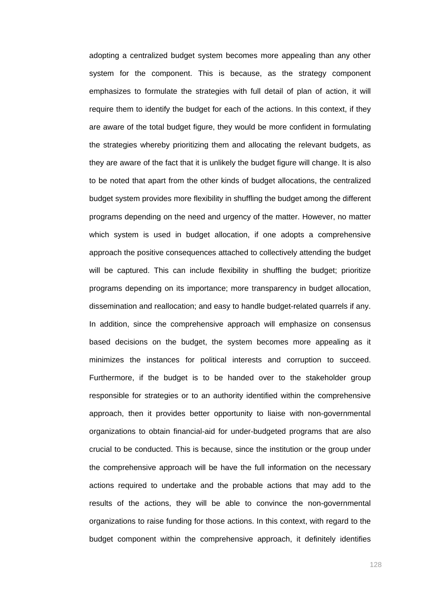adopting a centralized budget system becomes more appealing than any other system for the component. This is because, as the strategy component emphasizes to formulate the strategies with full detail of plan of action, it will require them to identify the budget for each of the actions. In this context, if they are aware of the total budget figure, they would be more confident in formulating the strategies whereby prioritizing them and allocating the relevant budgets, as they are aware of the fact that it is unlikely the budget figure will change. It is also to be noted that apart from the other kinds of budget allocations, the centralized budget system provides more flexibility in shuffling the budget among the different programs depending on the need and urgency of the matter. However, no matter which system is used in budget allocation, if one adopts a comprehensive approach the positive consequences attached to collectively attending the budget will be captured. This can include flexibility in shuffling the budget; prioritize programs depending on its importance; more transparency in budget allocation, dissemination and reallocation; and easy to handle budget-related quarrels if any. In addition, since the comprehensive approach will emphasize on consensus based decisions on the budget, the system becomes more appealing as it minimizes the instances for political interests and corruption to succeed. Furthermore, if the budget is to be handed over to the stakeholder group responsible for strategies or to an authority identified within the comprehensive approach, then it provides better opportunity to liaise with non-governmental organizations to obtain financial-aid for under-budgeted programs that are also crucial to be conducted. This is because, since the institution or the group under the comprehensive approach will be have the full information on the necessary actions required to undertake and the probable actions that may add to the results of the actions, they will be able to convince the non-governmental organizations to raise funding for those actions. In this context, with regard to the budget component within the comprehensive approach, it definitely identifies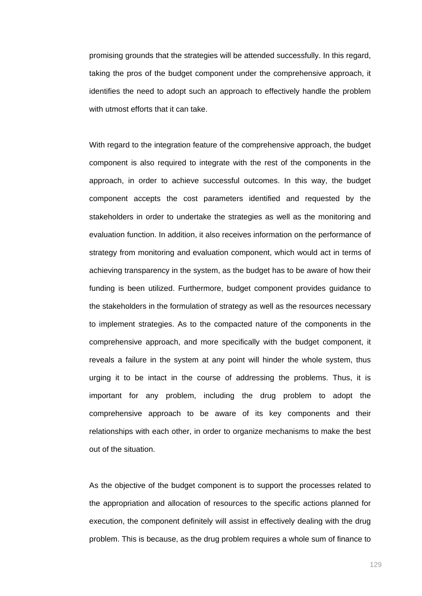promising grounds that the strategies will be attended successfully. In this regard, taking the pros of the budget component under the comprehensive approach, it identifies the need to adopt such an approach to effectively handle the problem with utmost efforts that it can take.

With regard to the integration feature of the comprehensive approach, the budget component is also required to integrate with the rest of the components in the approach, in order to achieve successful outcomes. In this way, the budget component accepts the cost parameters identified and requested by the stakeholders in order to undertake the strategies as well as the monitoring and evaluation function. In addition, it also receives information on the performance of strategy from monitoring and evaluation component, which would act in terms of achieving transparency in the system, as the budget has to be aware of how their funding is been utilized. Furthermore, budget component provides guidance to the stakeholders in the formulation of strategy as well as the resources necessary to implement strategies. As to the compacted nature of the components in the comprehensive approach, and more specifically with the budget component, it reveals a failure in the system at any point will hinder the whole system, thus urging it to be intact in the course of addressing the problems. Thus, it is important for any problem, including the drug problem to adopt the comprehensive approach to be aware of its key components and their relationships with each other, in order to organize mechanisms to make the best out of the situation.

As the objective of the budget component is to support the processes related to the appropriation and allocation of resources to the specific actions planned for execution, the component definitely will assist in effectively dealing with the drug problem. This is because, as the drug problem requires a whole sum of finance to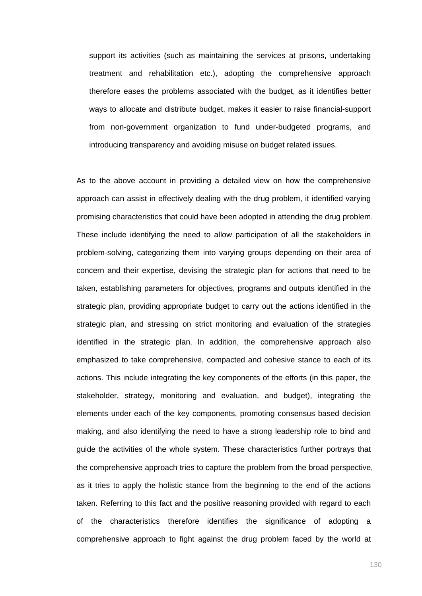support its activities (such as maintaining the services at prisons, undertaking treatment and rehabilitation etc.), adopting the comprehensive approach therefore eases the problems associated with the budget, as it identifies better ways to allocate and distribute budget, makes it easier to raise financial-support from non-government organization to fund under-budgeted programs, and introducing transparency and avoiding misuse on budget related issues.

As to the above account in providing a detailed view on how the comprehensive approach can assist in effectively dealing with the drug problem, it identified varying promising characteristics that could have been adopted in attending the drug problem. These include identifying the need to allow participation of all the stakeholders in problem-solving, categorizing them into varying groups depending on their area of concern and their expertise, devising the strategic plan for actions that need to be taken, establishing parameters for objectives, programs and outputs identified in the strategic plan, providing appropriate budget to carry out the actions identified in the strategic plan, and stressing on strict monitoring and evaluation of the strategies identified in the strategic plan. In addition, the comprehensive approach also emphasized to take comprehensive, compacted and cohesive stance to each of its actions. This include integrating the key components of the efforts (in this paper, the stakeholder, strategy, monitoring and evaluation, and budget), integrating the elements under each of the key components, promoting consensus based decision making, and also identifying the need to have a strong leadership role to bind and guide the activities of the whole system. These characteristics further portrays that the comprehensive approach tries to capture the problem from the broad perspective, as it tries to apply the holistic stance from the beginning to the end of the actions taken. Referring to this fact and the positive reasoning provided with regard to each of the characteristics therefore identifies the significance of adopting a comprehensive approach to fight against the drug problem faced by the world at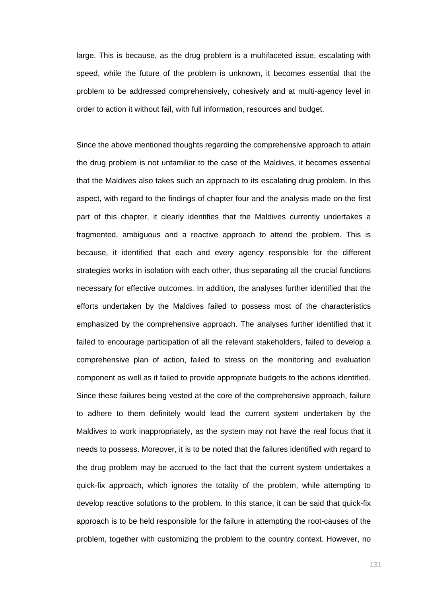large. This is because, as the drug problem is a multifaceted issue, escalating with speed, while the future of the problem is unknown, it becomes essential that the problem to be addressed comprehensively, cohesively and at multi-agency level in order to action it without fail, with full information, resources and budget.

Since the above mentioned thoughts regarding the comprehensive approach to attain the drug problem is not unfamiliar to the case of the Maldives, it becomes essential that the Maldives also takes such an approach to its escalating drug problem. In this aspect, with regard to the findings of chapter four and the analysis made on the first part of this chapter, it clearly identifies that the Maldives currently undertakes a fragmented, ambiguous and a reactive approach to attend the problem. This is because, it identified that each and every agency responsible for the different strategies works in isolation with each other, thus separating all the crucial functions necessary for effective outcomes. In addition, the analyses further identified that the efforts undertaken by the Maldives failed to possess most of the characteristics emphasized by the comprehensive approach. The analyses further identified that it failed to encourage participation of all the relevant stakeholders, failed to develop a comprehensive plan of action, failed to stress on the monitoring and evaluation component as well as it failed to provide appropriate budgets to the actions identified. Since these failures being vested at the core of the comprehensive approach, failure to adhere to them definitely would lead the current system undertaken by the Maldives to work inappropriately, as the system may not have the real focus that it needs to possess. Moreover, it is to be noted that the failures identified with regard to the drug problem may be accrued to the fact that the current system undertakes a quick-fix approach, which ignores the totality of the problem, while attempting to develop reactive solutions to the problem. In this stance, it can be said that quick-fix approach is to be held responsible for the failure in attempting the root-causes of the problem, together with customizing the problem to the country context. However, no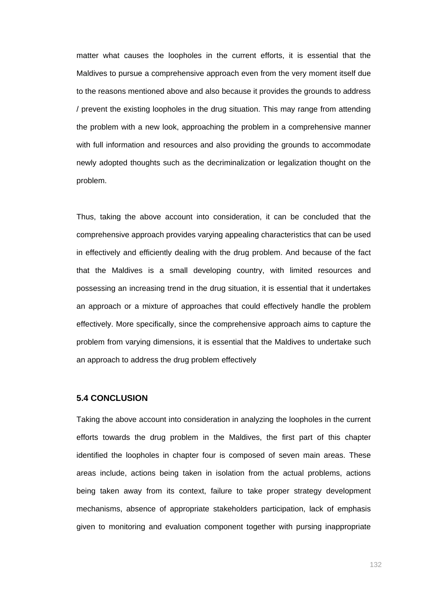matter what causes the loopholes in the current efforts, it is essential that the Maldives to pursue a comprehensive approach even from the very moment itself due to the reasons mentioned above and also because it provides the grounds to address / prevent the existing loopholes in the drug situation. This may range from attending the problem with a new look, approaching the problem in a comprehensive manner with full information and resources and also providing the grounds to accommodate newly adopted thoughts such as the decriminalization or legalization thought on the problem.

Thus, taking the above account into consideration, it can be concluded that the comprehensive approach provides varying appealing characteristics that can be used in effectively and efficiently dealing with the drug problem. And because of the fact that the Maldives is a small developing country, with limited resources and possessing an increasing trend in the drug situation, it is essential that it undertakes an approach or a mixture of approaches that could effectively handle the problem effectively. More specifically, since the comprehensive approach aims to capture the problem from varying dimensions, it is essential that the Maldives to undertake such an approach to address the drug problem effectively

# **5.4 CONCLUSION**

Taking the above account into consideration in analyzing the loopholes in the current efforts towards the drug problem in the Maldives, the first part of this chapter identified the loopholes in chapter four is composed of seven main areas. These areas include, actions being taken in isolation from the actual problems, actions being taken away from its context, failure to take proper strategy development mechanisms, absence of appropriate stakeholders participation, lack of emphasis given to monitoring and evaluation component together with pursing inappropriate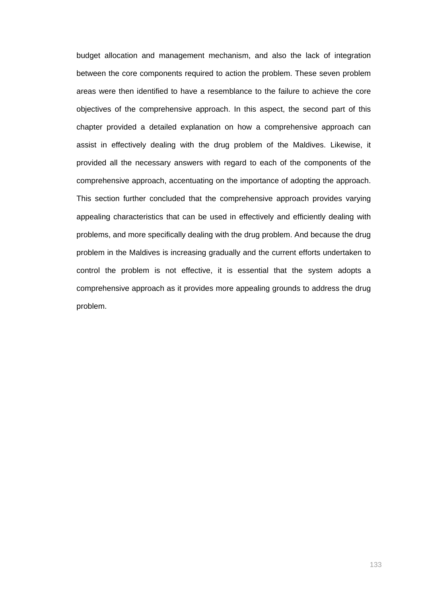budget allocation and management mechanism, and also the lack of integration between the core components required to action the problem. These seven problem areas were then identified to have a resemblance to the failure to achieve the core objectives of the comprehensive approach. In this aspect, the second part of this chapter provided a detailed explanation on how a comprehensive approach can assist in effectively dealing with the drug problem of the Maldives. Likewise, it provided all the necessary answers with regard to each of the components of the comprehensive approach, accentuating on the importance of adopting the approach. This section further concluded that the comprehensive approach provides varying appealing characteristics that can be used in effectively and efficiently dealing with problems, and more specifically dealing with the drug problem. And because the drug problem in the Maldives is increasing gradually and the current efforts undertaken to control the problem is not effective, it is essential that the system adopts a comprehensive approach as it provides more appealing grounds to address the drug problem.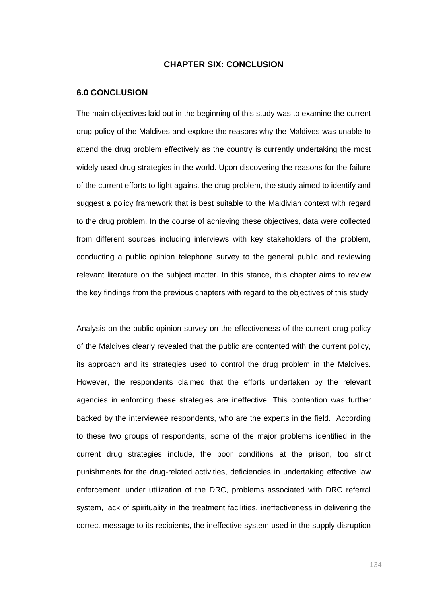### **CHAPTER SIX: CONCLUSION**

#### **6.0 CONCLUSION**

The main objectives laid out in the beginning of this study was to examine the current drug policy of the Maldives and explore the reasons why the Maldives was unable to attend the drug problem effectively as the country is currently undertaking the most widely used drug strategies in the world. Upon discovering the reasons for the failure of the current efforts to fight against the drug problem, the study aimed to identify and suggest a policy framework that is best suitable to the Maldivian context with regard to the drug problem. In the course of achieving these objectives, data were collected from different sources including interviews with key stakeholders of the problem, conducting a public opinion telephone survey to the general public and reviewing relevant literature on the subject matter. In this stance, this chapter aims to review the key findings from the previous chapters with regard to the objectives of this study.

Analysis on the public opinion survey on the effectiveness of the current drug policy of the Maldives clearly revealed that the public are contented with the current policy, its approach and its strategies used to control the drug problem in the Maldives. However, the respondents claimed that the efforts undertaken by the relevant agencies in enforcing these strategies are ineffective. This contention was further backed by the interviewee respondents, who are the experts in the field. According to these two groups of respondents, some of the major problems identified in the current drug strategies include, the poor conditions at the prison, too strict punishments for the drug-related activities, deficiencies in undertaking effective law enforcement, under utilization of the DRC, problems associated with DRC referral system, lack of spirituality in the treatment facilities, ineffectiveness in delivering the correct message to its recipients, the ineffective system used in the supply disruption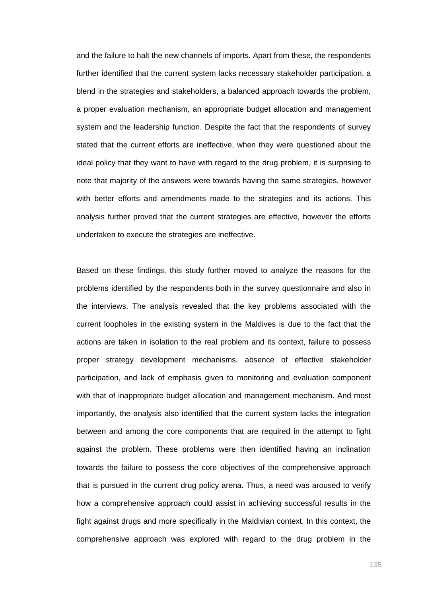and the failure to halt the new channels of imports. Apart from these, the respondents further identified that the current system lacks necessary stakeholder participation, a blend in the strategies and stakeholders, a balanced approach towards the problem, a proper evaluation mechanism, an appropriate budget allocation and management system and the leadership function. Despite the fact that the respondents of survey stated that the current efforts are ineffective, when they were questioned about the ideal policy that they want to have with regard to the drug problem, it is surprising to note that majority of the answers were towards having the same strategies, however with better efforts and amendments made to the strategies and its actions. This analysis further proved that the current strategies are effective, however the efforts undertaken to execute the strategies are ineffective.

Based on these findings, this study further moved to analyze the reasons for the problems identified by the respondents both in the survey questionnaire and also in the interviews. The analysis revealed that the key problems associated with the current loopholes in the existing system in the Maldives is due to the fact that the actions are taken in isolation to the real problem and its context, failure to possess proper strategy development mechanisms, absence of effective stakeholder participation, and lack of emphasis given to monitoring and evaluation component with that of inappropriate budget allocation and management mechanism. And most importantly, the analysis also identified that the current system lacks the integration between and among the core components that are required in the attempt to fight against the problem. These problems were then identified having an inclination towards the failure to possess the core objectives of the comprehensive approach that is pursued in the current drug policy arena. Thus, a need was aroused to verify how a comprehensive approach could assist in achieving successful results in the fight against drugs and more specifically in the Maldivian context. In this context, the comprehensive approach was explored with regard to the drug problem in the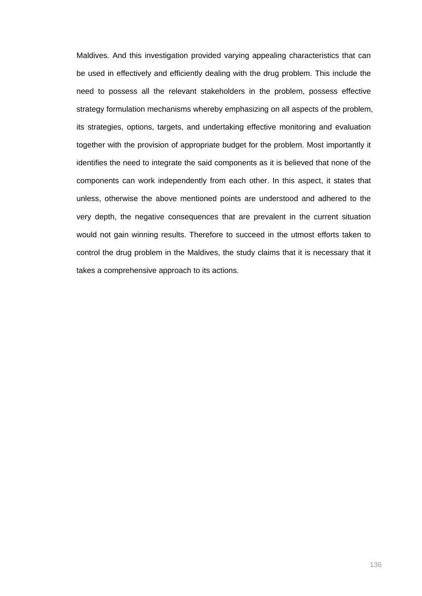Maldives. And this investigation provided varying appealing characteristics that can be used in effectively and efficiently dealing with the drug problem. This include the need to possess all the relevant stakeholders in the problem, possess effective strategy formulation mechanisms whereby emphasizing on all aspects of the problem, its strategies, options, targets, and undertaking effective monitoring and evaluation together with the provision of appropriate budget for the problem. Most importantly it identifies the need to integrate the said components as it is believed that none of the components can work independently from each other. In this aspect, it states that unless, otherwise the above mentioned points are understood and adhered to the very depth, the negative consequences that are prevalent in the current situation would not gain winning results. Therefore to succeed in the utmost efforts taken to control the drug problem in the Maldives, the study claims that it is necessary that it takes a comprehensive approach to its actions.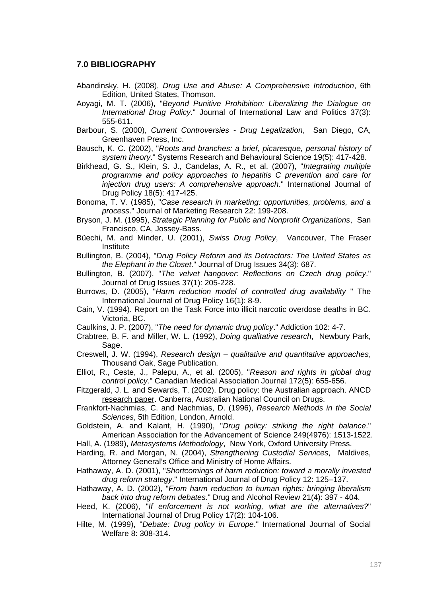### **7.0 BIBLIOGRAPHY**

- Abandinsky, H. (2008), *Drug Use and Abuse: A Comprehensive Introduction*, 6th Edition, United States, Thomson.
- Aoyagi, M. T. (2006), "*Beyond Punitive Prohibition: Liberalizing the Dialogue on International Drug Policy*." Journal of International Law and Politics 37(3): 555-611.
- Barbour, S. (2000), *Current Controversies Drug Legalization*, San Diego, CA, Greenhaven Press, Inc.
- Bausch, K. C. (2002), "*Roots and branches: a brief, picaresque, personal history of system theory*." Systems Research and Behavioural Science 19(5): 417-428.
- Birkhead, G. S., Klein, S. J., Candelas, A. R., et al. (2007), "*Integrating multiple programme and policy approaches to hepatitis C prevention and care for injection drug users: A comprehensive approach*." International Journal of Drug Policy 18(5): 417-425.

Bonoma, T. V. (1985), "*Case research in marketing: opportunities, problems, and a process*." Journal of Marketing Research 22: 199-208.

- Bryson, J. M. (1995), *Strategic Planning for Public and Nonprofit Organizations*, San Francisco, CA, Jossey-Bass.
- Büechi, M. and Minder, U. (2001), *Swiss Drug Policy*, Vancouver, The Fraser **Institute**
- Bullington, B. (2004), "*Drug Policy Reform and its Detractors: The United States as the Elephant in the Closet*." Journal of Drug Issues 34(3): 687.
- Bullington, B. (2007), "*The velvet hangover: Reflections on Czech drug policy*." Journal of Drug Issues 37(1): 205-228.
- Burrows, D. (2005), "*Harm reduction model of controlled drug availability* " The International Journal of Drug Policy 16(1): 8-9.
- Cain, V. (1994). Report on the Task Force into illicit narcotic overdose deaths in BC. Victoria, BC.
- Caulkins, J. P. (2007), "*The need for dynamic drug policy*." Addiction 102: 4-7.
- Crabtree, B. F. and Miller, W. L. (1992), *Doing qualitative research*, Newbury Park, Sage.
- Creswell, J. W. (1994), *Research design qualitative and quantitative approaches*, Thousand Oak, Sage Publication.
- Elliot, R., Ceste, J., Palepu, A., et al. (2005), "*Reason and rights in global drug control policy*." Canadian Medical Association Journal 172(5): 655-656.
- Fitzgerald, J. L. and Sewards, T. (2002). Drug policy: the Australian approach. ANCD research paper. Canberra, Australian National Council on Drugs.
- Frankfort-Nachmias, C. and Nachmias, D. (1996), *Research Methods in the Social Sciences*, 5th Edition, London, Arnold.
- Goldstein, A. and Kalant, H. (1990), "*Drug policy: striking the right balance*." American Association for the Advancement of Science 249(4976): 1513-1522.

Hall, A. (1989), *Metasystems Methodology*, New York, Oxford University Press.

- Harding, R. and Morgan, N. (2004), *Strengthening Custodial Services*, Maldives, Attorney General's Office and Ministry of Home Affairs.
- Hathaway, A. D. (2001), "*Shortcomings of harm reduction: toward a morally invested drug reform strategy*." International Journal of Drug Policy 12: 125–137.
- Hathaway, A. D. (2002), "*From harm reduction to human rights: bringing liberalism back into drug reform debates*." Drug and Alcohol Review 21(4): 397 - 404.
- Heed, K. (2006), "*If enforcement is not working, what are the alternatives?*" International Journal of Drug Policy 17(2): 104-106.
- Hilte, M. (1999), "*Debate: Drug policy in Europe*." International Journal of Social Welfare 8: 308-314.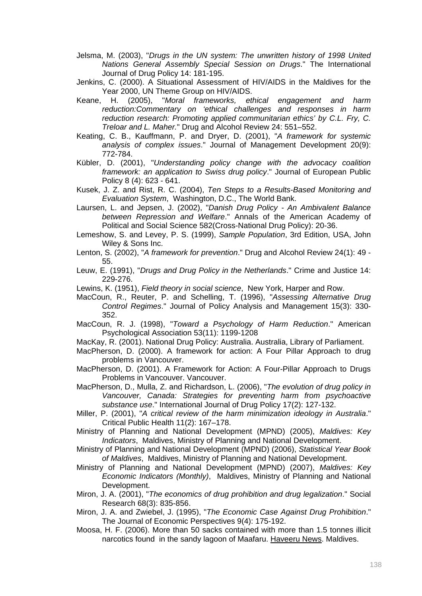- Jelsma, M. (2003), "*Drugs in the UN system: The unwritten history of 1998 United Nations General Assembly Special Session on Drugs*." The International Journal of Drug Policy 14: 181-195.
- Jenkins, C. (2000). A Situational Assessment of HIV/AIDS in the Maldives for the Year 2000, UN Theme Group on HIV/AIDS.
- Keane, H. (2005), "*Moral frameworks, ethical engagement and harm reduction:Commentary on 'ethical challenges and responses in harm reduction research: Promoting applied communitarian ethics' by C.L. Fry, C. Treloar and L. Maher.*" Drug and Alcohol Review 24: 551–552.
- Keating, C. B., Kauffmann, P. and Dryer, D. (2001), "*A framework for systemic analysis of complex issues*." Journal of Management Development 20(9): 772-784.
- Kübler, D. (2001), "*Understanding policy change with the advocacy coalition framework: an application to Swiss drug policy*." Journal of European Public Policy 8 (4): 623 - 641.
- Kusek, J. Z. and Rist, R. C. (2004), *Ten Steps to a Results-Based Monitoring and Evaluation System*, Washington, D.C., The World Bank.
- Laursen, L. and Jepsen, J. (2002), "*Danish Drug Policy An Ambivalent Balance between Repression and Welfare*." Annals of the American Academy of Political and Social Science 582(Cross-National Drug Policy): 20-36.
- Lemeshow, S. and Levey, P. S. (1999), *Sample Population*, 3rd Edition, USA, John Wiley & Sons Inc.
- Lenton, S. (2002), "*A framework for prevention*." Drug and Alcohol Review 24(1): 49 55.
- Leuw, E. (1991), "*Drugs and Drug Policy in the Netherlands*." Crime and Justice 14: 229-276.
- Lewins, K. (1951), *Field theory in social science*, New York, Harper and Row.
- MacCoun, R., Reuter, P. and Schelling, T. (1996), "*Assessing Alternative Drug Control Regimes*." Journal of Policy Analysis and Management 15(3): 330- 352.
- MacCoun, R. J. (1998), "*Toward a Psychology of Harm Reduction*." American Psychological Association 53(11): 1199-1208
- MacKay, R. (2001). National Drug Policy: Australia. Australia, Library of Parliament.
- MacPherson, D. (2000). A framework for action: A Four Pillar Approach to drug problems in Vancouver.
- MacPherson, D. (2001). A Framework for Action: A Four-Pillar Approach to Drugs Problems in Vancouver. Vancouver.
- MacPherson, D., Mulla, Z. and Richardson, L. (2006), "*The evolution of drug policy in Vancouver, Canada: Strategies for preventing harm from psychoactive substance use*." International Journal of Drug Policy 17(2): 127-132.
- Miller, P. (2001), "*A critical review of the harm minimization ideology in Australia*." Critical Public Health 11(2): 167–178.
- Ministry of Planning and National Development (MPND) (2005), *Maldives: Key Indicators*, Maldives, Ministry of Planning and National Development.
- Ministry of Planning and National Development (MPND) (2006), *Statistical Year Book of Maldives*, Maldives, Ministry of Planning and National Development.
- Ministry of Planning and National Development (MPND) (2007), *Maldives: Key Economic Indicators (Monthly)*, Maldives, Ministry of Planning and National Development.
- Miron, J. A. (2001), "*The economics of drug prohibition and drug legalization*." Social Research 68(3): 835-856.
- Miron, J. A. and Zwiebel, J. (1995), "*The Economic Case Against Drug Prohibition*." The Journal of Economic Perspectives 9(4): 175-192.
- Moosa, H. F. (2006). More than 50 sacks contained with more than 1.5 tonnes illicit narcotics found in the sandy lagoon of Maafaru. Haveeru News. Maldives.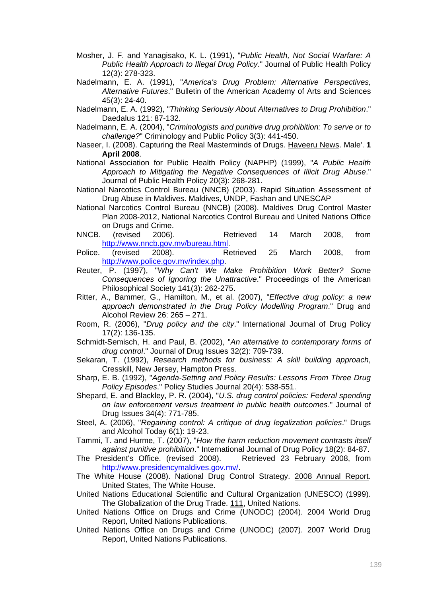- Mosher, J. F. and Yanagisako, K. L. (1991), "*Public Health, Not Social Warfare: A Public Health Approach to Illegal Drug Policy*." Journal of Public Health Policy 12(3): 278-323.
- Nadelmann, E. A. (1991), "*America's Drug Problem: Alternative Perspectives, Alternative Futures*." Bulletin of the American Academy of Arts and Sciences 45(3): 24-40.
- Nadelmann, E. A. (1992), "*Thinking Seriously About Alternatives to Drug Prohibition*." Daedalus 121: 87-132.
- Nadelmann, E. A. (2004), "*Criminologists and punitive drug prohibition: To serve or to challenge?*" Criminology and Public Policy 3(3): 441-450.
- Naseer, I. (2008). Capturing the Real Masterminds of Drugs. Haveeru News. Male'. **1 April 2008**.
- National Association for Public Health Policy (NAPHP) (1999), "*A Public Health Approach to Mitigating the Negative Consequences of Illicit Drug Abuse*." Journal of Public Health Policy 20(3): 268-281.
- National Narcotics Control Bureau (NNCB) (2003). Rapid Situation Assessment of Drug Abuse in Maldives. Maldives, UNDP, Fashan and UNESCAP
- National Narcotics Control Bureau (NNCB) (2008). Maldives Drug Control Master Plan 2008-2012, National Narcotics Control Bureau and United Nations Office on Drugs and Crime.
- NNCB. (revised 2006). Retrieved 14 March 2008, from http://www.nncb.gov.mv/bureau.html.
- Police. (revised 2008). Retrieved 25 March 2008, from http://www.police.gov.mv/index.php.
- Reuter, P. (1997), "*Why Can't We Make Prohibition Work Better? Some Consequences of Ignoring the Unattractive*." Proceedings of the American Philosophical Society 141(3): 262-275.
- Ritter, A., Bammer, G., Hamilton, M., et al. (2007), "*Effective drug policy: a new approach demonstrated in the Drug Policy Modelling Program*." Drug and Alcohol Review 26: 265 – 271.
- Room, R. (2006), "*Drug policy and the city*." International Journal of Drug Policy 17(2): 136-135.
- Schmidt-Semisch, H. and Paul, B. (2002), "*An alternative to contemporary forms of drug control*." Journal of Drug Issues 32(2): 709-739.
- Sekaran, T. (1992), *Research methods for business: A skill building approach*, Cresskill, New Jersey, Hampton Press.
- Sharp, E. B. (1992), "*Agenda-Setting and Policy Results: Lessons From Three Drug Policy Episodes*." Policy Studies Journal 20(4): 538-551.
- Shepard, E. and Blackley, P. R. (2004), "*U.S. drug control policies: Federal spending on law enforcement versus treatment in public health outcomes*." Journal of Drug Issues 34(4): 771-785.
- Steel, A. (2006), "*Regaining control: A critique of drug legalization policies*." Drugs and Alcohol Today 6(1): 19-23.
- Tammi, T. and Hurme, T. (2007), "*How the harm reduction movement contrasts itself against punitive prohibition*." International Journal of Drug Policy 18(2): 84-87.
- The President's Office. (revised 2008). Retrieved 23 February 2008, from http://www.presidencymaldives.gov.mv/.
- The White House (2008). National Drug Control Strategy. 2008 Annual Report. United States, The White House.
- United Nations Educational Scientific and Cultural Organization (UNESCO) (1999). The Globalization of the Drug Trade. 111, United Nations.
- United Nations Office on Drugs and Crime (UNODC) (2004). 2004 World Drug Report, United Nations Publications.
- United Nations Office on Drugs and Crime (UNODC) (2007). 2007 World Drug Report, United Nations Publications.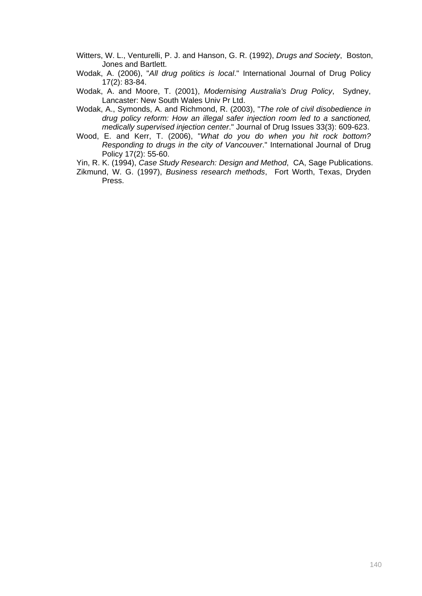- Witters, W. L., Venturelli, P. J. and Hanson, G. R. (1992), *Drugs and Society*, Boston, Jones and Bartlett.
- Wodak, A. (2006), "*All drug politics is local*." International Journal of Drug Policy 17(2): 83-84.
- Wodak, A. and Moore, T. (2001), *Modernising Australia's Drug Policy*, Sydney, Lancaster: New South Wales Univ Pr Ltd.
- Wodak, A., Symonds, A. and Richmond, R. (2003), "*The role of civil disobedience in drug policy reform: How an illegal safer injection room led to a sanctioned, medically supervised injection center*." Journal of Drug Issues 33(3): 609-623.
- Wood, E. and Kerr, T. (2006), "*What do you do when you hit rock bottom? Responding to drugs in the city of Vancouver*." International Journal of Drug Policy 17(2): 55-60.
- Yin, R. K. (1994), *Case Study Research: Design and Method*, CA, Sage Publications.
- Zikmund, W. G. (1997), *Business research methods*, Fort Worth, Texas, Dryden Press.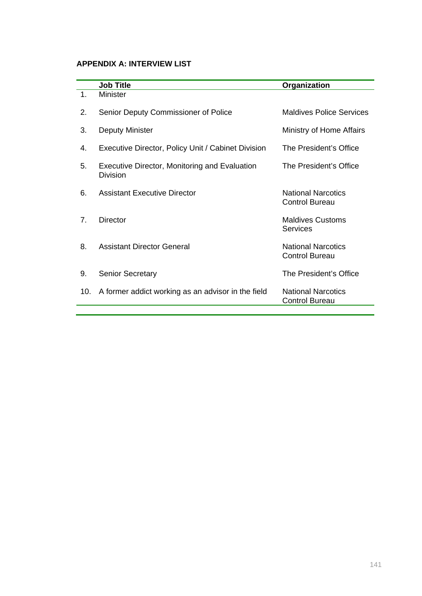# **APPENDIX A: INTERVIEW LIST**

|                                | <b>Job Title</b>                                                 | Organization                                       |
|--------------------------------|------------------------------------------------------------------|----------------------------------------------------|
| 1.                             | <b>Minister</b>                                                  |                                                    |
| 2.                             | Senior Deputy Commissioner of Police                             | <b>Maldives Police Services</b>                    |
| 3.                             | <b>Deputy Minister</b>                                           | Ministry of Home Affairs                           |
| 4.                             | Executive Director, Policy Unit / Cabinet Division               | The President's Office                             |
| 5.                             | Executive Director, Monitoring and Evaluation<br><b>Division</b> | The President's Office                             |
| 6.                             | Assistant Executive Director                                     | <b>National Narcotics</b><br><b>Control Bureau</b> |
| $7_{\scriptscriptstyle{\sim}}$ | Director                                                         | <b>Maldives Customs</b><br>Services                |
| 8.                             | <b>Assistant Director General</b>                                | <b>National Narcotics</b><br><b>Control Bureau</b> |
| 9.                             | <b>Senior Secretary</b>                                          | The President's Office                             |
| 10.                            | A former addict working as an advisor in the field               | <b>National Narcotics</b><br><b>Control Bureau</b> |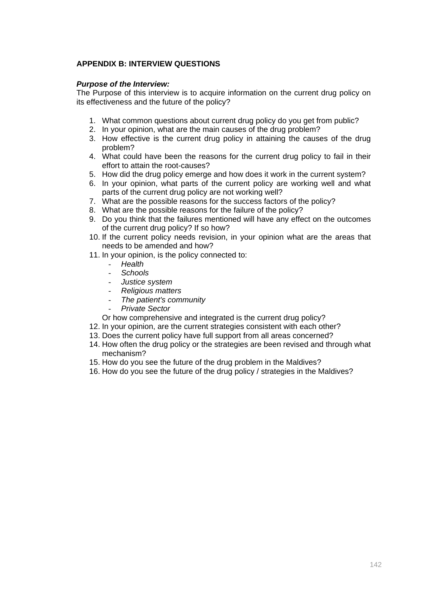### **APPENDIX B: INTERVIEW QUESTIONS**

### *Purpose of the Interview:*

The Purpose of this interview is to acquire information on the current drug policy on its effectiveness and the future of the policy?

- 1. What common questions about current drug policy do you get from public?
- 2. In your opinion, what are the main causes of the drug problem?
- 3. How effective is the current drug policy in attaining the causes of the drug problem?
- 4. What could have been the reasons for the current drug policy to fail in their effort to attain the root-causes?
- 5. How did the drug policy emerge and how does it work in the current system?
- 6. In your opinion, what parts of the current policy are working well and what parts of the current drug policy are not working well?
- 7. What are the possible reasons for the success factors of the policy?
- 8. What are the possible reasons for the failure of the policy?
- 9. Do you think that the failures mentioned will have any effect on the outcomes of the current drug policy? If so how?
- 10. If the current policy needs revision, in your opinion what are the areas that needs to be amended and how?
- 11. In your opinion, is the policy connected to:
	- *Health*
	- *Schools*
	- *Justice system*
	- *Religious matters*
	- *The patient's community*
	- *Private Sector*
	- Or how comprehensive and integrated is the current drug policy?
- 12. In your opinion, are the current strategies consistent with each other?
- 13. Does the current policy have full support from all areas concerned?
- 14. How often the drug policy or the strategies are been revised and through what mechanism?
- 15. How do you see the future of the drug problem in the Maldives?
- 16. How do you see the future of the drug policy / strategies in the Maldives?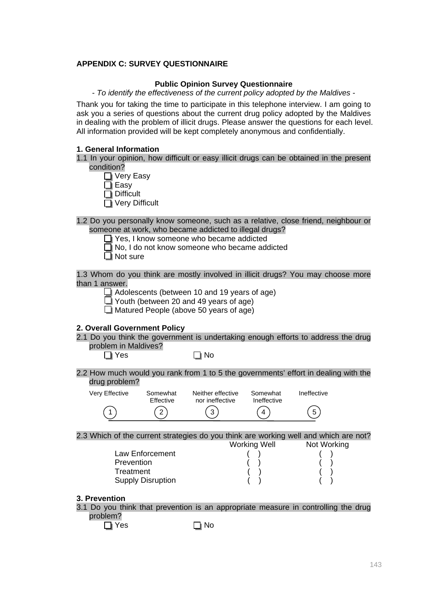### **APPENDIX C: SURVEY QUESTIONNAIRE**

#### **Public Opinion Survey Questionnaire**

- *To identify the effectiveness of the current policy adopted by the Maldives* -

Thank you for taking the time to participate in this telephone interview. I am going to ask you a series of questions about the current drug policy adopted by the Maldives in dealing with the problem of illicit drugs. Please answer the questions for each level. All information provided will be kept completely anonymous and confidentially.

#### **1. General Information**

|  |            |  |  |  |  |  | 1.1 In your opinion, how difficult or easy illicit drugs can be obtained in the present |  |  |
|--|------------|--|--|--|--|--|-----------------------------------------------------------------------------------------|--|--|
|  | condition? |  |  |  |  |  |                                                                                         |  |  |
|  |            |  |  |  |  |  |                                                                                         |  |  |

- Very Easy
- Easy
- $\overline{\mathsf{T}}$  Difficult
- Very Difficult

1.2 Do you personally know someone, such as a relative, close friend, neighbour or someone at work, who became addicted to illegal drugs?

- Yes, I know someone who became addicted
- $\Box$  No, I do not know someone who became addicted
- $\Box$  Not sure

1.3 Whom do you think are mostly involved in illicit drugs? You may choose more than 1 answer.

- Adolescents (between 10 and 19 years of age)
- $\Box$  Youth (between 20 and 49 years of age)
- Matured People (above 50 years of age)

#### **2. Overall Government Policy**

- 2.1 Do you think the government is undertaking enough efforts to address the drug problem in Maldives?<br>
I Yes
	-
- $\Box$  No
- 2.2 How much would you rank from 1 to 5 the governments' effort in dealing with the drug problem?

| Very Effective | Somewhat<br>Effective | Neither effective<br>nor ineffective | Somewhat<br>Ineffective | Ineffective    |
|----------------|-----------------------|--------------------------------------|-------------------------|----------------|
|                | $\sqrt{2}$<br>∠       | $\binom{3}{3}$                       | (4                      | $\overline{5}$ |

2.3 Which of the current strategies do you think are working well and which are not? Working Well Not Working

Law Enforcement ( ) Prevention ( ) Treatment ( ) Supply Disruption

#### **3. Prevention**

3.1 Do you think that prevention is an appropriate measure in controlling the drug problem?

 $\Box$  Yes  $\Box$  No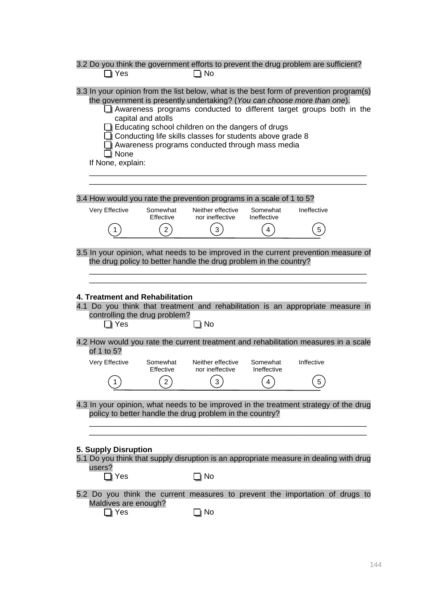| Yes                            | 3.2 Do you think the government efforts to prevent the drug problem are sufficient?                                                                                                                                                                                                                                                                                                                                                                 | ¶ No                                 |                         |             |  |
|--------------------------------|-----------------------------------------------------------------------------------------------------------------------------------------------------------------------------------------------------------------------------------------------------------------------------------------------------------------------------------------------------------------------------------------------------------------------------------------------------|--------------------------------------|-------------------------|-------------|--|
| I None<br>If None, explain:    | 3.3 In your opinion from the list below, what is the best form of prevention program(s)<br>the government is presently undertaking? (You can choose more than one).<br>Awareness programs conducted to different target groups both in the<br>capital and atolls<br>$\Box$ Educating school children on the dangers of drugs<br>$\Box$ Conducting life skills classes for students above grade 8<br>Awareness programs conducted through mass media |                                      |                         |             |  |
|                                | 3.4 How would you rate the prevention programs in a scale of 1 to 5?                                                                                                                                                                                                                                                                                                                                                                                |                                      |                         |             |  |
| Very Effective                 | Somewhat<br>Effective                                                                                                                                                                                                                                                                                                                                                                                                                               | Neither effective<br>nor ineffective | Somewhat<br>Ineffective | Ineffective |  |
|                                | $\overline{2}$                                                                                                                                                                                                                                                                                                                                                                                                                                      | 3                                    | 4                       | 5           |  |
|                                | 3.5 In your opinion, what needs to be improved in the current prevention measure of<br>the drug policy to better handle the drug problem in the country?<br>4. Treatment and Rehabilitation<br>4.1 Do you think that treatment and rehabilitation is an appropriate measure in<br>controlling the drug problem?                                                                                                                                     |                                      |                         |             |  |
| ]∣ Yes                         |                                                                                                                                                                                                                                                                                                                                                                                                                                                     | ] No                                 |                         |             |  |
| of 1 to 5?                     | 4.2 How would you rate the current treatment and rehabilitation measures in a scale                                                                                                                                                                                                                                                                                                                                                                 |                                      |                         |             |  |
| Very Effective                 | Somewhat<br>Effective                                                                                                                                                                                                                                                                                                                                                                                                                               | Neither effective<br>nor ineffective | Somewhat<br>Ineffective | Inffective  |  |
| 1                              | $\overline{2}$                                                                                                                                                                                                                                                                                                                                                                                                                                      | 3 <sub>l</sub>                       | 4                       | 5           |  |
|                                | 4.3 In your opinion, what needs to be improved in the treatment strategy of the drug<br>policy to better handle the drug problem in the country?                                                                                                                                                                                                                                                                                                    |                                      |                         |             |  |
| 5. Supply Disruption<br>users? | 5.1 Do you think that supply disruption is an appropriate measure in dealing with drug                                                                                                                                                                                                                                                                                                                                                              |                                      |                         |             |  |
| $\Box$ Yes<br>Yes              | 5.2 Do you think the current measures to prevent the importation of drugs to<br>Maldives are enough?                                                                                                                                                                                                                                                                                                                                                | ] No<br>No                           |                         |             |  |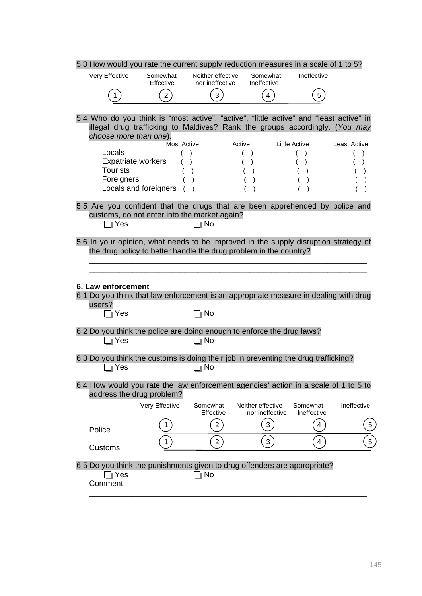|                           | 5.3 How would you rate the current supply reduction measures in a scale of 1 to 5?                                                                                    |                                      |                |                                      |                         |                 |
|---------------------------|-----------------------------------------------------------------------------------------------------------------------------------------------------------------------|--------------------------------------|----------------|--------------------------------------|-------------------------|-----------------|
| Very Effective            | Somewhat<br>Effective                                                                                                                                                 | Neither effective<br>nor ineffective |                | Somewhat<br>Ineffective              | Ineffective             |                 |
|                           | $2^{\degree}$                                                                                                                                                         | $\mathbf{3}$                         |                | $\overline{4}$                       | 5                       |                 |
|                           |                                                                                                                                                                       |                                      |                |                                      |                         |                 |
| choose more than one).    | 5.4 Who do you think is "most active", "active", "little active" and "least active" in<br>illegal drug trafficking to Maldives? Rank the groups accordingly. (You may |                                      |                |                                      |                         |                 |
|                           | <b>Most Active</b>                                                                                                                                                    |                                      | Active         |                                      | Little Active           | Least Active    |
| Locals                    |                                                                                                                                                                       |                                      |                | $\rightarrow$                        |                         |                 |
|                           | Expatriate workers                                                                                                                                                    | $\lambda$                            | $\overline{ }$ | $\lambda$                            | $\lambda$               | $\lambda$       |
| <b>Tourists</b>           |                                                                                                                                                                       | $\mathcal{E}$                        | $\overline{ }$ | $\lambda$                            | $\lambda$               | $\lambda$       |
| Foreigners                | Locals and foreigners (                                                                                                                                               | $\lambda$                            |                | $\lambda$                            | $\lambda$               |                 |
|                           |                                                                                                                                                                       |                                      |                | $\lambda$                            |                         |                 |
| ∏ Yes                     | 5.5 Are you confident that the drugs that are been apprehended by police and<br>customs, do not enter into the market again?                                          | ] No                                 |                |                                      |                         |                 |
|                           | 5.6 In your opinion, what needs to be improved in the supply disruption strategy of                                                                                   |                                      |                |                                      |                         |                 |
|                           | the drug policy to better handle the drug problem in the country?                                                                                                     |                                      |                |                                      |                         |                 |
|                           |                                                                                                                                                                       |                                      |                |                                      |                         |                 |
| 6. Law enforcement        | 6.1 Do you think that law enforcement is an appropriate measure in dealing with drug                                                                                  |                                      |                |                                      |                         |                 |
| users?<br>Yes             |                                                                                                                                                                       | ] No                                 |                |                                      |                         |                 |
| Yes                       | 6.2 Do you think the police are doing enough to enforce the drug laws?                                                                                                | No                                   |                |                                      |                         |                 |
| Yes                       | 6.3 Do you think the customs is doing their job in preventing the drug trafficking?                                                                                   | No                                   |                |                                      |                         |                 |
| address the drug problem? | 6.4 How would you rate the law enforcement agencies' action in a scale of 1 to 5 to                                                                                   |                                      |                |                                      |                         |                 |
|                           | Very Effective                                                                                                                                                        | Somewhat<br>Effective                |                | Neither effective<br>nor ineffective | Somewhat<br>Ineffective | Ineffective     |
|                           |                                                                                                                                                                       | $\overline{2}$                       |                | 3                                    | 4                       | 5               |
| Police                    |                                                                                                                                                                       |                                      |                |                                      |                         |                 |
| Customs                   |                                                                                                                                                                       | $2^{7}$                              |                | 3                                    | 4                       | $5\phantom{.0}$ |
| Yes<br>Comment:           | 6.5 Do you think the punishments given to drug offenders are appropriate?                                                                                             | ∣ No                                 |                |                                      |                         |                 |
|                           |                                                                                                                                                                       |                                      |                |                                      |                         |                 |

\_\_\_\_\_\_\_\_\_\_\_\_\_\_\_\_\_\_\_\_\_\_\_\_\_\_\_\_\_\_\_\_\_\_\_\_\_\_\_\_\_\_\_\_\_\_\_\_\_\_\_\_\_\_\_\_\_\_\_\_\_\_\_\_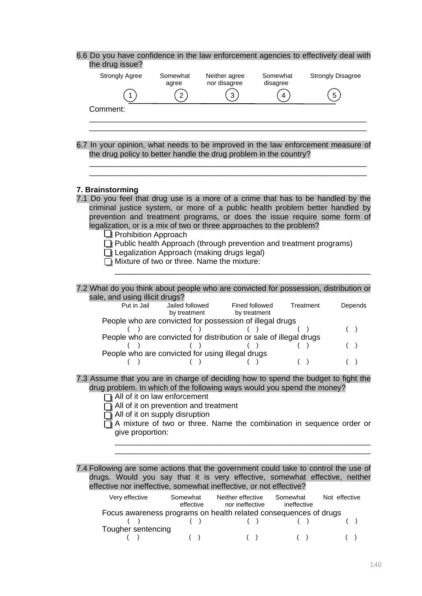| 6.6 Do you have confidence in the law enforcement agencies to effectively deal with<br>the drug issue?                                                                            |                                                                                                                                 |                                                                                                                                                                |                                |                                                                                                                                                            |
|-----------------------------------------------------------------------------------------------------------------------------------------------------------------------------------|---------------------------------------------------------------------------------------------------------------------------------|----------------------------------------------------------------------------------------------------------------------------------------------------------------|--------------------------------|------------------------------------------------------------------------------------------------------------------------------------------------------------|
| <b>Strongly Agree</b>                                                                                                                                                             | Somewhat<br>agree                                                                                                               | Neither agree<br>nor disagree                                                                                                                                  | Somewhat<br>disagree           | <b>Strongly Disagree</b>                                                                                                                                   |
|                                                                                                                                                                                   | $\overline{2}$                                                                                                                  | 3                                                                                                                                                              | 4                              | 5                                                                                                                                                          |
| Comment:                                                                                                                                                                          |                                                                                                                                 |                                                                                                                                                                |                                |                                                                                                                                                            |
|                                                                                                                                                                                   |                                                                                                                                 |                                                                                                                                                                |                                |                                                                                                                                                            |
| 6.7 In your opinion, what needs to be improved in the law enforcement measure of<br>the drug policy to better handle the drug problem in the country?                             |                                                                                                                                 |                                                                                                                                                                |                                |                                                                                                                                                            |
| 7. Brainstorming                                                                                                                                                                  |                                                                                                                                 |                                                                                                                                                                |                                |                                                                                                                                                            |
| 7.1 Do you feel that drug use is a more of a crime that has to be handled by the<br>legalization, or is a mix of two or three approaches to the problem?                          | <b>Prohibition Approach</b>                                                                                                     | Public health Approach (through prevention and treatment programs)<br>Legalization Approach (making drugs legal)<br>Mixture of two or three. Name the mixture: |                                | criminal justice system, or more of a public health problem better handled by<br>prevention and treatment programs, or does the issue require some form of |
| 7.2 What do you think about people who are convicted for possession, distribution or<br>sale, and using illicit drugs?                                                            |                                                                                                                                 |                                                                                                                                                                |                                |                                                                                                                                                            |
| Put in Jail                                                                                                                                                                       | Jailed followed<br>by treatment                                                                                                 | People who are convicted for possession of illegal drugs                                                                                                       | Fined followed<br>by treatment | Depends<br>Treatment                                                                                                                                       |
|                                                                                                                                                                                   |                                                                                                                                 | People who are convicted for distribution or sale of illegal drugs                                                                                             |                                |                                                                                                                                                            |
|                                                                                                                                                                                   |                                                                                                                                 | People who are convicted for using illegal drugs                                                                                                               |                                |                                                                                                                                                            |
| 7.3 Assume that you are in charge of deciding how to spend the budget to fight the<br>drug problem. In which of the following ways would you spend the money?<br>give proportion: | All of it on law enforcement<br>$\overline{\mathbf{I}}$ All of it on prevention and treatment<br>All of it on supply disruption |                                                                                                                                                                |                                | A mixture of two or three. Name the combination in sequence order or                                                                                       |
|                                                                                                                                                                                   |                                                                                                                                 |                                                                                                                                                                |                                |                                                                                                                                                            |
| 7.4 Following are some actions that the government could take to control the use of<br>effective nor ineffective, somewhat ineffective, or not effective?                         |                                                                                                                                 |                                                                                                                                                                |                                | drugs. Would you say that it is very effective, somewhat effective, neither                                                                                |
| Very effective                                                                                                                                                                    | Somewhat<br>effective                                                                                                           | Neither effective<br>nor ineffective<br>Focus awareness programs on health related consequences of drugs                                                       | Somewhat<br>ineffective        | Not effective                                                                                                                                              |
| Tougher sentencing                                                                                                                                                                |                                                                                                                                 | $\rightarrow$                                                                                                                                                  | $\rightarrow$<br>(             | $\overline{ }$                                                                                                                                             |

| Tougher sentencing |  |  |
|--------------------|--|--|
|                    |  |  |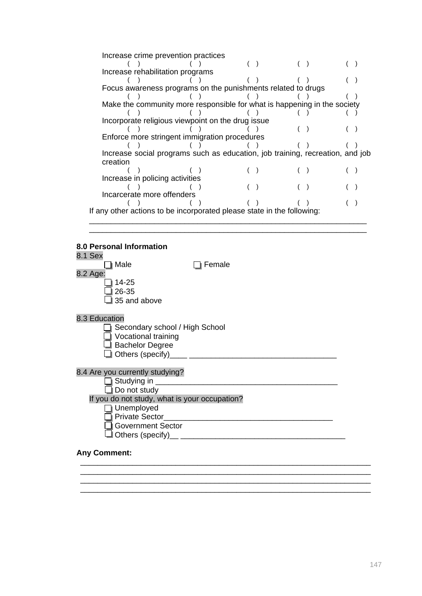| Increase crime prevention practices                                           |  |  |  |  |
|-------------------------------------------------------------------------------|--|--|--|--|
|                                                                               |  |  |  |  |
| Increase rehabilitation programs                                              |  |  |  |  |
|                                                                               |  |  |  |  |
| Focus awareness programs on the punishments related to drugs                  |  |  |  |  |
|                                                                               |  |  |  |  |
| Make the community more responsible for what is happening in the society      |  |  |  |  |
|                                                                               |  |  |  |  |
| Incorporate religious viewpoint on the drug issue                             |  |  |  |  |
|                                                                               |  |  |  |  |
| Enforce more stringent immigration procedures                                 |  |  |  |  |
|                                                                               |  |  |  |  |
| Increase social programs such as education, job training, recreation, and job |  |  |  |  |
| creation                                                                      |  |  |  |  |
|                                                                               |  |  |  |  |
| Increase in policing activities                                               |  |  |  |  |
|                                                                               |  |  |  |  |
| Incarcerate more offenders                                                    |  |  |  |  |
|                                                                               |  |  |  |  |
| If any other actions to be incorporated please state in the following:        |  |  |  |  |
|                                                                               |  |  |  |  |

\_\_\_\_\_\_\_\_\_\_\_\_\_\_\_\_\_\_\_\_\_\_\_\_\_\_\_\_\_\_\_\_\_\_\_\_\_\_\_\_\_\_\_\_\_\_\_\_\_\_\_\_\_\_\_\_\_\_\_\_\_\_\_\_

#### **8.0 Personal Information**



\_\_\_\_\_\_\_\_\_\_\_\_\_\_\_\_\_\_\_\_\_\_\_\_\_\_\_\_\_\_\_\_\_\_\_\_\_\_\_\_\_\_\_\_\_\_\_\_\_\_\_\_\_\_\_\_\_\_\_\_\_\_\_\_\_\_\_

\_\_\_\_\_\_\_\_\_\_\_\_\_\_\_\_\_\_\_\_\_\_\_\_\_\_\_\_\_\_\_\_\_\_\_\_\_\_\_\_\_\_\_\_\_\_\_\_\_\_\_\_\_\_\_\_\_\_\_\_\_\_\_\_\_\_\_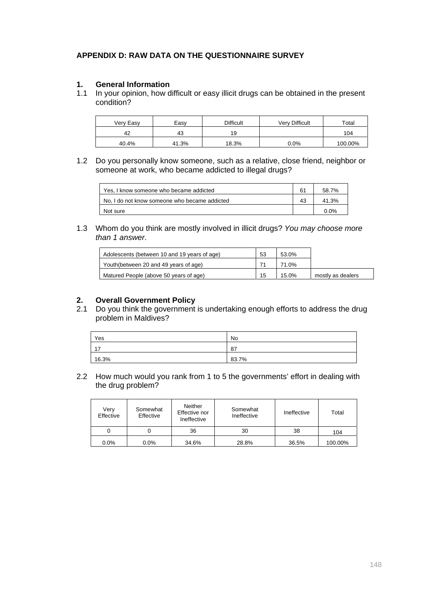## **APPENDIX D: RAW DATA ON THE QUESTIONNAIRE SURVEY**

### **1. General Information**

1.1 In your opinion, how difficult or easy illicit drugs can be obtained in the present condition?

| Very Easy | Easv  | Difficult | Very Difficult | Total   |
|-----------|-------|-----------|----------------|---------|
| 42        | 43    | 19        |                | 104     |
| 40.4%     | 41.3% | 18.3%     | $0.0\%$        | 100.00% |

1.2 Do you personally know someone, such as a relative, close friend, neighbor or someone at work, who became addicted to illegal drugs?

| Yes, I know someone who became addicted       | 61 | 58.7%   |
|-----------------------------------------------|----|---------|
| No. I do not know someone who became addicted | 43 | 41.3%   |
| Not sure                                      |    | $0.0\%$ |

1.3 Whom do you think are mostly involved in illicit drugs? *You may choose more than 1 answer*.

| Adolescents (between 10 and 19 years of age) | 53 | 53.0% |                   |
|----------------------------------------------|----|-------|-------------------|
| Youth(between 20 and 49 years of age)        |    | 71.0% |                   |
| Matured People (above 50 years of age)       | 15 | 15.0% | mostly as dealers |

### **2. Overall Government Policy**

2.1 Do you think the government is undertaking enough efforts to address the drug problem in Maldives?

| Yes   | No    |
|-------|-------|
| 17    | 87    |
| 16.3% | 83.7% |

2.2 How much would you rank from 1 to 5 the governments' effort in dealing with the drug problem?

| Very<br>Effective | Somewhat<br>Effective | <b>Neither</b><br>Effective nor<br>Ineffective | Somewhat<br>Ineffective | Ineffective | Total   |
|-------------------|-----------------------|------------------------------------------------|-------------------------|-------------|---------|
|                   | υ                     | 36                                             | 30                      | 38          | 104     |
| $0.0\%$           | 0.0%                  | 34.6%                                          | 28.8%                   | 36.5%       | 100.00% |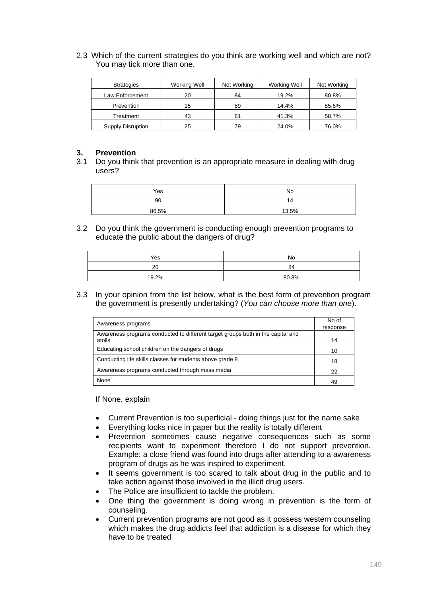2.3 Which of the current strategies do you think are working well and which are not? You may tick more than one.

| <b>Strategies</b> | Working Well | Not Working | Working Well | Not Working |
|-------------------|--------------|-------------|--------------|-------------|
| Law Enforcement   | 20           | 84          | 19.2%        | 80.8%       |
| Prevention        | 15           | 89          | 14.4%        | 85.6%       |
| Treatment         | 43           | 61          | 41.3%        | 58.7%       |
| Supply Disruption | 25           | 79          | 24.0%        | 76.0%       |

### **3. Prevention**

3.1 Do you think that prevention is an appropriate measure in dealing with drug users?

| Yes   | No    |
|-------|-------|
| 90    |       |
| 86.5% | 13.5% |

3.2 Do you think the government is conducting enough prevention programs to educate the public about the dangers of drug?

| Yes   | No    |
|-------|-------|
| 20    | 84    |
| 19.2% | 80.8% |

3.3 In your opinion from the list below, what is the best form of prevention program the government is presently undertaking? (*You can choose more than one*).

|                                                                                 | No of    |
|---------------------------------------------------------------------------------|----------|
| Awareness programs                                                              | response |
| Awareness programs conducted to different target groups both in the capital and |          |
| atolls                                                                          | 14       |
| Educating school children on the dangers of drugs                               | 10       |
| Conducting life skills classes for students above grade 8                       | 18       |
| Awareness programs conducted through mass media                                 | 22       |
| None                                                                            | 49       |

#### If None, explain

- Current Prevention is too superficial doing things just for the name sake
- Everything looks nice in paper but the reality is totally different
- Prevention sometimes cause negative consequences such as some recipients want to experiment therefore I do not support prevention. Example: a close friend was found into drugs after attending to a awareness program of drugs as he was inspired to experiment.
- It seems government is too scared to talk about drug in the public and to take action against those involved in the illicit drug users.
- The Police are insufficient to tackle the problem.
- One thing the government is doing wrong in prevention is the form of counseling.
- Current prevention programs are not good as it possess western counseling which makes the drug addicts feel that addiction is a disease for which they have to be treated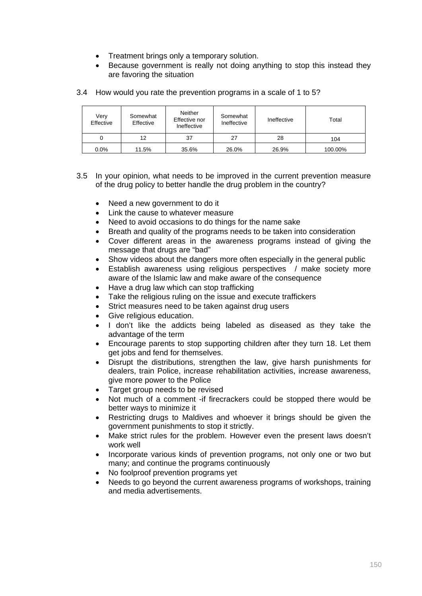- Treatment brings only a temporary solution.
- Because government is really not doing anything to stop this instead they are favoring the situation

### 3.4 How would you rate the prevention programs in a scale of 1 to 5?

| Very<br>Effective | Somewhat<br>Effective | <b>Neither</b><br>Effective nor<br>Ineffective | Somewhat<br>Ineffective | Ineffective | Total   |
|-------------------|-----------------------|------------------------------------------------|-------------------------|-------------|---------|
|                   | 12                    | 37                                             | 27                      | 28          | 104     |
| $0.0\%$           | 11.5%                 | 35.6%                                          | 26.0%                   | 26.9%       | 100.00% |

- 3.5 In your opinion, what needs to be improved in the current prevention measure of the drug policy to better handle the drug problem in the country?
	- Need a new government to do it
	- Link the cause to whatever measure
	- Need to avoid occasions to do things for the name sake
	- Breath and quality of the programs needs to be taken into consideration
	- Cover different areas in the awareness programs instead of giving the message that drugs are "bad"
	- Show videos about the dangers more often especially in the general public
	- Establish awareness using religious perspectives / make society more aware of the Islamic law and make aware of the consequence
	- Have a drug law which can stop trafficking
	- Take the religious ruling on the issue and execute traffickers
	- Strict measures need to be taken against drug users
	- Give religious education.
	- I don't like the addicts being labeled as diseased as they take the advantage of the term
	- Encourage parents to stop supporting children after they turn 18. Let them get jobs and fend for themselves.
	- Disrupt the distributions, strengthen the law, give harsh punishments for dealers, train Police, increase rehabilitation activities, increase awareness, give more power to the Police
	- Target group needs to be revised
	- Not much of a comment -if firecrackers could be stopped there would be better ways to minimize it
	- Restricting drugs to Maldives and whoever it brings should be given the government punishments to stop it strictly.
	- Make strict rules for the problem. However even the present laws doesn't work well
	- Incorporate various kinds of prevention programs, not only one or two but many; and continue the programs continuously
	- No foolproof prevention programs yet
	- Needs to go beyond the current awareness programs of workshops, training and media advertisements.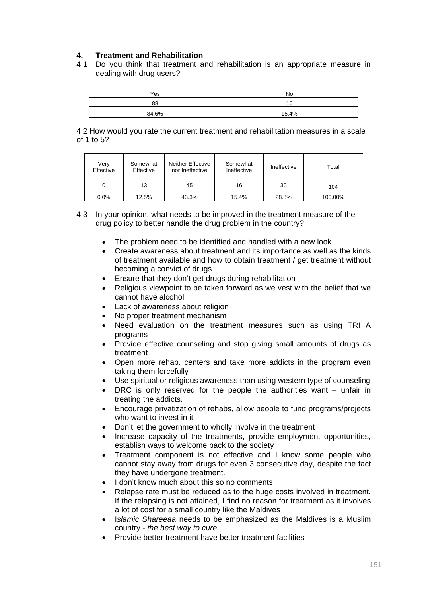## **4. Treatment and Rehabilitation**

4.1 Do you think that treatment and rehabilitation is an appropriate measure in dealing with drug users?

| Yes   | No    |
|-------|-------|
| 88    | 16    |
| 84.6% | 15.4% |

4.2 How would you rate the current treatment and rehabilitation measures in a scale of 1 to 5?

| Verv<br>Effective | Somewhat<br>Effective | Neither Effective<br>nor Ineffective | Somewhat<br>Ineffective | Ineffective | Total   |
|-------------------|-----------------------|--------------------------------------|-------------------------|-------------|---------|
|                   | 13                    | 45                                   | 16                      | 30          | 104     |
| $0.0\%$           | 12.5%                 | 43.3%                                | 15.4%                   | 28.8%       | 100.00% |

- 4.3 In your opinion, what needs to be improved in the treatment measure of the drug policy to better handle the drug problem in the country?
	- The problem need to be identified and handled with a new look
	- Create awareness about treatment and its importance as well as the kinds of treatment available and how to obtain treatment / get treatment without becoming a convict of drugs
	- Ensure that they don't get drugs during rehabilitation
	- Religious viewpoint to be taken forward as we vest with the belief that we cannot have alcohol
	- Lack of awareness about religion
	- No proper treatment mechanism
	- Need evaluation on the treatment measures such as using TRI A programs
	- Provide effective counseling and stop giving small amounts of drugs as treatment
	- Open more rehab. centers and take more addicts in the program even taking them forcefully
	- Use spiritual or religious awareness than using western type of counseling
	- DRC is only reserved for the people the authorities want unfair in treating the addicts.
	- Encourage privatization of rehabs, allow people to fund programs/projects who want to invest in it
	- Don't let the government to wholly involve in the treatment
	- Increase capacity of the treatments, provide employment opportunities, establish ways to welcome back to the society
	- Treatment component is not effective and I know some people who cannot stay away from drugs for even 3 consecutive day, despite the fact they have undergone treatment.
	- I don't know much about this so no comments
	- Relapse rate must be reduced as to the huge costs involved in treatment. If the relapsing is not attained, I find no reason for treatment as it involves a lot of cost for a small country like the Maldives
	- I*slamic Shareeaa* needs to be emphasized as the Maldives is a Muslim country - *the best way to cure*
	- Provide better treatment have better treatment facilities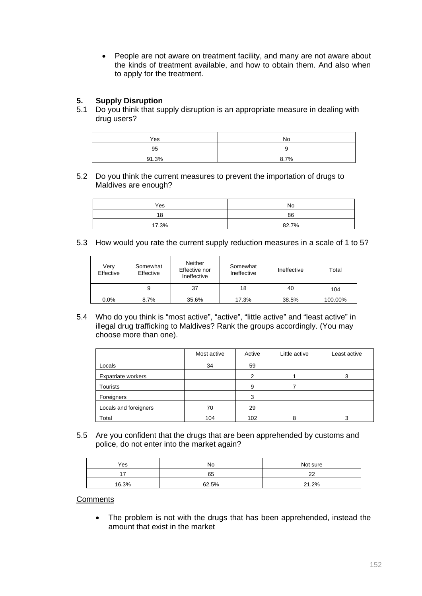• People are not aware on treatment facility, and many are not aware about the kinds of treatment available, and how to obtain them. And also when to apply for the treatment.

## **5. Supply Disruption**

5.1 Do you think that supply disruption is an appropriate measure in dealing with drug users?

| Yes   | <b>No</b>  |
|-------|------------|
| 95    |            |
| 91.3% | .7%<br>8.7 |

5.2 Do you think the current measures to prevent the importation of drugs to Maldives are enough?

| Yes   | No    |
|-------|-------|
| 18    | 86    |
| 17.3% | 82.7% |

5.3 How would you rate the current supply reduction measures in a scale of 1 to 5?

| Verv<br>Effective | Somewhat<br>Effective | Neither<br>Effective nor<br>Ineffective | Somewhat<br>Ineffective | Ineffective | Total   |
|-------------------|-----------------------|-----------------------------------------|-------------------------|-------------|---------|
|                   | 9                     | 37                                      | 18                      | 40          | 104     |
| $0.0\%$           | 8.7%                  | 35.6%                                   | 17.3%                   | 38.5%       | 100.00% |

5.4 Who do you think is "most active", "active", "little active" and "least active" in illegal drug trafficking to Maldives? Rank the groups accordingly. (You may choose more than one).

|                           | Most active | Active | Little active | Least active |
|---------------------------|-------------|--------|---------------|--------------|
| Locals                    | 34          | 59     |               |              |
| <b>Expatriate workers</b> |             | 2      |               | 3            |
| Tourists                  |             | 9      |               |              |
| Foreigners                |             | 3      |               |              |
| Locals and foreigners     | 70          | 29     |               |              |
| Total                     | 104         | 102    | 8             |              |

5.5 Are you confident that the drugs that are been apprehended by customs and police, do not enter into the market again?

| Yes   | No    | Not sure |
|-------|-------|----------|
| -     | 65    | ົ        |
| 16.3% | 62.5% | 21.2%    |

### **Comments**

• The problem is not with the drugs that has been apprehended, instead the amount that exist in the market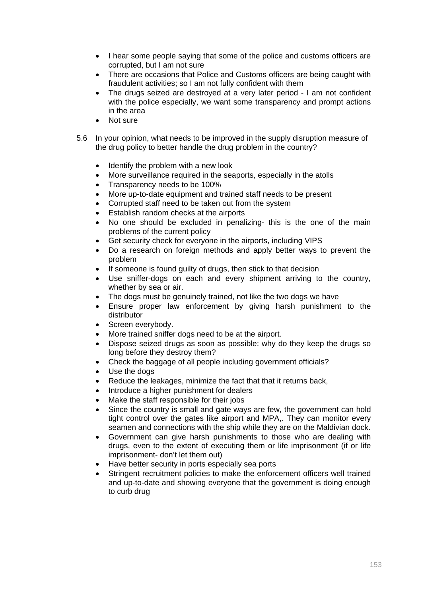- I hear some people saying that some of the police and customs officers are corrupted, but I am not sure
- There are occasions that Police and Customs officers are being caught with fraudulent activities; so I am not fully confident with them
- The drugs seized are destroyed at a very later period I am not confident with the police especially, we want some transparency and prompt actions in the area
- Not sure
- 5.6 In your opinion, what needs to be improved in the supply disruption measure of the drug policy to better handle the drug problem in the country?
	- Identify the problem with a new look
	- More surveillance required in the seaports, especially in the atolls
	- Transparency needs to be 100%
	- More up-to-date equipment and trained staff needs to be present
	- Corrupted staff need to be taken out from the system
	- Establish random checks at the airports
	- No one should be excluded in penalizing- this is the one of the main problems of the current policy
	- Get security check for everyone in the airports, including VIPS
	- Do a research on foreign methods and apply better ways to prevent the problem
	- If someone is found guilty of drugs, then stick to that decision
	- Use sniffer-dogs on each and every shipment arriving to the country, whether by sea or air.
	- The dogs must be genuinely trained, not like the two dogs we have
	- Ensure proper law enforcement by giving harsh punishment to the distributor
	- Screen everybody.
	- More trained sniffer dogs need to be at the airport.
	- Dispose seized drugs as soon as possible: why do they keep the drugs so long before they destroy them?
	- Check the baggage of all people including government officials?
	- Use the dogs
	- Reduce the leakages, minimize the fact that that it returns back,
	- Introduce a higher punishment for dealers
	- Make the staff responsible for their jobs
	- Since the country is small and gate ways are few, the government can hold tight control over the gates like airport and MPA,. They can monitor every seamen and connections with the ship while they are on the Maldivian dock.
	- Government can give harsh punishments to those who are dealing with drugs, even to the extent of executing them or life imprisonment (if or life imprisonment- don't let them out)
	- Have better security in ports especially sea ports
	- Stringent recruitment policies to make the enforcement officers well trained and up-to-date and showing everyone that the government is doing enough to curb drug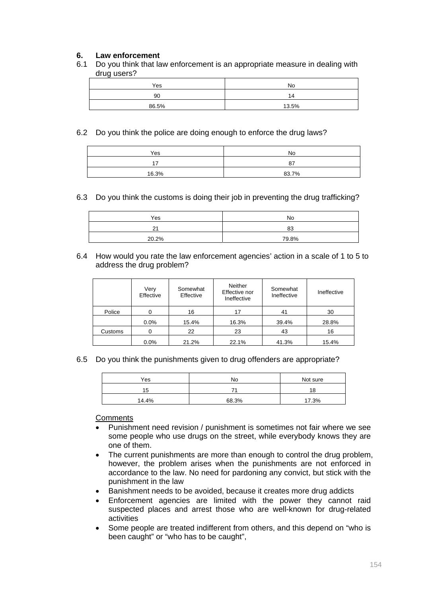## **6. Law enforcement**

6.1 Do you think that law enforcement is an appropriate measure in dealing with drug users?

| Yes   | No      |
|-------|---------|
| 90    | ◢<br>14 |
| 86.5% | 13.5%   |

### 6.2 Do you think the police are doing enough to enforce the drug laws?

| Yes   | No    |
|-------|-------|
| ۰,    | 87    |
| 16.3% | 83.7% |

### 6.3 Do you think the customs is doing their job in preventing the drug trafficking?

| Yes   | No    |
|-------|-------|
| າາ    | 83    |
| 20.2% | 79.8% |

#### 6.4 How would you rate the law enforcement agencies' action in a scale of 1 to 5 to address the drug problem?

|         | Very<br>Effective | Somewhat<br>Effective | Neither<br>Effective nor<br>Ineffective | Somewhat<br>Ineffective | Ineffective |
|---------|-------------------|-----------------------|-----------------------------------------|-------------------------|-------------|
| Police  |                   | 16                    | 17                                      | 41                      | 30          |
|         | $0.0\%$           | 15.4%                 | 16.3%                                   | 39.4%                   | 28.8%       |
| Customs |                   | 22                    | 23                                      | 43                      | 16          |
|         | 0.0%              | 21.2%                 | 22.1%                                   | 41.3%                   | 15.4%       |

6.5 Do you think the punishments given to drug offenders are appropriate?

| Yes   | No    | Not sure |
|-------|-------|----------|
| '5    |       | 18       |
| 14.4% | 68.3% | 17.3%    |

**Comments** 

- Punishment need revision / punishment is sometimes not fair where we see some people who use drugs on the street, while everybody knows they are one of them.
- The current punishments are more than enough to control the drug problem, however, the problem arises when the punishments are not enforced in accordance to the law. No need for pardoning any convict, but stick with the punishment in the law
- Banishment needs to be avoided, because it creates more drug addicts
- Enforcement agencies are limited with the power they cannot raid suspected places and arrest those who are well-known for drug-related activities
- Some people are treated indifferent from others, and this depend on "who is been caught" or "who has to be caught",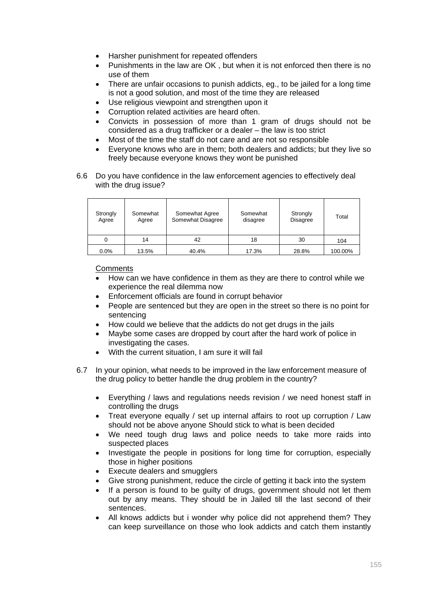- Harsher punishment for repeated offenders
- Punishments in the law are OK , but when it is not enforced then there is no use of them
- There are unfair occasions to punish addicts, eg., to be jailed for a long time is not a good solution, and most of the time they are released
- Use religious viewpoint and strengthen upon it
- Corruption related activities are heard often.
- Convicts in possession of more than 1 gram of drugs should not be considered as a drug trafficker or a dealer – the law is too strict
- Most of the time the staff do not care and are not so responsible
- Everyone knows who are in them; both dealers and addicts; but they live so freely because everyone knows they wont be punished
- 6.6 Do you have confidence in the law enforcement agencies to effectively deal with the drug issue?

| Strongly<br>Agree | Somewhat<br>Agree | Somewhat Agree<br>Somewhat Disagree | Somewhat<br>disagree | Strongly<br><b>Disagree</b> | Total   |
|-------------------|-------------------|-------------------------------------|----------------------|-----------------------------|---------|
|                   | 14                | 42                                  | 18                   | 30                          | 104     |
| $0.0\%$           | 13.5%             | 40.4%                               | 17.3%                | 28.8%                       | 100.00% |

### **Comments**

- How can we have confidence in them as they are there to control while we experience the real dilemma now
- Enforcement officials are found in corrupt behavior
- People are sentenced but they are open in the street so there is no point for sentencing
- How could we believe that the addicts do not get drugs in the jails
- Maybe some cases are dropped by court after the hard work of police in investigating the cases.
- With the current situation, I am sure it will fail
- 6.7 In your opinion, what needs to be improved in the law enforcement measure of the drug policy to better handle the drug problem in the country?
	- Everything / laws and regulations needs revision / we need honest staff in controlling the drugs
	- Treat everyone equally / set up internal affairs to root up corruption / Law should not be above anyone Should stick to what is been decided
	- We need tough drug laws and police needs to take more raids into suspected places
	- Investigate the people in positions for long time for corruption, especially those in higher positions
	- Execute dealers and smugglers
	- Give strong punishment, reduce the circle of getting it back into the system
	- If a person is found to be guilty of drugs, government should not let them out by any means. They should be in Jailed till the last second of their sentences.
	- All knows addicts but i wonder why police did not apprehend them? They can keep surveillance on those who look addicts and catch them instantly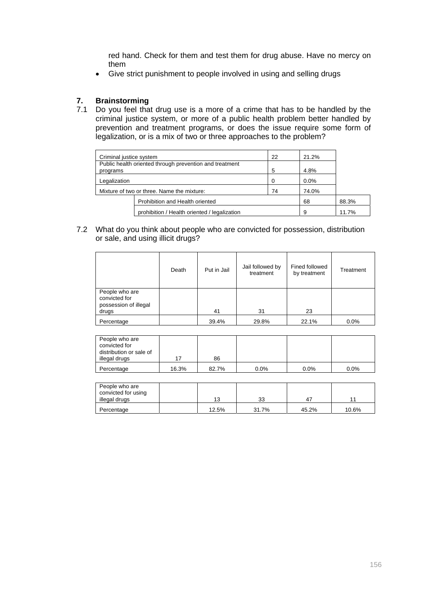red hand. Check for them and test them for drug abuse. Have no mercy on them

• Give strict punishment to people involved in using and selling drugs

## **7. Brainstorming**

7.1 Do you feel that drug use is a more of a crime that has to be handled by the criminal justice system, or more of a public health problem better handled by prevention and treatment programs, or does the issue require some form of legalization, or is a mix of two or three approaches to the problem?

| Criminal justice system                    |                                                         | 22 | 21.2% |       |
|--------------------------------------------|---------------------------------------------------------|----|-------|-------|
|                                            | Public health oriented through prevention and treatment |    |       |       |
| programs                                   |                                                         | 5  | 4.8%  |       |
| Legalization                               |                                                         |    | 0.0%  |       |
| Mixture of two or three. Name the mixture: |                                                         |    | 74.0% |       |
|                                            | Prohibition and Health oriented<br>68                   |    |       | 88.3% |
|                                            | prohibition / Health oriented / legalization            |    | 9     | 11.7% |

7.2 What do you think about people who are convicted for possession, distribution or sale, and using illicit drugs?

|                                                                   | Death | Put in Jail | Jail followed by<br>treatment | Fined followed<br>by treatment | Treatment |
|-------------------------------------------------------------------|-------|-------------|-------------------------------|--------------------------------|-----------|
| People who are<br>convicted for<br>possession of illegal<br>drugs |       | 41          | 31                            | 23                             |           |
| Percentage                                                        |       | 39.4%       | 29.8%                         | 22.1%                          | 0.0%      |

| People who are<br>convicted for<br>distribution or sale of |       |       |         |         |         |
|------------------------------------------------------------|-------|-------|---------|---------|---------|
| illegal drugs                                              |       | 86    |         |         |         |
| Percentage                                                 | 16.3% | 82.7% | $0.0\%$ | $0.0\%$ | $0.0\%$ |

| People who are<br>convicted for using<br>illegal drugs | 13    | 33    | 4     | 4     |
|--------------------------------------------------------|-------|-------|-------|-------|
|                                                        |       |       |       |       |
| Percentage                                             | 12.5% | 31.7% | 45.2% | 10.6% |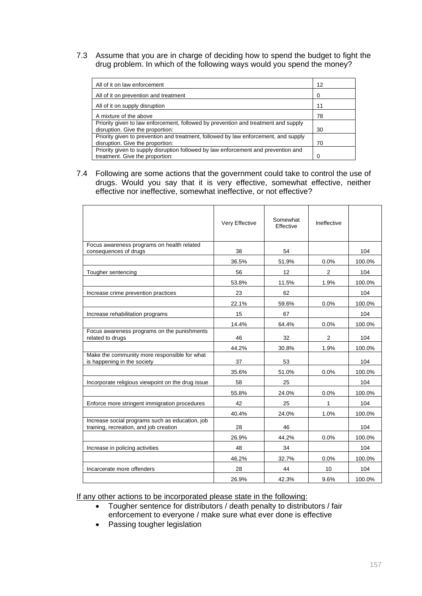7.3 Assume that you are in charge of deciding how to spend the budget to fight the drug problem. In which of the following ways would you spend the money?

| All of it on law enforcement                                                                                            | 12 |
|-------------------------------------------------------------------------------------------------------------------------|----|
| All of it on prevention and treatment                                                                                   | 0  |
| All of it on supply disruption                                                                                          | 11 |
| A mixture of the above                                                                                                  | 78 |
| Priority given to law enforcement, followed by prevention and treatment and supply<br>disruption. Give the proportion:  | 30 |
| Priority given to prevention and treatment, followed by law enforcement, and supply<br>disruption. Give the proportion: | 70 |
| Priority given to supply disruption followed by law enforcement and prevention and                                      |    |
| treatment. Give the proportion:                                                                                         | 0  |

7.4 Following are some actions that the government could take to control the use of drugs. Would you say that it is very effective, somewhat effective, neither effective nor ineffective, somewhat ineffective, or not effective?

|                                                                                           | Very Effective | Somewhat<br>Effective | Ineffective    |        |
|-------------------------------------------------------------------------------------------|----------------|-----------------------|----------------|--------|
| Focus awareness programs on health related<br>consequences of drugs                       | 38             | 54                    |                | 104    |
|                                                                                           | 36.5%          | 51.9%                 | $0.0\%$        | 100.0% |
| Tougher sentencing                                                                        | 56             | 12                    | $\overline{2}$ | 104    |
|                                                                                           | 53.8%          | 11.5%                 | 1.9%           | 100.0% |
| Increase crime prevention practices                                                       | 23             | 62                    |                | 104    |
|                                                                                           | 22.1%          | 59.6%                 | 0.0%           | 100.0% |
| Increase rehabilitation programs                                                          | 15             | 67                    |                | 104    |
|                                                                                           | 14.4%          | 64.4%                 | 0.0%           | 100.0% |
| Focus awareness programs on the punishments<br>related to drugs                           | 46             | 32                    | 2              | 104    |
|                                                                                           | 44.2%          | 30.8%                 | 1.9%           | 100.0% |
| Make the community more responsible for what<br>is happening in the society               | 37             | 53                    |                | 104    |
|                                                                                           | 35.6%          | 51.0%                 | 0.0%           | 100.0% |
| Incorporate religious viewpoint on the drug issue                                         | 58             | 25                    |                | 104    |
|                                                                                           | 55.8%          | 24.0%                 | 0.0%           | 100.0% |
| Enforce more stringent immigration procedures                                             | 42             | 25                    | 1              | 104    |
|                                                                                           | 40.4%          | 24.0%                 | 1.0%           | 100.0% |
| Increase social programs such as education, job<br>training, recreation, and job creation | 28             | 46                    |                | 104    |
|                                                                                           | 26.9%          | 44.2%                 | 0.0%           | 100.0% |
| Increase in policing activities                                                           | 48             | 34                    |                | 104    |
|                                                                                           | 46.2%          | 32.7%                 | 0.0%           | 100.0% |
| Incarcerate more offenders                                                                | 28             | 44                    | 10             | 104    |
|                                                                                           | 26.9%          | 42.3%                 | 9.6%           | 100.0% |

If any other actions to be incorporated please state in the following:

- Tougher sentence for distributors / death penalty to distributors / fair enforcement to everyone / make sure what ever done is effective
- Passing tougher legislation